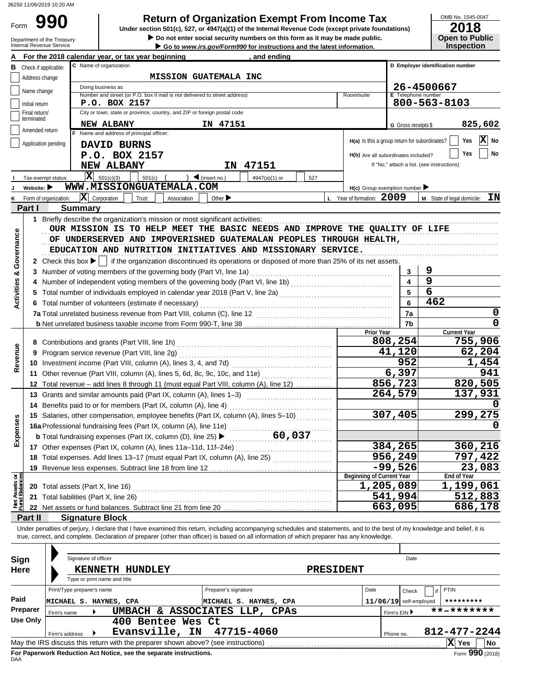# **990 2018 2018 2018 Depending Solution Solution Solution Solution State Original Revenue Code (except private foundations) 2018**

|                                | <b>Return of Organization Exempt From Income Tax</b><br>990<br>Form                                                                                                                                             |                            |                                                                                                                                                                                                                                                                                                                                                              |                                            |                                  |                                            |                            |  |  |  |
|--------------------------------|-----------------------------------------------------------------------------------------------------------------------------------------------------------------------------------------------------------------|----------------------------|--------------------------------------------------------------------------------------------------------------------------------------------------------------------------------------------------------------------------------------------------------------------------------------------------------------------------------------------------------------|--------------------------------------------|----------------------------------|--------------------------------------------|----------------------------|--|--|--|
|                                | Under section 501(c), 527, or 4947(a)(1) of the Internal Revenue Code (except private foundations)<br>Do not enter social security numbers on this form as it may be made public.<br>Department of the Treasury |                            |                                                                                                                                                                                                                                                                                                                                                              |                                            |                                  |                                            |                            |  |  |  |
|                                |                                                                                                                                                                                                                 | Internal Revenue Service   | Go to www.irs.gov/Form990 for instructions and the latest information.                                                                                                                                                                                                                                                                                       |                                            |                                  | <b>Open to Public</b><br><b>Inspection</b> |                            |  |  |  |
|                                |                                                                                                                                                                                                                 |                            | For the 2018 calendar year, or tax year beginning<br>, and ending                                                                                                                                                                                                                                                                                            |                                            |                                  |                                            |                            |  |  |  |
| В                              | Check if applicable:                                                                                                                                                                                            |                            | C Name of organization                                                                                                                                                                                                                                                                                                                                       |                                            | D Employer identification number |                                            |                            |  |  |  |
|                                | <b>MISSION GUATEMALA INC</b><br>Address change                                                                                                                                                                  |                            |                                                                                                                                                                                                                                                                                                                                                              |                                            |                                  |                                            |                            |  |  |  |
|                                | Name change                                                                                                                                                                                                     |                            | Doing business as<br>Number and street (or P.O. box if mail is not delivered to street address)<br>Room/suite                                                                                                                                                                                                                                                | E Telephone number                         | 26-4500667                       |                                            |                            |  |  |  |
|                                | Initial return                                                                                                                                                                                                  |                            | P.O. BOX 2157                                                                                                                                                                                                                                                                                                                                                |                                            | 800-563-8103                     |                                            |                            |  |  |  |
|                                | Final return/<br>terminated                                                                                                                                                                                     |                            | City or town, state or province, country, and ZIP or foreign postal code                                                                                                                                                                                                                                                                                     |                                            |                                  |                                            |                            |  |  |  |
|                                | Amended return                                                                                                                                                                                                  |                            | <b>NEW ALBANY</b><br>IN 47151                                                                                                                                                                                                                                                                                                                                | G Gross receipts \$                        |                                  |                                            | 825,602                    |  |  |  |
|                                |                                                                                                                                                                                                                 |                            | F Name and address of principal officer:<br>$H(a)$ Is this a group return for subordinates?                                                                                                                                                                                                                                                                  |                                            |                                  | Yes                                        | $\overline{\mathbf{X}}$ No |  |  |  |
|                                | Application pending                                                                                                                                                                                             |                            | DAVID BURNS                                                                                                                                                                                                                                                                                                                                                  |                                            |                                  | Yes                                        | No                         |  |  |  |
|                                |                                                                                                                                                                                                                 |                            | P.O. BOX 2157<br>H(b) Are all subordinates included?                                                                                                                                                                                                                                                                                                         | If "No," attach a list. (see instructions) |                                  |                                            |                            |  |  |  |
|                                |                                                                                                                                                                                                                 |                            | 47151<br><b>NEW ALBANY</b><br>ΙN                                                                                                                                                                                                                                                                                                                             |                                            |                                  |                                            |                            |  |  |  |
|                                | Tax-exempt status:                                                                                                                                                                                              |                            | $ \mathbf{X} $ 501(c)(3)<br>501(c)<br>$\big)$ (insert no.)<br>4947(a)(1) or<br>527<br>WWW.MISSIONGUATEMALA.COM                                                                                                                                                                                                                                               |                                            |                                  |                                            |                            |  |  |  |
|                                | Website: $\blacktriangleright$                                                                                                                                                                                  | K Form of organization:    | $H(c)$ Group exemption number<br>$ \mathbf{X} $ Corporation<br>L Year of formation: 2009<br>Trust<br>Association<br>Other $\blacktriangleright$                                                                                                                                                                                                              |                                            | M State of legal domicile:       |                                            | ΙN                         |  |  |  |
|                                | Part I                                                                                                                                                                                                          | <b>Summary</b>             |                                                                                                                                                                                                                                                                                                                                                              |                                            |                                  |                                            |                            |  |  |  |
|                                |                                                                                                                                                                                                                 |                            |                                                                                                                                                                                                                                                                                                                                                              |                                            |                                  |                                            |                            |  |  |  |
| Governance                     |                                                                                                                                                                                                                 |                            | OUR MISSION IS TO HELP MEET THE BASIC NEEDS AND IMPROVE THE QUALITY OF LIFE<br>OF UNDERSERVED AND IMPOVERISHED GUATEMALAN PEOPLES THROUGH HEALTH,<br>EDUCATION AND NUTRITION INITIATIVES AND MISSIONARY SERVICE.<br>2 Check this box $\blacktriangleright$   if the organization discontinued its operations or disposed of more than 25% of its net assets. |                                            |                                  |                                            |                            |  |  |  |
|                                |                                                                                                                                                                                                                 |                            |                                                                                                                                                                                                                                                                                                                                                              |                                            | 9                                |                                            |                            |  |  |  |
| <b>Activities &amp;</b>        |                                                                                                                                                                                                                 |                            | 4 Number of independent voting members of the governing body (Part VI, line 1b) [11] [11] Number of independent voting members of the governing body (Part VI, line 1b)                                                                                                                                                                                      |                                            | 9                                |                                            |                            |  |  |  |
|                                |                                                                                                                                                                                                                 |                            | 5 Total number of individuals employed in calendar year 2018 (Part V, line 2a) [[[[[[[[[[[[[[[[[[[[[[[[[[[[[[[                                                                                                                                                                                                                                               |                                            | 6                                |                                            |                            |  |  |  |
|                                |                                                                                                                                                                                                                 |                            |                                                                                                                                                                                                                                                                                                                                                              |                                            | 462                              |                                            |                            |  |  |  |
|                                |                                                                                                                                                                                                                 |                            | 7a                                                                                                                                                                                                                                                                                                                                                           |                                            |                                  | 0                                          |                            |  |  |  |
|                                |                                                                                                                                                                                                                 |                            | 7b                                                                                                                                                                                                                                                                                                                                                           |                                            |                                  | 0                                          |                            |  |  |  |
|                                |                                                                                                                                                                                                                 |                            | <b>Prior Year</b>                                                                                                                                                                                                                                                                                                                                            | 808,254                                    |                                  | <b>Current Year</b>                        |                            |  |  |  |
|                                |                                                                                                                                                                                                                 |                            |                                                                                                                                                                                                                                                                                                                                                              | 41,120                                     |                                  |                                            | 755,906<br>62,204          |  |  |  |
| Revenue                        |                                                                                                                                                                                                                 |                            | 9 Program service revenue (Part VIII, line 2g)<br>10 Investment income (Part VIII, column (A), lines 3, 4, and 7d)                                                                                                                                                                                                                                           | 952                                        |                                  |                                            | 1,454                      |  |  |  |
|                                |                                                                                                                                                                                                                 |                            | 11 Other revenue (Part VIII, column (A), lines 5, 6d, 8c, 9c, 10c, and 11e)                                                                                                                                                                                                                                                                                  | 6,397                                      |                                  |                                            | 941                        |  |  |  |
|                                |                                                                                                                                                                                                                 |                            | 12 Total revenue - add lines 8 through 11 (must equal Part VIII, column (A), line 12)                                                                                                                                                                                                                                                                        | 856,723                                    |                                  |                                            | 820,505                    |  |  |  |
|                                |                                                                                                                                                                                                                 |                            | 13 Grants and similar amounts paid (Part IX, column (A), lines 1-3)                                                                                                                                                                                                                                                                                          | 264,579                                    |                                  |                                            | 137,931                    |  |  |  |
|                                |                                                                                                                                                                                                                 |                            | 14 Benefits paid to or for members (Part IX, column (A), line 4)                                                                                                                                                                                                                                                                                             |                                            |                                  |                                            | 0                          |  |  |  |
|                                |                                                                                                                                                                                                                 |                            | 15 Salaries, other compensation, employee benefits (Part IX, column (A), lines 5-10)                                                                                                                                                                                                                                                                         | 307,405                                    |                                  |                                            | 299,275                    |  |  |  |
| Expenses                       |                                                                                                                                                                                                                 |                            | 16a Professional fundraising fees (Part IX, column (A), line 11e)                                                                                                                                                                                                                                                                                            |                                            |                                  |                                            | 0                          |  |  |  |
|                                |                                                                                                                                                                                                                 |                            | 60,037<br><b>b</b> Total fundraising expenses (Part IX, column (D), line 25) >                                                                                                                                                                                                                                                                               |                                            |                                  |                                            |                            |  |  |  |
|                                |                                                                                                                                                                                                                 |                            | 17 Other expenses (Part IX, column (A), lines 11a-11d, 11f-24e)                                                                                                                                                                                                                                                                                              | 384,265                                    |                                  |                                            | 360,216                    |  |  |  |
|                                |                                                                                                                                                                                                                 |                            | 18 Total expenses. Add lines 13-17 (must equal Part IX, column (A), line 25)                                                                                                                                                                                                                                                                                 | 956,249                                    |                                  |                                            | 797,422                    |  |  |  |
|                                |                                                                                                                                                                                                                 |                            |                                                                                                                                                                                                                                                                                                                                                              | $-99,526$                                  |                                  |                                            | 23,083                     |  |  |  |
|                                |                                                                                                                                                                                                                 |                            | <b>Beginning of Current Year</b><br>1,205,089                                                                                                                                                                                                                                                                                                                |                                            |                                  | End of Year<br>1,199,061                   |                            |  |  |  |
|                                |                                                                                                                                                                                                                 |                            | 20 Total assets (Part X, line 16)<br>21 Total liabilities (Part X, line 26)                                                                                                                                                                                                                                                                                  | 541,994                                    |                                  |                                            | 512,883                    |  |  |  |
| Net Assets or<br>Fund Balances |                                                                                                                                                                                                                 |                            |                                                                                                                                                                                                                                                                                                                                                              | 663,095                                    |                                  |                                            | 686,178                    |  |  |  |
|                                | Part II                                                                                                                                                                                                         |                            | <b>Signature Block</b>                                                                                                                                                                                                                                                                                                                                       |                                            |                                  |                                            |                            |  |  |  |
|                                |                                                                                                                                                                                                                 |                            | Under penalties of perjury, I declare that I have examined this return, including accompanying schedules and statements, and to the best of my knowledge and belief, it is<br>true, correct, and complete. Declaration of preparer (other than officer) is based on all information of which preparer has any knowledge.                                     |                                            |                                  |                                            |                            |  |  |  |
|                                |                                                                                                                                                                                                                 |                            | Signature of officer                                                                                                                                                                                                                                                                                                                                         | Date                                       |                                  |                                            |                            |  |  |  |
| Sign                           |                                                                                                                                                                                                                 |                            |                                                                                                                                                                                                                                                                                                                                                              |                                            |                                  |                                            |                            |  |  |  |
| Here                           |                                                                                                                                                                                                                 |                            | KENNETH HUNDLEY<br><b>PRESIDENT</b><br>Type or print name and title                                                                                                                                                                                                                                                                                          |                                            |                                  |                                            |                            |  |  |  |
|                                |                                                                                                                                                                                                                 | Print/Type preparer's name | Preparer's signature<br>Date                                                                                                                                                                                                                                                                                                                                 | Check                                      | PTIN<br>if                       |                                            |                            |  |  |  |
| Paid                           |                                                                                                                                                                                                                 |                            | MICHAEL S. HAYNES, CPA<br>MICHAEL S. HAYNES, CPA                                                                                                                                                                                                                                                                                                             | $11/06/19$ self-employed                   |                                  | *********                                  |                            |  |  |  |
|                                | Preparer                                                                                                                                                                                                        | Firm's name                | UMBACH & ASSOCIATES LLP, CPAs                                                                                                                                                                                                                                                                                                                                | Firm's EIN ▶                               |                                  | **-*******                                 |                            |  |  |  |
|                                | <b>Use Only</b>                                                                                                                                                                                                 |                            | 400 Bentee Wes Ct                                                                                                                                                                                                                                                                                                                                            |                                            |                                  |                                            |                            |  |  |  |
|                                |                                                                                                                                                                                                                 | Firm's address             | Evansville, IN<br>47715-4060                                                                                                                                                                                                                                                                                                                                 | Phone no.                                  |                                  | 812-477-2244                               |                            |  |  |  |
|                                |                                                                                                                                                                                                                 |                            |                                                                                                                                                                                                                                                                                                                                                              |                                            |                                  | $ \mathbf{X} $ Yes                         | No                         |  |  |  |

|                                                                                                | Print/Type preparer's name |  |                               | Preparer's signature          | Date |              | Check                    | <sub>if</sub> PTIN |  |  |  |
|------------------------------------------------------------------------------------------------|----------------------------|--|-------------------------------|-------------------------------|------|--------------|--------------------------|--------------------|--|--|--|
| Paid                                                                                           | MICHAEL S.                 |  | HAYNES, CPA                   | MICHAEL S. HAYNES, CPA        |      |              | $11/06/19$ self-employed | *********          |  |  |  |
| Preparer                                                                                       | Firm's name                |  |                               | UMBACH & ASSOCIATES LLP, CPAs |      | Firm's EIN ▶ |                          | **-*******         |  |  |  |
| <b>Use Only</b>                                                                                | 400 Bentee Wes Ct          |  |                               |                               |      |              |                          |                    |  |  |  |
|                                                                                                | Firm's address             |  | Evansville, IN $47715 - 4060$ |                               |      | Phone no.    |                          | 812-477-2244       |  |  |  |
| May the IRS discuss this return with the preparer shown above? (see instructions)<br>Yes<br>No |                            |  |                               |                               |      |              |                          |                    |  |  |  |
| Form 990 (2018)<br>For Paperwork Reduction Act Notice, see the separate instructions.<br>DAA   |                            |  |                               |                               |      |              |                          |                    |  |  |  |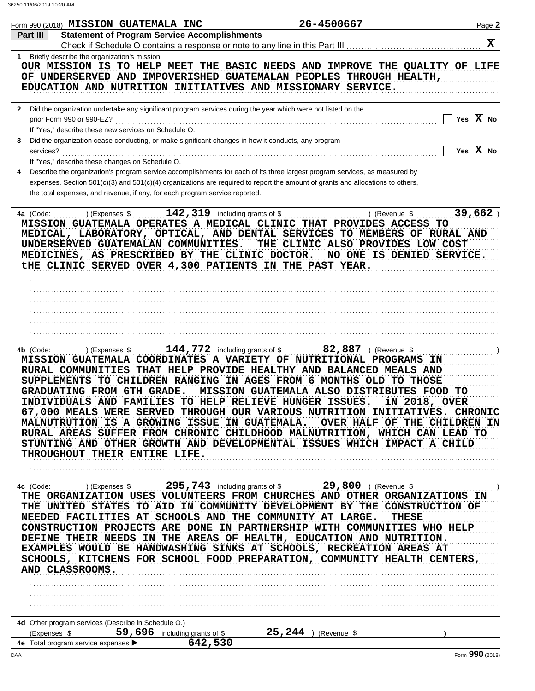| Part III<br><b>Statement of Program Service Accomplishments</b><br>$\mathbf x$<br>1 Briefly describe the organization's mission:<br>OUR MISSION IS TO HELP MEET THE BASIC NEEDS AND IMPROVE THE QUALITY OF LIFE<br>OF UNDERSERVED AND IMPOVERISHED GUATEMALAN PEOPLES THROUGH HEALTH,<br>EDUCATION AND NUTRITION INITIATIVES AND MISSIONARY SERVICE.<br>2 Did the organization undertake any significant program services during the year which were not listed on the<br>Yes $X$ No<br>prior Form 990 or 990-EZ?<br>If "Yes," describe these new services on Schedule O.<br>Did the organization cease conducting, or make significant changes in how it conducts, any program<br>3<br>Yes $X$ No<br>services?<br>If "Yes," describe these changes on Schedule O.<br>Describe the organization's program service accomplishments for each of its three largest program services, as measured by<br>expenses. Section 501(c)(3) and 501(c)(4) organizations are required to report the amount of grants and allocations to others,<br>the total expenses, and revenue, if any, for each program service reported.<br>4a (Code:  ) (Expenses \$  142, 319 including grants of \$<br>39,662<br>) (Revenue \$<br>MISSION GUATEMALA OPERATES A MEDICAL CLINIC THAT PROVIDES ACCESS TO<br>MEDICAL, LABORATORY, OPTICAL, AND DENTAL SERVICES TO MEMBERS OF RURAL AND<br>UNDERSERVED GUATEMALAN COMMUNITIES.<br>THE CLINIC ALSO PROVIDES LOW COST<br>MEDICINES, AS PRESCRIBED BY THE CLINIC DOCTOR.<br>NO ONE IS DENIED SERVICE.<br>tHE CLINIC SERVED OVER 4,300 PATIENTS IN THE PAST YEAR.<br>$144,772$ including grants of \$ 82,887 ) (Revenue \$<br>) (Expenses \$<br>4b (Code:<br>MISSION GUATEMALA COORDINATES A VARIETY OF NUTRITIONAL PROGRAMS IN<br>RURAL COMMUNITIES THAT HELP PROVIDE HEALTHY AND BALANCED MEALS AND<br>SUPPLEMENTS TO CHILDREN RANGING IN AGES FROM 6 MONTHS OLD TO THOSE<br>MISSION GUATEMALA ALSO DISTRIBUTES FOOD TO<br><b>GRADUATING FROM 6TH GRADE.</b><br>INDIVIDUALS AND FAMILIES TO HELP RELIEVE HUNGER ISSUES.<br>iN 2018, OVER<br>67,000 MEALS WERE SERVED THROUGH OUR VARIOUS NUTRITION INITIATIVES. CHRONIC<br>MALNUTRUTION IS A GROWING ISSUE IN GUATEMALA. OVER HALF OF THE CHILDREN IN<br>RURAL AREAS SUFFER FROM CHRONIC CHILDHOOD MALNUTRITION, WHICH CAN LEAD TO<br>STUNTING AND OTHER GROWTH AND DEVELOPMENTAL ISSUES WHICH IMPACT A CHILD<br>THROUGHOUT THEIR ENTIRE LIFE.<br>(Expenses \$295,743 including grants of \$29,800 ) (Revenue \$<br>4c (Code:<br>THE ORGANIZATION USES VOLUNTEERS FROM CHURCHES AND OTHER ORGANIZATIONS IN<br>THE UNITED STATES TO AID IN COMMUNITY DEVELOPMENT BY THE CONSTRUCTION OF<br>NEEDED FACILITIES AT SCHOOLS AND THE COMMUNITY AT LARGE.<br><b>THESE</b><br>CONSTRUCTION PROJECTS ARE DONE IN PARTNERSHIP WITH COMMUNITIES WHO HELP<br>DEFINE THEIR NEEDS IN THE AREAS OF HEALTH, EDUCATION AND NUTRITION.<br>EXAMPLES WOULD BE HANDWASHING SINKS AT SCHOOLS, RECREATION AREAS AT<br>SCHOOLS, KITCHENS FOR SCHOOL FOOD PREPARATION, COMMUNITY HEALTH CENTERS,<br>AND CLASSROOMS.<br>4d Other program services (Describe in Schedule O.)<br>59,696 including grants of \$25,244 ) (Revenue \$<br>(Expenses \$<br>642,530<br>4e Total program service expenses ><br>DAA | Form 990 (2018) MISSION GUATEMALA INC | 26-4500667 | Page 2 |
|------------------------------------------------------------------------------------------------------------------------------------------------------------------------------------------------------------------------------------------------------------------------------------------------------------------------------------------------------------------------------------------------------------------------------------------------------------------------------------------------------------------------------------------------------------------------------------------------------------------------------------------------------------------------------------------------------------------------------------------------------------------------------------------------------------------------------------------------------------------------------------------------------------------------------------------------------------------------------------------------------------------------------------------------------------------------------------------------------------------------------------------------------------------------------------------------------------------------------------------------------------------------------------------------------------------------------------------------------------------------------------------------------------------------------------------------------------------------------------------------------------------------------------------------------------------------------------------------------------------------------------------------------------------------------------------------------------------------------------------------------------------------------------------------------------------------------------------------------------------------------------------------------------------------------------------------------------------------------------------------------------------------------------------------------------------------------------------------------------------------------------------------------------------------------------------------------------------------------------------------------------------------------------------------------------------------------------------------------------------------------------------------------------------------------------------------------------------------------------------------------------------------------------------------------------------------------------------------------------------------------------------------------------------------------------------------------------------------------------------------------------------------------------------------------------------------------------------------------------------------------------------------------------------------------------------------------------------------------------------------------------------------------------------------------------------------------------------------------------------------------------------------------------------------------------------------------------------------------------------------------|---------------------------------------|------------|--------|
|                                                                                                                                                                                                                                                                                                                                                                                                                                                                                                                                                                                                                                                                                                                                                                                                                                                                                                                                                                                                                                                                                                                                                                                                                                                                                                                                                                                                                                                                                                                                                                                                                                                                                                                                                                                                                                                                                                                                                                                                                                                                                                                                                                                                                                                                                                                                                                                                                                                                                                                                                                                                                                                                                                                                                                                                                                                                                                                                                                                                                                                                                                                                                                                                                                                      |                                       |            |        |
|                                                                                                                                                                                                                                                                                                                                                                                                                                                                                                                                                                                                                                                                                                                                                                                                                                                                                                                                                                                                                                                                                                                                                                                                                                                                                                                                                                                                                                                                                                                                                                                                                                                                                                                                                                                                                                                                                                                                                                                                                                                                                                                                                                                                                                                                                                                                                                                                                                                                                                                                                                                                                                                                                                                                                                                                                                                                                                                                                                                                                                                                                                                                                                                                                                                      |                                       |            |        |
| Form 990 (2018)                                                                                                                                                                                                                                                                                                                                                                                                                                                                                                                                                                                                                                                                                                                                                                                                                                                                                                                                                                                                                                                                                                                                                                                                                                                                                                                                                                                                                                                                                                                                                                                                                                                                                                                                                                                                                                                                                                                                                                                                                                                                                                                                                                                                                                                                                                                                                                                                                                                                                                                                                                                                                                                                                                                                                                                                                                                                                                                                                                                                                                                                                                                                                                                                                                      |                                       |            |        |
|                                                                                                                                                                                                                                                                                                                                                                                                                                                                                                                                                                                                                                                                                                                                                                                                                                                                                                                                                                                                                                                                                                                                                                                                                                                                                                                                                                                                                                                                                                                                                                                                                                                                                                                                                                                                                                                                                                                                                                                                                                                                                                                                                                                                                                                                                                                                                                                                                                                                                                                                                                                                                                                                                                                                                                                                                                                                                                                                                                                                                                                                                                                                                                                                                                                      |                                       |            |        |
|                                                                                                                                                                                                                                                                                                                                                                                                                                                                                                                                                                                                                                                                                                                                                                                                                                                                                                                                                                                                                                                                                                                                                                                                                                                                                                                                                                                                                                                                                                                                                                                                                                                                                                                                                                                                                                                                                                                                                                                                                                                                                                                                                                                                                                                                                                                                                                                                                                                                                                                                                                                                                                                                                                                                                                                                                                                                                                                                                                                                                                                                                                                                                                                                                                                      |                                       |            |        |
|                                                                                                                                                                                                                                                                                                                                                                                                                                                                                                                                                                                                                                                                                                                                                                                                                                                                                                                                                                                                                                                                                                                                                                                                                                                                                                                                                                                                                                                                                                                                                                                                                                                                                                                                                                                                                                                                                                                                                                                                                                                                                                                                                                                                                                                                                                                                                                                                                                                                                                                                                                                                                                                                                                                                                                                                                                                                                                                                                                                                                                                                                                                                                                                                                                                      |                                       |            |        |
|                                                                                                                                                                                                                                                                                                                                                                                                                                                                                                                                                                                                                                                                                                                                                                                                                                                                                                                                                                                                                                                                                                                                                                                                                                                                                                                                                                                                                                                                                                                                                                                                                                                                                                                                                                                                                                                                                                                                                                                                                                                                                                                                                                                                                                                                                                                                                                                                                                                                                                                                                                                                                                                                                                                                                                                                                                                                                                                                                                                                                                                                                                                                                                                                                                                      |                                       |            |        |
|                                                                                                                                                                                                                                                                                                                                                                                                                                                                                                                                                                                                                                                                                                                                                                                                                                                                                                                                                                                                                                                                                                                                                                                                                                                                                                                                                                                                                                                                                                                                                                                                                                                                                                                                                                                                                                                                                                                                                                                                                                                                                                                                                                                                                                                                                                                                                                                                                                                                                                                                                                                                                                                                                                                                                                                                                                                                                                                                                                                                                                                                                                                                                                                                                                                      |                                       |            |        |
|                                                                                                                                                                                                                                                                                                                                                                                                                                                                                                                                                                                                                                                                                                                                                                                                                                                                                                                                                                                                                                                                                                                                                                                                                                                                                                                                                                                                                                                                                                                                                                                                                                                                                                                                                                                                                                                                                                                                                                                                                                                                                                                                                                                                                                                                                                                                                                                                                                                                                                                                                                                                                                                                                                                                                                                                                                                                                                                                                                                                                                                                                                                                                                                                                                                      |                                       |            |        |
|                                                                                                                                                                                                                                                                                                                                                                                                                                                                                                                                                                                                                                                                                                                                                                                                                                                                                                                                                                                                                                                                                                                                                                                                                                                                                                                                                                                                                                                                                                                                                                                                                                                                                                                                                                                                                                                                                                                                                                                                                                                                                                                                                                                                                                                                                                                                                                                                                                                                                                                                                                                                                                                                                                                                                                                                                                                                                                                                                                                                                                                                                                                                                                                                                                                      |                                       |            |        |
|                                                                                                                                                                                                                                                                                                                                                                                                                                                                                                                                                                                                                                                                                                                                                                                                                                                                                                                                                                                                                                                                                                                                                                                                                                                                                                                                                                                                                                                                                                                                                                                                                                                                                                                                                                                                                                                                                                                                                                                                                                                                                                                                                                                                                                                                                                                                                                                                                                                                                                                                                                                                                                                                                                                                                                                                                                                                                                                                                                                                                                                                                                                                                                                                                                                      |                                       |            |        |
|                                                                                                                                                                                                                                                                                                                                                                                                                                                                                                                                                                                                                                                                                                                                                                                                                                                                                                                                                                                                                                                                                                                                                                                                                                                                                                                                                                                                                                                                                                                                                                                                                                                                                                                                                                                                                                                                                                                                                                                                                                                                                                                                                                                                                                                                                                                                                                                                                                                                                                                                                                                                                                                                                                                                                                                                                                                                                                                                                                                                                                                                                                                                                                                                                                                      |                                       |            |        |
|                                                                                                                                                                                                                                                                                                                                                                                                                                                                                                                                                                                                                                                                                                                                                                                                                                                                                                                                                                                                                                                                                                                                                                                                                                                                                                                                                                                                                                                                                                                                                                                                                                                                                                                                                                                                                                                                                                                                                                                                                                                                                                                                                                                                                                                                                                                                                                                                                                                                                                                                                                                                                                                                                                                                                                                                                                                                                                                                                                                                                                                                                                                                                                                                                                                      |                                       |            |        |
|                                                                                                                                                                                                                                                                                                                                                                                                                                                                                                                                                                                                                                                                                                                                                                                                                                                                                                                                                                                                                                                                                                                                                                                                                                                                                                                                                                                                                                                                                                                                                                                                                                                                                                                                                                                                                                                                                                                                                                                                                                                                                                                                                                                                                                                                                                                                                                                                                                                                                                                                                                                                                                                                                                                                                                                                                                                                                                                                                                                                                                                                                                                                                                                                                                                      |                                       |            |        |
|                                                                                                                                                                                                                                                                                                                                                                                                                                                                                                                                                                                                                                                                                                                                                                                                                                                                                                                                                                                                                                                                                                                                                                                                                                                                                                                                                                                                                                                                                                                                                                                                                                                                                                                                                                                                                                                                                                                                                                                                                                                                                                                                                                                                                                                                                                                                                                                                                                                                                                                                                                                                                                                                                                                                                                                                                                                                                                                                                                                                                                                                                                                                                                                                                                                      |                                       |            |        |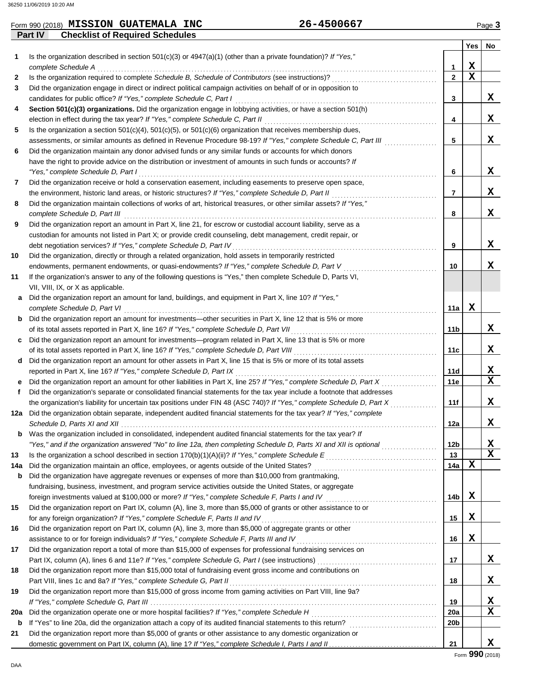| 26-4500667<br>Form 990 (2018) MISSION GUATEMALA<br><b>INC</b><br>Page |
|-----------------------------------------------------------------------|
|-----------------------------------------------------------------------|

|              | Part IV<br><b>Checklist of Required Schedules</b>                                                                       |                 |             |             |
|--------------|-------------------------------------------------------------------------------------------------------------------------|-----------------|-------------|-------------|
|              |                                                                                                                         |                 | Yes         | No          |
| 1            | Is the organization described in section $501(c)(3)$ or $4947(a)(1)$ (other than a private foundation)? If "Yes,"       |                 |             |             |
|              | complete Schedule A                                                                                                     | 1.              | X           |             |
| $\mathbf{2}$ | Is the organization required to complete Schedule B, Schedule of Contributors (see instructions)?                       | $\mathbf{2}$    | $\mathbf x$ |             |
| 3            | Did the organization engage in direct or indirect political campaign activities on behalf of or in opposition to        |                 |             |             |
|              | candidates for public office? If "Yes," complete Schedule C, Part I                                                     | 3               |             | X           |
| 4            | Section 501(c)(3) organizations. Did the organization engage in lobbying activities, or have a section 501(h)           |                 |             |             |
|              | election in effect during the tax year? If "Yes," complete Schedule C, Part II                                          | 4               |             | X           |
| 5            | Is the organization a section $501(c)(4)$ , $501(c)(5)$ , or $501(c)(6)$ organization that receives membership dues,    |                 |             |             |
|              | assessments, or similar amounts as defined in Revenue Procedure 98-19? If "Yes," complete Schedule C, Part III          | 5               |             | x           |
| 6            | Did the organization maintain any donor advised funds or any similar funds or accounts for which donors                 |                 |             |             |
|              | have the right to provide advice on the distribution or investment of amounts in such funds or accounts? If             |                 |             |             |
|              | "Yes," complete Schedule D, Part I                                                                                      | 6               |             | X           |
| 7            | Did the organization receive or hold a conservation easement, including easements to preserve open space,               |                 |             |             |
|              | the environment, historic land areas, or historic structures? If "Yes," complete Schedule D, Part II                    | 7               |             | X           |
| 8            | Did the organization maintain collections of works of art, historical treasures, or other similar assets? If "Yes,"     |                 |             |             |
|              | complete Schedule D, Part III                                                                                           | 8               |             | x           |
| 9            | Did the organization report an amount in Part X, line 21, for escrow or custodial account liability, serve as a         |                 |             |             |
|              | custodian for amounts not listed in Part X; or provide credit counseling, debt management, credit repair, or            |                 |             |             |
|              | debt negotiation services? If "Yes," complete Schedule D, Part IV                                                       | 9               |             | X           |
| 10           | Did the organization, directly or through a related organization, hold assets in temporarily restricted                 |                 |             |             |
|              | endowments, permanent endowments, or quasi-endowments? If "Yes," complete Schedule D, Part V                            | 10              |             | x           |
| 11           | If the organization's answer to any of the following questions is "Yes," then complete Schedule D, Parts VI,            |                 |             |             |
|              | VII, VIII, IX, or X as applicable.                                                                                      |                 |             |             |
| а            | Did the organization report an amount for land, buildings, and equipment in Part X, line 10? If "Yes,"                  |                 |             |             |
|              | complete Schedule D, Part VI                                                                                            | 11a             | X           |             |
| b            | Did the organization report an amount for investments-other securities in Part X, line 12 that is 5% or more            |                 |             |             |
|              | of its total assets reported in Part X, line 16? If "Yes," complete Schedule D, Part VII                                | 11b             |             | x           |
| c            | Did the organization report an amount for investments—program related in Part X, line 13 that is 5% or more             |                 |             |             |
|              | of its total assets reported in Part X, line 16? If "Yes," complete Schedule D, Part VIII                               | 11c             |             | x           |
| d            | Did the organization report an amount for other assets in Part X, line 15 that is 5% or more of its total assets        |                 |             |             |
|              | reported in Part X, line 16? If "Yes," complete Schedule D, Part IX                                                     | 11d             |             | x           |
|              | Did the organization report an amount for other liabilities in Part X, line 25? If "Yes," complete Schedule D, Part X   | 11e             |             | $\mathbf x$ |
| f            | Did the organization's separate or consolidated financial statements for the tax year include a footnote that addresses |                 |             |             |
|              | the organization's liability for uncertain tax positions under FIN 48 (ASC 740)? If "Yes," complete Schedule D, Part X  | 11f             |             | x           |
|              | 12a Did the organization obtain separate, independent audited financial statements for the tax year? If "Yes," complete |                 |             |             |
|              |                                                                                                                         | 12a             |             | X           |
|              | Was the organization included in consolidated, independent audited financial statements for the tax year? If            |                 |             |             |
|              | "Yes," and if the organization answered "No" to line 12a, then completing Schedule D, Parts XI and XII is optional      | 12 <sub>b</sub> |             | x           |
| 13           |                                                                                                                         | 13              |             | X           |
| 14a          | Did the organization maintain an office, employees, or agents outside of the United States?                             | 14a             | X           |             |
| b            | Did the organization have aggregate revenues or expenses of more than \$10,000 from grantmaking,                        |                 |             |             |
|              | fundraising, business, investment, and program service activities outside the United States, or aggregate               |                 |             |             |
|              | foreign investments valued at \$100,000 or more? If "Yes," complete Schedule F, Parts I and IV [[[[[[[[[[[[[[[          | 14b             | х           |             |
| 15           | Did the organization report on Part IX, column (A), line 3, more than \$5,000 of grants or other assistance to or       |                 |             |             |
|              | for any foreign organization? If "Yes," complete Schedule F, Parts II and IV                                            | 15              | X           |             |
| 16           | Did the organization report on Part IX, column (A), line 3, more than \$5,000 of aggregate grants or other              |                 |             |             |
|              | assistance to or for foreign individuals? If "Yes," complete Schedule F, Parts III and IV [[[[[[[[[[[[[[[[[[[           | 16              | X           |             |
| 17           | Did the organization report a total of more than \$15,000 of expenses for professional fundraising services on          |                 |             |             |
|              |                                                                                                                         | 17              |             | X,          |
| 18           | Did the organization report more than \$15,000 total of fundraising event gross income and contributions on             |                 |             |             |
|              | Part VIII, lines 1c and 8a? If "Yes," complete Schedule G, Part II                                                      | 18              |             | X           |
| 19           | Did the organization report more than \$15,000 of gross income from gaming activities on Part VIII, line 9a?            |                 |             |             |
|              |                                                                                                                         | 19              |             | X           |
| 20a          | Did the organization operate one or more hospital facilities? If "Yes," complete Schedule H                             | 20a             |             | X           |
| $\mathbf b$  |                                                                                                                         | 20 <sub>b</sub> |             |             |
| 21           | Did the organization report more than \$5,000 of grants or other assistance to any domestic organization or             |                 |             |             |
|              |                                                                                                                         | 21              |             | x           |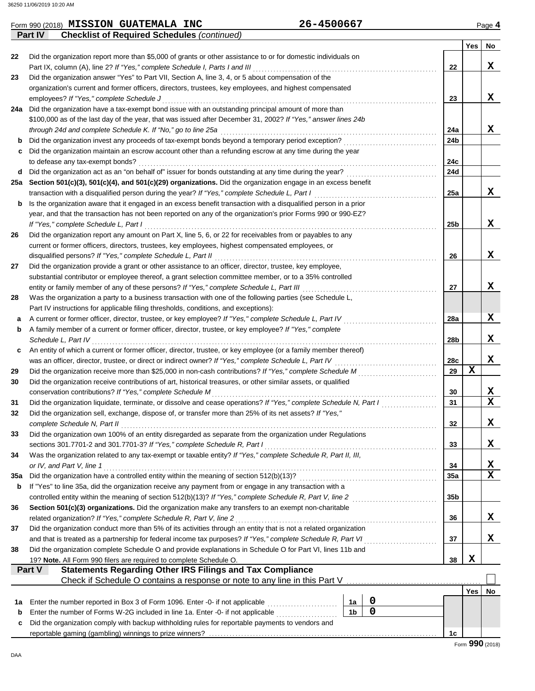|     | 26-4500667<br>Form 990 (2018) MISSION GUATEMALA INC                                                              |                 |            | Page 4    |
|-----|------------------------------------------------------------------------------------------------------------------|-----------------|------------|-----------|
|     | <b>Part IV</b><br><b>Checklist of Required Schedules (continued)</b>                                             |                 |            |           |
|     |                                                                                                                  |                 | <b>Yes</b> | <b>No</b> |
| 22  | Did the organization report more than \$5,000 of grants or other assistance to or for domestic individuals on    |                 |            |           |
|     | Part IX, column (A), line 2? If "Yes," complete Schedule I, Parts I and III                                      | 22              |            | x         |
| 23  | Did the organization answer "Yes" to Part VII, Section A, line 3, 4, or 5 about compensation of the              |                 |            |           |
|     | organization's current and former officers, directors, trustees, key employees, and highest compensated          |                 |            |           |
|     | employees? If "Yes," complete Schedule J                                                                         | 23              |            | x         |
| 24a | Did the organization have a tax-exempt bond issue with an outstanding principal amount of more than              |                 |            |           |
|     | \$100,000 as of the last day of the year, that was issued after December 31, 2002? If "Yes," answer lines 24b    |                 |            |           |
|     | through 24d and complete Schedule K. If "No," go to line 25a                                                     | 24a             |            | x         |
|     | Did the organization invest any proceeds of tax-exempt bonds beyond a temporary period exception?                | 24 <sub>b</sub> |            |           |
| c   | Did the organization maintain an escrow account other than a refunding escrow at any time during the year        |                 |            |           |
|     | to defease any tax-exempt bonds?                                                                                 | 24c             |            |           |
| d   | Did the organization act as an "on behalf of" issuer for bonds outstanding at any time during the year?          | 24d             |            |           |
| 25а | Section 501(c)(3), 501(c)(4), and 501(c)(29) organizations. Did the organization engage in an excess benefit     |                 |            |           |
|     | transaction with a disqualified person during the year? If "Yes," complete Schedule L, Part I                    | 25a             |            | X         |
| b   | Is the organization aware that it engaged in an excess benefit transaction with a disqualified person in a prior |                 |            |           |
|     | year, and that the transaction has not been reported on any of the organization's prior Forms 990 or 990-EZ?     |                 |            |           |
|     | If "Yes," complete Schedule L, Part I                                                                            | 25 <sub>b</sub> |            | x         |
| 26  | Did the organization report any amount on Part X, line 5, 6, or 22 for receivables from or payables to any       |                 |            |           |
|     | current or former officers, directors, trustees, key employees, highest compensated employees, or                |                 |            |           |
|     | disqualified persons? If "Yes," complete Schedule L, Part II                                                     | 26              |            | x         |
| 27  | Did the organization provide a grant or other assistance to an officer, director, trustee, key employee,         |                 |            |           |
|     | substantial contributor or employee thereof, a grant selection committee member, or to a 35% controlled          |                 |            |           |
|     | entity or family member of any of these persons? If "Yes," complete Schedule L, Part III                         | 27              |            | X         |
| 28  | Was the organization a party to a business transaction with one of the following parties (see Schedule L,        |                 |            |           |

|     | <i>relating momber</i> of a barrone of former binoer, allocol, tradect, or key chiployee: <i>if</i> 100, complete  |                 |     |                         |  |  |  |  |  |  |
|-----|--------------------------------------------------------------------------------------------------------------------|-----------------|-----|-------------------------|--|--|--|--|--|--|
|     | Schedule L, Part IV                                                                                                | 28 <sub>b</sub> |     | x                       |  |  |  |  |  |  |
| c   | An entity of which a current or former officer, director, trustee, or key employee (or a family member thereof)    |                 |     |                         |  |  |  |  |  |  |
|     | was an officer, director, trustee, or direct or indirect owner? If "Yes," complete Schedule L, Part IV             | 28c             |     | x                       |  |  |  |  |  |  |
| 29  | Did the organization receive more than \$25,000 in non-cash contributions? If "Yes," complete Schedule M           |                 |     |                         |  |  |  |  |  |  |
| 30  | Did the organization receive contributions of art, historical treasures, or other similar assets, or qualified     |                 |     |                         |  |  |  |  |  |  |
|     | conservation contributions? If "Yes," complete Schedule M                                                          | 30              |     | X                       |  |  |  |  |  |  |
| 31  | Did the organization liquidate, terminate, or dissolve and cease operations? If "Yes," complete Schedule N, Part I | 31              |     | $\overline{\mathbf{x}}$ |  |  |  |  |  |  |
| 32  | Did the organization sell, exchange, dispose of, or transfer more than 25% of its net assets? If "Yes,"            |                 |     |                         |  |  |  |  |  |  |
|     | complete Schedule N, Part II                                                                                       | 32              |     | x                       |  |  |  |  |  |  |
| 33  | Did the organization own 100% of an entity disregarded as separate from the organization under Regulations         |                 |     |                         |  |  |  |  |  |  |
|     | sections 301.7701-2 and 301.7701-3? If "Yes," complete Schedule R, Part I                                          | 33              |     | x                       |  |  |  |  |  |  |
| 34  | Was the organization related to any tax-exempt or taxable entity? If "Yes," complete Schedule R, Part II, III,     |                 |     |                         |  |  |  |  |  |  |
|     | or IV, and Part V, line 1                                                                                          | 34              |     | X                       |  |  |  |  |  |  |
| 35a | Did the organization have a controlled entity within the meaning of section 512(b)(13)?                            | 35a             |     | $\overline{\mathbf{x}}$ |  |  |  |  |  |  |
| b   | If "Yes" to line 35a, did the organization receive any payment from or engage in any transaction with a            |                 |     |                         |  |  |  |  |  |  |
|     | controlled entity within the meaning of section 512(b)(13)? If "Yes," complete Schedule R, Part V, line 2          | 35b             |     |                         |  |  |  |  |  |  |
| 36  | Section 501(c)(3) organizations. Did the organization make any transfers to an exempt non-charitable               |                 |     |                         |  |  |  |  |  |  |
|     | related organization? If "Yes," complete Schedule R, Part V, line 2                                                | 36              |     | X.                      |  |  |  |  |  |  |
| 37  | Did the organization conduct more than 5% of its activities through an entity that is not a related organization   |                 |     |                         |  |  |  |  |  |  |
|     | and that is treated as a partnership for federal income tax purposes? If "Yes," complete Schedule R, Part VI       | 37              |     | x                       |  |  |  |  |  |  |
| 38  | Did the organization complete Schedule O and provide explanations in Schedule O for Part VI, lines 11b and         |                 |     |                         |  |  |  |  |  |  |
|     | 19? Note. All Form 990 filers are required to complete Schedule O.                                                 | 38              | X   |                         |  |  |  |  |  |  |
|     | Part V<br><b>Statements Regarding Other IRS Filings and Tax Compliance</b>                                         |                 |     |                         |  |  |  |  |  |  |
|     | Check if Schedule O contains a response or note to any line in this Part V                                         |                 |     |                         |  |  |  |  |  |  |
|     |                                                                                                                    |                 | Yes | No                      |  |  |  |  |  |  |
| 1a  | 0<br>Enter the number reported in Box 3 of Form 1096. Enter -0- if not applicable<br>1a                            |                 |     |                         |  |  |  |  |  |  |
| b   | 0<br>1 <sub>b</sub><br>Enter the number of Forms W-2G included in line 1a. Enter -0- if not applicable             |                 |     |                         |  |  |  |  |  |  |
| c   | Did the organization comply with backup withholding rules for reportable payments to vendors and                   |                 |     |                         |  |  |  |  |  |  |
|     |                                                                                                                    | 1c              |     |                         |  |  |  |  |  |  |

**a** A current or former officer, director, trustee, or key employee? *If "Yes," complete Schedule L, Part IV* . . . . . . . . . . . . . . . . . . . . . . . . . . . . . . . .

A family member of a current or former officer, director, trustee, or key employee? *If "Yes," complete*

Part IV instructions for applicable filing thresholds, conditions, and exceptions):

**28a**

**X**

**b**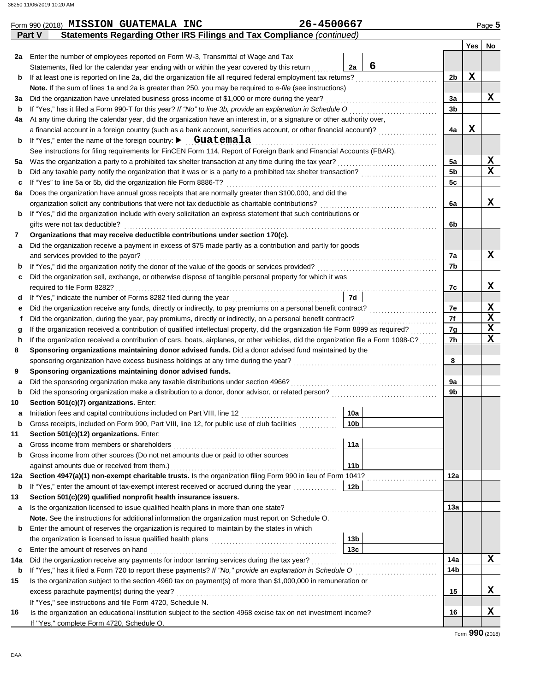| Statements Regarding Other IRS Filings and Tax Compliance (continued)<br><b>Part V</b><br><b>Yes</b><br>No<br>2a Enter the number of employees reported on Form W-3, Transmittal of Wage and Tax<br>6<br>2a<br>Statements, filed for the calendar year ending with or within the year covered by this return<br>X<br>2 <sub>b</sub><br>b<br>Note. If the sum of lines 1a and 2a is greater than 250, you may be required to e-file (see instructions)<br>x<br>Did the organization have unrelated business gross income of \$1,000 or more during the year?<br>За<br>За<br>3 <sub>b</sub><br>b<br>At any time during the calendar year, did the organization have an interest in, or a signature or other authority over,<br>4a<br>X<br>4a<br>a financial account in a foreign country (such as a bank account, securities account, or other financial account)?<br>If "Yes," enter the name of the foreign country: $\blacktriangleright$ Guatemala<br>b<br>See instructions for filing requirements for FinCEN Form 114, Report of Foreign Bank and Financial Accounts (FBAR).<br>x<br>5a<br>5a<br>$\mathbf x$<br>5 <sub>b</sub><br>b<br>5c<br>с<br>Does the organization have annual gross receipts that are normally greater than \$100,000, and did the<br>6а<br>x<br>6a<br>If "Yes," did the organization include with every solicitation an express statement that such contributions or<br>b<br>gifts were not tax deductible?<br>6b<br>Organizations that may receive deductible contributions under section 170(c).<br>7<br>Did the organization receive a payment in excess of \$75 made partly as a contribution and partly for goods<br>a<br>X<br>7а<br>7b<br>b<br>Did the organization sell, exchange, or otherwise dispose of tangible personal property for which it was<br>c<br>x<br>7c<br>7d<br>d<br>X<br>7e<br>Did the organization receive any funds, directly or indirectly, to pay premiums on a personal benefit contract?<br>е<br>$\mathbf x$<br>7f<br>f<br>$\mathbf x$<br>If the organization received a contribution of qualified intellectual property, did the organization file Form 8899 as required?<br>7g<br>g<br>$\mathbf x$<br>If the organization received a contribution of cars, boats, airplanes, or other vehicles, did the organization file a Form 1098-C?<br>7h<br>h<br>Sponsoring organizations maintaining donor advised funds. Did a donor advised fund maintained by the<br>8<br>8<br>Sponsoring organizations maintaining donor advised funds.<br>9<br>9a<br>a<br>Did the sponsoring organization make a distribution to a donor, donor advisor, or related person?<br>9b<br>b<br>Section 501(c)(7) organizations. Enter:<br>10<br>Initiation fees and capital contributions included on Part VIII, line 12 [11] [11] [12] [11] [11] [12] [11] [1<br>10a<br>а<br>Gross receipts, included on Form 990, Part VIII, line 12, for public use of club facilities<br>10b<br>b<br>Section 501(c)(12) organizations. Enter:<br>11<br>11a<br>a<br>Gross income from other sources (Do not net amounts due or paid to other sources<br>b<br>against amounts due or received from them.)<br>11 <sub>b</sub><br>12a<br>12a<br>If "Yes," enter the amount of tax-exempt interest received or accrued during the year<br> 12b <br>b<br>Section 501(c)(29) qualified nonprofit health insurance issuers.<br>13<br>13а<br>а<br>Note. See the instructions for additional information the organization must report on Schedule O.<br>Enter the amount of reserves the organization is required to maintain by the states in which<br>b<br>the organization is licensed to issue qualified health plans [10] contains the organization is licensed to issue qualified health plans<br>13 <sub>b</sub><br>13c<br>Enter the amount of reserves on hand<br>c<br>x<br>14a<br>14a<br>14b<br>b<br>Is the organization subject to the section 4960 tax on payment(s) of more than \$1,000,000 in remuneration or<br>15<br>x<br>excess parachute payment(s) during the year?<br>15<br>If "Yes," see instructions and file Form 4720, Schedule N.<br>x<br>Is the organization an educational institution subject to the section 4968 excise tax on net investment income?<br>16<br>16<br>If "Yes," complete Form 4720, Schedule O. | 26-4500667<br>Form 990 (2018) MISSION GUATEMALA INC |  |  |  | Page 5 |  |  |  |  |  |
|---------------------------------------------------------------------------------------------------------------------------------------------------------------------------------------------------------------------------------------------------------------------------------------------------------------------------------------------------------------------------------------------------------------------------------------------------------------------------------------------------------------------------------------------------------------------------------------------------------------------------------------------------------------------------------------------------------------------------------------------------------------------------------------------------------------------------------------------------------------------------------------------------------------------------------------------------------------------------------------------------------------------------------------------------------------------------------------------------------------------------------------------------------------------------------------------------------------------------------------------------------------------------------------------------------------------------------------------------------------------------------------------------------------------------------------------------------------------------------------------------------------------------------------------------------------------------------------------------------------------------------------------------------------------------------------------------------------------------------------------------------------------------------------------------------------------------------------------------------------------------------------------------------------------------------------------------------------------------------------------------------------------------------------------------------------------------------------------------------------------------------------------------------------------------------------------------------------------------------------------------------------------------------------------------------------------------------------------------------------------------------------------------------------------------------------------------------------------------------------------------------------------------------------------------------------------------------------------------------------------------------------------------------------------------------------------------------------------------------------------------------------------------------------------------------------------------------------------------------------------------------------------------------------------------------------------------------------------------------------------------------------------------------------------------------------------------------------------------------------------------------------------------------------------------------------------------------------------------------------------------------------------------------------------------------------------------------------------------------------------------------------------------------------------------------------------------------------------------------------------------------------------------------------------------------------------------------------------------------------------------------------------------------------------------------------------------------------------------------------------------------------------------------------------------------------------------------------------------------------------------------------------------------------------------------------------------------------------------------------------------------------------------------------------------------------------------------------------------------------------------------------------------------------------------------------------------------------------------------------------------------|-----------------------------------------------------|--|--|--|--------|--|--|--|--|--|
|                                                                                                                                                                                                                                                                                                                                                                                                                                                                                                                                                                                                                                                                                                                                                                                                                                                                                                                                                                                                                                                                                                                                                                                                                                                                                                                                                                                                                                                                                                                                                                                                                                                                                                                                                                                                                                                                                                                                                                                                                                                                                                                                                                                                                                                                                                                                                                                                                                                                                                                                                                                                                                                                                                                                                                                                                                                                                                                                                                                                                                                                                                                                                                                                                                                                                                                                                                                                                                                                                                                                                                                                                                                                                                                                                                                                                                                                                                                                                                                                                                                                                                                                                                                                                                                         |                                                     |  |  |  |        |  |  |  |  |  |
|                                                                                                                                                                                                                                                                                                                                                                                                                                                                                                                                                                                                                                                                                                                                                                                                                                                                                                                                                                                                                                                                                                                                                                                                                                                                                                                                                                                                                                                                                                                                                                                                                                                                                                                                                                                                                                                                                                                                                                                                                                                                                                                                                                                                                                                                                                                                                                                                                                                                                                                                                                                                                                                                                                                                                                                                                                                                                                                                                                                                                                                                                                                                                                                                                                                                                                                                                                                                                                                                                                                                                                                                                                                                                                                                                                                                                                                                                                                                                                                                                                                                                                                                                                                                                                                         |                                                     |  |  |  |        |  |  |  |  |  |
|                                                                                                                                                                                                                                                                                                                                                                                                                                                                                                                                                                                                                                                                                                                                                                                                                                                                                                                                                                                                                                                                                                                                                                                                                                                                                                                                                                                                                                                                                                                                                                                                                                                                                                                                                                                                                                                                                                                                                                                                                                                                                                                                                                                                                                                                                                                                                                                                                                                                                                                                                                                                                                                                                                                                                                                                                                                                                                                                                                                                                                                                                                                                                                                                                                                                                                                                                                                                                                                                                                                                                                                                                                                                                                                                                                                                                                                                                                                                                                                                                                                                                                                                                                                                                                                         |                                                     |  |  |  |        |  |  |  |  |  |
|                                                                                                                                                                                                                                                                                                                                                                                                                                                                                                                                                                                                                                                                                                                                                                                                                                                                                                                                                                                                                                                                                                                                                                                                                                                                                                                                                                                                                                                                                                                                                                                                                                                                                                                                                                                                                                                                                                                                                                                                                                                                                                                                                                                                                                                                                                                                                                                                                                                                                                                                                                                                                                                                                                                                                                                                                                                                                                                                                                                                                                                                                                                                                                                                                                                                                                                                                                                                                                                                                                                                                                                                                                                                                                                                                                                                                                                                                                                                                                                                                                                                                                                                                                                                                                                         |                                                     |  |  |  |        |  |  |  |  |  |
|                                                                                                                                                                                                                                                                                                                                                                                                                                                                                                                                                                                                                                                                                                                                                                                                                                                                                                                                                                                                                                                                                                                                                                                                                                                                                                                                                                                                                                                                                                                                                                                                                                                                                                                                                                                                                                                                                                                                                                                                                                                                                                                                                                                                                                                                                                                                                                                                                                                                                                                                                                                                                                                                                                                                                                                                                                                                                                                                                                                                                                                                                                                                                                                                                                                                                                                                                                                                                                                                                                                                                                                                                                                                                                                                                                                                                                                                                                                                                                                                                                                                                                                                                                                                                                                         |                                                     |  |  |  |        |  |  |  |  |  |
|                                                                                                                                                                                                                                                                                                                                                                                                                                                                                                                                                                                                                                                                                                                                                                                                                                                                                                                                                                                                                                                                                                                                                                                                                                                                                                                                                                                                                                                                                                                                                                                                                                                                                                                                                                                                                                                                                                                                                                                                                                                                                                                                                                                                                                                                                                                                                                                                                                                                                                                                                                                                                                                                                                                                                                                                                                                                                                                                                                                                                                                                                                                                                                                                                                                                                                                                                                                                                                                                                                                                                                                                                                                                                                                                                                                                                                                                                                                                                                                                                                                                                                                                                                                                                                                         |                                                     |  |  |  |        |  |  |  |  |  |
|                                                                                                                                                                                                                                                                                                                                                                                                                                                                                                                                                                                                                                                                                                                                                                                                                                                                                                                                                                                                                                                                                                                                                                                                                                                                                                                                                                                                                                                                                                                                                                                                                                                                                                                                                                                                                                                                                                                                                                                                                                                                                                                                                                                                                                                                                                                                                                                                                                                                                                                                                                                                                                                                                                                                                                                                                                                                                                                                                                                                                                                                                                                                                                                                                                                                                                                                                                                                                                                                                                                                                                                                                                                                                                                                                                                                                                                                                                                                                                                                                                                                                                                                                                                                                                                         |                                                     |  |  |  |        |  |  |  |  |  |
|                                                                                                                                                                                                                                                                                                                                                                                                                                                                                                                                                                                                                                                                                                                                                                                                                                                                                                                                                                                                                                                                                                                                                                                                                                                                                                                                                                                                                                                                                                                                                                                                                                                                                                                                                                                                                                                                                                                                                                                                                                                                                                                                                                                                                                                                                                                                                                                                                                                                                                                                                                                                                                                                                                                                                                                                                                                                                                                                                                                                                                                                                                                                                                                                                                                                                                                                                                                                                                                                                                                                                                                                                                                                                                                                                                                                                                                                                                                                                                                                                                                                                                                                                                                                                                                         |                                                     |  |  |  |        |  |  |  |  |  |
|                                                                                                                                                                                                                                                                                                                                                                                                                                                                                                                                                                                                                                                                                                                                                                                                                                                                                                                                                                                                                                                                                                                                                                                                                                                                                                                                                                                                                                                                                                                                                                                                                                                                                                                                                                                                                                                                                                                                                                                                                                                                                                                                                                                                                                                                                                                                                                                                                                                                                                                                                                                                                                                                                                                                                                                                                                                                                                                                                                                                                                                                                                                                                                                                                                                                                                                                                                                                                                                                                                                                                                                                                                                                                                                                                                                                                                                                                                                                                                                                                                                                                                                                                                                                                                                         |                                                     |  |  |  |        |  |  |  |  |  |
|                                                                                                                                                                                                                                                                                                                                                                                                                                                                                                                                                                                                                                                                                                                                                                                                                                                                                                                                                                                                                                                                                                                                                                                                                                                                                                                                                                                                                                                                                                                                                                                                                                                                                                                                                                                                                                                                                                                                                                                                                                                                                                                                                                                                                                                                                                                                                                                                                                                                                                                                                                                                                                                                                                                                                                                                                                                                                                                                                                                                                                                                                                                                                                                                                                                                                                                                                                                                                                                                                                                                                                                                                                                                                                                                                                                                                                                                                                                                                                                                                                                                                                                                                                                                                                                         |                                                     |  |  |  |        |  |  |  |  |  |
|                                                                                                                                                                                                                                                                                                                                                                                                                                                                                                                                                                                                                                                                                                                                                                                                                                                                                                                                                                                                                                                                                                                                                                                                                                                                                                                                                                                                                                                                                                                                                                                                                                                                                                                                                                                                                                                                                                                                                                                                                                                                                                                                                                                                                                                                                                                                                                                                                                                                                                                                                                                                                                                                                                                                                                                                                                                                                                                                                                                                                                                                                                                                                                                                                                                                                                                                                                                                                                                                                                                                                                                                                                                                                                                                                                                                                                                                                                                                                                                                                                                                                                                                                                                                                                                         |                                                     |  |  |  |        |  |  |  |  |  |
|                                                                                                                                                                                                                                                                                                                                                                                                                                                                                                                                                                                                                                                                                                                                                                                                                                                                                                                                                                                                                                                                                                                                                                                                                                                                                                                                                                                                                                                                                                                                                                                                                                                                                                                                                                                                                                                                                                                                                                                                                                                                                                                                                                                                                                                                                                                                                                                                                                                                                                                                                                                                                                                                                                                                                                                                                                                                                                                                                                                                                                                                                                                                                                                                                                                                                                                                                                                                                                                                                                                                                                                                                                                                                                                                                                                                                                                                                                                                                                                                                                                                                                                                                                                                                                                         |                                                     |  |  |  |        |  |  |  |  |  |
|                                                                                                                                                                                                                                                                                                                                                                                                                                                                                                                                                                                                                                                                                                                                                                                                                                                                                                                                                                                                                                                                                                                                                                                                                                                                                                                                                                                                                                                                                                                                                                                                                                                                                                                                                                                                                                                                                                                                                                                                                                                                                                                                                                                                                                                                                                                                                                                                                                                                                                                                                                                                                                                                                                                                                                                                                                                                                                                                                                                                                                                                                                                                                                                                                                                                                                                                                                                                                                                                                                                                                                                                                                                                                                                                                                                                                                                                                                                                                                                                                                                                                                                                                                                                                                                         |                                                     |  |  |  |        |  |  |  |  |  |
|                                                                                                                                                                                                                                                                                                                                                                                                                                                                                                                                                                                                                                                                                                                                                                                                                                                                                                                                                                                                                                                                                                                                                                                                                                                                                                                                                                                                                                                                                                                                                                                                                                                                                                                                                                                                                                                                                                                                                                                                                                                                                                                                                                                                                                                                                                                                                                                                                                                                                                                                                                                                                                                                                                                                                                                                                                                                                                                                                                                                                                                                                                                                                                                                                                                                                                                                                                                                                                                                                                                                                                                                                                                                                                                                                                                                                                                                                                                                                                                                                                                                                                                                                                                                                                                         |                                                     |  |  |  |        |  |  |  |  |  |
|                                                                                                                                                                                                                                                                                                                                                                                                                                                                                                                                                                                                                                                                                                                                                                                                                                                                                                                                                                                                                                                                                                                                                                                                                                                                                                                                                                                                                                                                                                                                                                                                                                                                                                                                                                                                                                                                                                                                                                                                                                                                                                                                                                                                                                                                                                                                                                                                                                                                                                                                                                                                                                                                                                                                                                                                                                                                                                                                                                                                                                                                                                                                                                                                                                                                                                                                                                                                                                                                                                                                                                                                                                                                                                                                                                                                                                                                                                                                                                                                                                                                                                                                                                                                                                                         |                                                     |  |  |  |        |  |  |  |  |  |
|                                                                                                                                                                                                                                                                                                                                                                                                                                                                                                                                                                                                                                                                                                                                                                                                                                                                                                                                                                                                                                                                                                                                                                                                                                                                                                                                                                                                                                                                                                                                                                                                                                                                                                                                                                                                                                                                                                                                                                                                                                                                                                                                                                                                                                                                                                                                                                                                                                                                                                                                                                                                                                                                                                                                                                                                                                                                                                                                                                                                                                                                                                                                                                                                                                                                                                                                                                                                                                                                                                                                                                                                                                                                                                                                                                                                                                                                                                                                                                                                                                                                                                                                                                                                                                                         |                                                     |  |  |  |        |  |  |  |  |  |
|                                                                                                                                                                                                                                                                                                                                                                                                                                                                                                                                                                                                                                                                                                                                                                                                                                                                                                                                                                                                                                                                                                                                                                                                                                                                                                                                                                                                                                                                                                                                                                                                                                                                                                                                                                                                                                                                                                                                                                                                                                                                                                                                                                                                                                                                                                                                                                                                                                                                                                                                                                                                                                                                                                                                                                                                                                                                                                                                                                                                                                                                                                                                                                                                                                                                                                                                                                                                                                                                                                                                                                                                                                                                                                                                                                                                                                                                                                                                                                                                                                                                                                                                                                                                                                                         |                                                     |  |  |  |        |  |  |  |  |  |
|                                                                                                                                                                                                                                                                                                                                                                                                                                                                                                                                                                                                                                                                                                                                                                                                                                                                                                                                                                                                                                                                                                                                                                                                                                                                                                                                                                                                                                                                                                                                                                                                                                                                                                                                                                                                                                                                                                                                                                                                                                                                                                                                                                                                                                                                                                                                                                                                                                                                                                                                                                                                                                                                                                                                                                                                                                                                                                                                                                                                                                                                                                                                                                                                                                                                                                                                                                                                                                                                                                                                                                                                                                                                                                                                                                                                                                                                                                                                                                                                                                                                                                                                                                                                                                                         |                                                     |  |  |  |        |  |  |  |  |  |
|                                                                                                                                                                                                                                                                                                                                                                                                                                                                                                                                                                                                                                                                                                                                                                                                                                                                                                                                                                                                                                                                                                                                                                                                                                                                                                                                                                                                                                                                                                                                                                                                                                                                                                                                                                                                                                                                                                                                                                                                                                                                                                                                                                                                                                                                                                                                                                                                                                                                                                                                                                                                                                                                                                                                                                                                                                                                                                                                                                                                                                                                                                                                                                                                                                                                                                                                                                                                                                                                                                                                                                                                                                                                                                                                                                                                                                                                                                                                                                                                                                                                                                                                                                                                                                                         |                                                     |  |  |  |        |  |  |  |  |  |
|                                                                                                                                                                                                                                                                                                                                                                                                                                                                                                                                                                                                                                                                                                                                                                                                                                                                                                                                                                                                                                                                                                                                                                                                                                                                                                                                                                                                                                                                                                                                                                                                                                                                                                                                                                                                                                                                                                                                                                                                                                                                                                                                                                                                                                                                                                                                                                                                                                                                                                                                                                                                                                                                                                                                                                                                                                                                                                                                                                                                                                                                                                                                                                                                                                                                                                                                                                                                                                                                                                                                                                                                                                                                                                                                                                                                                                                                                                                                                                                                                                                                                                                                                                                                                                                         |                                                     |  |  |  |        |  |  |  |  |  |
|                                                                                                                                                                                                                                                                                                                                                                                                                                                                                                                                                                                                                                                                                                                                                                                                                                                                                                                                                                                                                                                                                                                                                                                                                                                                                                                                                                                                                                                                                                                                                                                                                                                                                                                                                                                                                                                                                                                                                                                                                                                                                                                                                                                                                                                                                                                                                                                                                                                                                                                                                                                                                                                                                                                                                                                                                                                                                                                                                                                                                                                                                                                                                                                                                                                                                                                                                                                                                                                                                                                                                                                                                                                                                                                                                                                                                                                                                                                                                                                                                                                                                                                                                                                                                                                         |                                                     |  |  |  |        |  |  |  |  |  |
|                                                                                                                                                                                                                                                                                                                                                                                                                                                                                                                                                                                                                                                                                                                                                                                                                                                                                                                                                                                                                                                                                                                                                                                                                                                                                                                                                                                                                                                                                                                                                                                                                                                                                                                                                                                                                                                                                                                                                                                                                                                                                                                                                                                                                                                                                                                                                                                                                                                                                                                                                                                                                                                                                                                                                                                                                                                                                                                                                                                                                                                                                                                                                                                                                                                                                                                                                                                                                                                                                                                                                                                                                                                                                                                                                                                                                                                                                                                                                                                                                                                                                                                                                                                                                                                         |                                                     |  |  |  |        |  |  |  |  |  |
|                                                                                                                                                                                                                                                                                                                                                                                                                                                                                                                                                                                                                                                                                                                                                                                                                                                                                                                                                                                                                                                                                                                                                                                                                                                                                                                                                                                                                                                                                                                                                                                                                                                                                                                                                                                                                                                                                                                                                                                                                                                                                                                                                                                                                                                                                                                                                                                                                                                                                                                                                                                                                                                                                                                                                                                                                                                                                                                                                                                                                                                                                                                                                                                                                                                                                                                                                                                                                                                                                                                                                                                                                                                                                                                                                                                                                                                                                                                                                                                                                                                                                                                                                                                                                                                         |                                                     |  |  |  |        |  |  |  |  |  |
|                                                                                                                                                                                                                                                                                                                                                                                                                                                                                                                                                                                                                                                                                                                                                                                                                                                                                                                                                                                                                                                                                                                                                                                                                                                                                                                                                                                                                                                                                                                                                                                                                                                                                                                                                                                                                                                                                                                                                                                                                                                                                                                                                                                                                                                                                                                                                                                                                                                                                                                                                                                                                                                                                                                                                                                                                                                                                                                                                                                                                                                                                                                                                                                                                                                                                                                                                                                                                                                                                                                                                                                                                                                                                                                                                                                                                                                                                                                                                                                                                                                                                                                                                                                                                                                         |                                                     |  |  |  |        |  |  |  |  |  |
|                                                                                                                                                                                                                                                                                                                                                                                                                                                                                                                                                                                                                                                                                                                                                                                                                                                                                                                                                                                                                                                                                                                                                                                                                                                                                                                                                                                                                                                                                                                                                                                                                                                                                                                                                                                                                                                                                                                                                                                                                                                                                                                                                                                                                                                                                                                                                                                                                                                                                                                                                                                                                                                                                                                                                                                                                                                                                                                                                                                                                                                                                                                                                                                                                                                                                                                                                                                                                                                                                                                                                                                                                                                                                                                                                                                                                                                                                                                                                                                                                                                                                                                                                                                                                                                         |                                                     |  |  |  |        |  |  |  |  |  |
|                                                                                                                                                                                                                                                                                                                                                                                                                                                                                                                                                                                                                                                                                                                                                                                                                                                                                                                                                                                                                                                                                                                                                                                                                                                                                                                                                                                                                                                                                                                                                                                                                                                                                                                                                                                                                                                                                                                                                                                                                                                                                                                                                                                                                                                                                                                                                                                                                                                                                                                                                                                                                                                                                                                                                                                                                                                                                                                                                                                                                                                                                                                                                                                                                                                                                                                                                                                                                                                                                                                                                                                                                                                                                                                                                                                                                                                                                                                                                                                                                                                                                                                                                                                                                                                         |                                                     |  |  |  |        |  |  |  |  |  |
|                                                                                                                                                                                                                                                                                                                                                                                                                                                                                                                                                                                                                                                                                                                                                                                                                                                                                                                                                                                                                                                                                                                                                                                                                                                                                                                                                                                                                                                                                                                                                                                                                                                                                                                                                                                                                                                                                                                                                                                                                                                                                                                                                                                                                                                                                                                                                                                                                                                                                                                                                                                                                                                                                                                                                                                                                                                                                                                                                                                                                                                                                                                                                                                                                                                                                                                                                                                                                                                                                                                                                                                                                                                                                                                                                                                                                                                                                                                                                                                                                                                                                                                                                                                                                                                         |                                                     |  |  |  |        |  |  |  |  |  |
|                                                                                                                                                                                                                                                                                                                                                                                                                                                                                                                                                                                                                                                                                                                                                                                                                                                                                                                                                                                                                                                                                                                                                                                                                                                                                                                                                                                                                                                                                                                                                                                                                                                                                                                                                                                                                                                                                                                                                                                                                                                                                                                                                                                                                                                                                                                                                                                                                                                                                                                                                                                                                                                                                                                                                                                                                                                                                                                                                                                                                                                                                                                                                                                                                                                                                                                                                                                                                                                                                                                                                                                                                                                                                                                                                                                                                                                                                                                                                                                                                                                                                                                                                                                                                                                         |                                                     |  |  |  |        |  |  |  |  |  |
|                                                                                                                                                                                                                                                                                                                                                                                                                                                                                                                                                                                                                                                                                                                                                                                                                                                                                                                                                                                                                                                                                                                                                                                                                                                                                                                                                                                                                                                                                                                                                                                                                                                                                                                                                                                                                                                                                                                                                                                                                                                                                                                                                                                                                                                                                                                                                                                                                                                                                                                                                                                                                                                                                                                                                                                                                                                                                                                                                                                                                                                                                                                                                                                                                                                                                                                                                                                                                                                                                                                                                                                                                                                                                                                                                                                                                                                                                                                                                                                                                                                                                                                                                                                                                                                         |                                                     |  |  |  |        |  |  |  |  |  |
|                                                                                                                                                                                                                                                                                                                                                                                                                                                                                                                                                                                                                                                                                                                                                                                                                                                                                                                                                                                                                                                                                                                                                                                                                                                                                                                                                                                                                                                                                                                                                                                                                                                                                                                                                                                                                                                                                                                                                                                                                                                                                                                                                                                                                                                                                                                                                                                                                                                                                                                                                                                                                                                                                                                                                                                                                                                                                                                                                                                                                                                                                                                                                                                                                                                                                                                                                                                                                                                                                                                                                                                                                                                                                                                                                                                                                                                                                                                                                                                                                                                                                                                                                                                                                                                         |                                                     |  |  |  |        |  |  |  |  |  |
|                                                                                                                                                                                                                                                                                                                                                                                                                                                                                                                                                                                                                                                                                                                                                                                                                                                                                                                                                                                                                                                                                                                                                                                                                                                                                                                                                                                                                                                                                                                                                                                                                                                                                                                                                                                                                                                                                                                                                                                                                                                                                                                                                                                                                                                                                                                                                                                                                                                                                                                                                                                                                                                                                                                                                                                                                                                                                                                                                                                                                                                                                                                                                                                                                                                                                                                                                                                                                                                                                                                                                                                                                                                                                                                                                                                                                                                                                                                                                                                                                                                                                                                                                                                                                                                         |                                                     |  |  |  |        |  |  |  |  |  |
|                                                                                                                                                                                                                                                                                                                                                                                                                                                                                                                                                                                                                                                                                                                                                                                                                                                                                                                                                                                                                                                                                                                                                                                                                                                                                                                                                                                                                                                                                                                                                                                                                                                                                                                                                                                                                                                                                                                                                                                                                                                                                                                                                                                                                                                                                                                                                                                                                                                                                                                                                                                                                                                                                                                                                                                                                                                                                                                                                                                                                                                                                                                                                                                                                                                                                                                                                                                                                                                                                                                                                                                                                                                                                                                                                                                                                                                                                                                                                                                                                                                                                                                                                                                                                                                         |                                                     |  |  |  |        |  |  |  |  |  |
|                                                                                                                                                                                                                                                                                                                                                                                                                                                                                                                                                                                                                                                                                                                                                                                                                                                                                                                                                                                                                                                                                                                                                                                                                                                                                                                                                                                                                                                                                                                                                                                                                                                                                                                                                                                                                                                                                                                                                                                                                                                                                                                                                                                                                                                                                                                                                                                                                                                                                                                                                                                                                                                                                                                                                                                                                                                                                                                                                                                                                                                                                                                                                                                                                                                                                                                                                                                                                                                                                                                                                                                                                                                                                                                                                                                                                                                                                                                                                                                                                                                                                                                                                                                                                                                         |                                                     |  |  |  |        |  |  |  |  |  |
|                                                                                                                                                                                                                                                                                                                                                                                                                                                                                                                                                                                                                                                                                                                                                                                                                                                                                                                                                                                                                                                                                                                                                                                                                                                                                                                                                                                                                                                                                                                                                                                                                                                                                                                                                                                                                                                                                                                                                                                                                                                                                                                                                                                                                                                                                                                                                                                                                                                                                                                                                                                                                                                                                                                                                                                                                                                                                                                                                                                                                                                                                                                                                                                                                                                                                                                                                                                                                                                                                                                                                                                                                                                                                                                                                                                                                                                                                                                                                                                                                                                                                                                                                                                                                                                         |                                                     |  |  |  |        |  |  |  |  |  |
|                                                                                                                                                                                                                                                                                                                                                                                                                                                                                                                                                                                                                                                                                                                                                                                                                                                                                                                                                                                                                                                                                                                                                                                                                                                                                                                                                                                                                                                                                                                                                                                                                                                                                                                                                                                                                                                                                                                                                                                                                                                                                                                                                                                                                                                                                                                                                                                                                                                                                                                                                                                                                                                                                                                                                                                                                                                                                                                                                                                                                                                                                                                                                                                                                                                                                                                                                                                                                                                                                                                                                                                                                                                                                                                                                                                                                                                                                                                                                                                                                                                                                                                                                                                                                                                         |                                                     |  |  |  |        |  |  |  |  |  |
|                                                                                                                                                                                                                                                                                                                                                                                                                                                                                                                                                                                                                                                                                                                                                                                                                                                                                                                                                                                                                                                                                                                                                                                                                                                                                                                                                                                                                                                                                                                                                                                                                                                                                                                                                                                                                                                                                                                                                                                                                                                                                                                                                                                                                                                                                                                                                                                                                                                                                                                                                                                                                                                                                                                                                                                                                                                                                                                                                                                                                                                                                                                                                                                                                                                                                                                                                                                                                                                                                                                                                                                                                                                                                                                                                                                                                                                                                                                                                                                                                                                                                                                                                                                                                                                         |                                                     |  |  |  |        |  |  |  |  |  |
|                                                                                                                                                                                                                                                                                                                                                                                                                                                                                                                                                                                                                                                                                                                                                                                                                                                                                                                                                                                                                                                                                                                                                                                                                                                                                                                                                                                                                                                                                                                                                                                                                                                                                                                                                                                                                                                                                                                                                                                                                                                                                                                                                                                                                                                                                                                                                                                                                                                                                                                                                                                                                                                                                                                                                                                                                                                                                                                                                                                                                                                                                                                                                                                                                                                                                                                                                                                                                                                                                                                                                                                                                                                                                                                                                                                                                                                                                                                                                                                                                                                                                                                                                                                                                                                         |                                                     |  |  |  |        |  |  |  |  |  |
|                                                                                                                                                                                                                                                                                                                                                                                                                                                                                                                                                                                                                                                                                                                                                                                                                                                                                                                                                                                                                                                                                                                                                                                                                                                                                                                                                                                                                                                                                                                                                                                                                                                                                                                                                                                                                                                                                                                                                                                                                                                                                                                                                                                                                                                                                                                                                                                                                                                                                                                                                                                                                                                                                                                                                                                                                                                                                                                                                                                                                                                                                                                                                                                                                                                                                                                                                                                                                                                                                                                                                                                                                                                                                                                                                                                                                                                                                                                                                                                                                                                                                                                                                                                                                                                         |                                                     |  |  |  |        |  |  |  |  |  |
|                                                                                                                                                                                                                                                                                                                                                                                                                                                                                                                                                                                                                                                                                                                                                                                                                                                                                                                                                                                                                                                                                                                                                                                                                                                                                                                                                                                                                                                                                                                                                                                                                                                                                                                                                                                                                                                                                                                                                                                                                                                                                                                                                                                                                                                                                                                                                                                                                                                                                                                                                                                                                                                                                                                                                                                                                                                                                                                                                                                                                                                                                                                                                                                                                                                                                                                                                                                                                                                                                                                                                                                                                                                                                                                                                                                                                                                                                                                                                                                                                                                                                                                                                                                                                                                         |                                                     |  |  |  |        |  |  |  |  |  |
|                                                                                                                                                                                                                                                                                                                                                                                                                                                                                                                                                                                                                                                                                                                                                                                                                                                                                                                                                                                                                                                                                                                                                                                                                                                                                                                                                                                                                                                                                                                                                                                                                                                                                                                                                                                                                                                                                                                                                                                                                                                                                                                                                                                                                                                                                                                                                                                                                                                                                                                                                                                                                                                                                                                                                                                                                                                                                                                                                                                                                                                                                                                                                                                                                                                                                                                                                                                                                                                                                                                                                                                                                                                                                                                                                                                                                                                                                                                                                                                                                                                                                                                                                                                                                                                         |                                                     |  |  |  |        |  |  |  |  |  |
|                                                                                                                                                                                                                                                                                                                                                                                                                                                                                                                                                                                                                                                                                                                                                                                                                                                                                                                                                                                                                                                                                                                                                                                                                                                                                                                                                                                                                                                                                                                                                                                                                                                                                                                                                                                                                                                                                                                                                                                                                                                                                                                                                                                                                                                                                                                                                                                                                                                                                                                                                                                                                                                                                                                                                                                                                                                                                                                                                                                                                                                                                                                                                                                                                                                                                                                                                                                                                                                                                                                                                                                                                                                                                                                                                                                                                                                                                                                                                                                                                                                                                                                                                                                                                                                         |                                                     |  |  |  |        |  |  |  |  |  |
|                                                                                                                                                                                                                                                                                                                                                                                                                                                                                                                                                                                                                                                                                                                                                                                                                                                                                                                                                                                                                                                                                                                                                                                                                                                                                                                                                                                                                                                                                                                                                                                                                                                                                                                                                                                                                                                                                                                                                                                                                                                                                                                                                                                                                                                                                                                                                                                                                                                                                                                                                                                                                                                                                                                                                                                                                                                                                                                                                                                                                                                                                                                                                                                                                                                                                                                                                                                                                                                                                                                                                                                                                                                                                                                                                                                                                                                                                                                                                                                                                                                                                                                                                                                                                                                         |                                                     |  |  |  |        |  |  |  |  |  |
|                                                                                                                                                                                                                                                                                                                                                                                                                                                                                                                                                                                                                                                                                                                                                                                                                                                                                                                                                                                                                                                                                                                                                                                                                                                                                                                                                                                                                                                                                                                                                                                                                                                                                                                                                                                                                                                                                                                                                                                                                                                                                                                                                                                                                                                                                                                                                                                                                                                                                                                                                                                                                                                                                                                                                                                                                                                                                                                                                                                                                                                                                                                                                                                                                                                                                                                                                                                                                                                                                                                                                                                                                                                                                                                                                                                                                                                                                                                                                                                                                                                                                                                                                                                                                                                         |                                                     |  |  |  |        |  |  |  |  |  |
|                                                                                                                                                                                                                                                                                                                                                                                                                                                                                                                                                                                                                                                                                                                                                                                                                                                                                                                                                                                                                                                                                                                                                                                                                                                                                                                                                                                                                                                                                                                                                                                                                                                                                                                                                                                                                                                                                                                                                                                                                                                                                                                                                                                                                                                                                                                                                                                                                                                                                                                                                                                                                                                                                                                                                                                                                                                                                                                                                                                                                                                                                                                                                                                                                                                                                                                                                                                                                                                                                                                                                                                                                                                                                                                                                                                                                                                                                                                                                                                                                                                                                                                                                                                                                                                         |                                                     |  |  |  |        |  |  |  |  |  |
|                                                                                                                                                                                                                                                                                                                                                                                                                                                                                                                                                                                                                                                                                                                                                                                                                                                                                                                                                                                                                                                                                                                                                                                                                                                                                                                                                                                                                                                                                                                                                                                                                                                                                                                                                                                                                                                                                                                                                                                                                                                                                                                                                                                                                                                                                                                                                                                                                                                                                                                                                                                                                                                                                                                                                                                                                                                                                                                                                                                                                                                                                                                                                                                                                                                                                                                                                                                                                                                                                                                                                                                                                                                                                                                                                                                                                                                                                                                                                                                                                                                                                                                                                                                                                                                         |                                                     |  |  |  |        |  |  |  |  |  |
|                                                                                                                                                                                                                                                                                                                                                                                                                                                                                                                                                                                                                                                                                                                                                                                                                                                                                                                                                                                                                                                                                                                                                                                                                                                                                                                                                                                                                                                                                                                                                                                                                                                                                                                                                                                                                                                                                                                                                                                                                                                                                                                                                                                                                                                                                                                                                                                                                                                                                                                                                                                                                                                                                                                                                                                                                                                                                                                                                                                                                                                                                                                                                                                                                                                                                                                                                                                                                                                                                                                                                                                                                                                                                                                                                                                                                                                                                                                                                                                                                                                                                                                                                                                                                                                         |                                                     |  |  |  |        |  |  |  |  |  |
|                                                                                                                                                                                                                                                                                                                                                                                                                                                                                                                                                                                                                                                                                                                                                                                                                                                                                                                                                                                                                                                                                                                                                                                                                                                                                                                                                                                                                                                                                                                                                                                                                                                                                                                                                                                                                                                                                                                                                                                                                                                                                                                                                                                                                                                                                                                                                                                                                                                                                                                                                                                                                                                                                                                                                                                                                                                                                                                                                                                                                                                                                                                                                                                                                                                                                                                                                                                                                                                                                                                                                                                                                                                                                                                                                                                                                                                                                                                                                                                                                                                                                                                                                                                                                                                         |                                                     |  |  |  |        |  |  |  |  |  |
|                                                                                                                                                                                                                                                                                                                                                                                                                                                                                                                                                                                                                                                                                                                                                                                                                                                                                                                                                                                                                                                                                                                                                                                                                                                                                                                                                                                                                                                                                                                                                                                                                                                                                                                                                                                                                                                                                                                                                                                                                                                                                                                                                                                                                                                                                                                                                                                                                                                                                                                                                                                                                                                                                                                                                                                                                                                                                                                                                                                                                                                                                                                                                                                                                                                                                                                                                                                                                                                                                                                                                                                                                                                                                                                                                                                                                                                                                                                                                                                                                                                                                                                                                                                                                                                         |                                                     |  |  |  |        |  |  |  |  |  |
|                                                                                                                                                                                                                                                                                                                                                                                                                                                                                                                                                                                                                                                                                                                                                                                                                                                                                                                                                                                                                                                                                                                                                                                                                                                                                                                                                                                                                                                                                                                                                                                                                                                                                                                                                                                                                                                                                                                                                                                                                                                                                                                                                                                                                                                                                                                                                                                                                                                                                                                                                                                                                                                                                                                                                                                                                                                                                                                                                                                                                                                                                                                                                                                                                                                                                                                                                                                                                                                                                                                                                                                                                                                                                                                                                                                                                                                                                                                                                                                                                                                                                                                                                                                                                                                         |                                                     |  |  |  |        |  |  |  |  |  |
|                                                                                                                                                                                                                                                                                                                                                                                                                                                                                                                                                                                                                                                                                                                                                                                                                                                                                                                                                                                                                                                                                                                                                                                                                                                                                                                                                                                                                                                                                                                                                                                                                                                                                                                                                                                                                                                                                                                                                                                                                                                                                                                                                                                                                                                                                                                                                                                                                                                                                                                                                                                                                                                                                                                                                                                                                                                                                                                                                                                                                                                                                                                                                                                                                                                                                                                                                                                                                                                                                                                                                                                                                                                                                                                                                                                                                                                                                                                                                                                                                                                                                                                                                                                                                                                         |                                                     |  |  |  |        |  |  |  |  |  |
|                                                                                                                                                                                                                                                                                                                                                                                                                                                                                                                                                                                                                                                                                                                                                                                                                                                                                                                                                                                                                                                                                                                                                                                                                                                                                                                                                                                                                                                                                                                                                                                                                                                                                                                                                                                                                                                                                                                                                                                                                                                                                                                                                                                                                                                                                                                                                                                                                                                                                                                                                                                                                                                                                                                                                                                                                                                                                                                                                                                                                                                                                                                                                                                                                                                                                                                                                                                                                                                                                                                                                                                                                                                                                                                                                                                                                                                                                                                                                                                                                                                                                                                                                                                                                                                         |                                                     |  |  |  |        |  |  |  |  |  |
|                                                                                                                                                                                                                                                                                                                                                                                                                                                                                                                                                                                                                                                                                                                                                                                                                                                                                                                                                                                                                                                                                                                                                                                                                                                                                                                                                                                                                                                                                                                                                                                                                                                                                                                                                                                                                                                                                                                                                                                                                                                                                                                                                                                                                                                                                                                                                                                                                                                                                                                                                                                                                                                                                                                                                                                                                                                                                                                                                                                                                                                                                                                                                                                                                                                                                                                                                                                                                                                                                                                                                                                                                                                                                                                                                                                                                                                                                                                                                                                                                                                                                                                                                                                                                                                         |                                                     |  |  |  |        |  |  |  |  |  |
|                                                                                                                                                                                                                                                                                                                                                                                                                                                                                                                                                                                                                                                                                                                                                                                                                                                                                                                                                                                                                                                                                                                                                                                                                                                                                                                                                                                                                                                                                                                                                                                                                                                                                                                                                                                                                                                                                                                                                                                                                                                                                                                                                                                                                                                                                                                                                                                                                                                                                                                                                                                                                                                                                                                                                                                                                                                                                                                                                                                                                                                                                                                                                                                                                                                                                                                                                                                                                                                                                                                                                                                                                                                                                                                                                                                                                                                                                                                                                                                                                                                                                                                                                                                                                                                         |                                                     |  |  |  |        |  |  |  |  |  |
|                                                                                                                                                                                                                                                                                                                                                                                                                                                                                                                                                                                                                                                                                                                                                                                                                                                                                                                                                                                                                                                                                                                                                                                                                                                                                                                                                                                                                                                                                                                                                                                                                                                                                                                                                                                                                                                                                                                                                                                                                                                                                                                                                                                                                                                                                                                                                                                                                                                                                                                                                                                                                                                                                                                                                                                                                                                                                                                                                                                                                                                                                                                                                                                                                                                                                                                                                                                                                                                                                                                                                                                                                                                                                                                                                                                                                                                                                                                                                                                                                                                                                                                                                                                                                                                         |                                                     |  |  |  |        |  |  |  |  |  |
|                                                                                                                                                                                                                                                                                                                                                                                                                                                                                                                                                                                                                                                                                                                                                                                                                                                                                                                                                                                                                                                                                                                                                                                                                                                                                                                                                                                                                                                                                                                                                                                                                                                                                                                                                                                                                                                                                                                                                                                                                                                                                                                                                                                                                                                                                                                                                                                                                                                                                                                                                                                                                                                                                                                                                                                                                                                                                                                                                                                                                                                                                                                                                                                                                                                                                                                                                                                                                                                                                                                                                                                                                                                                                                                                                                                                                                                                                                                                                                                                                                                                                                                                                                                                                                                         |                                                     |  |  |  |        |  |  |  |  |  |
|                                                                                                                                                                                                                                                                                                                                                                                                                                                                                                                                                                                                                                                                                                                                                                                                                                                                                                                                                                                                                                                                                                                                                                                                                                                                                                                                                                                                                                                                                                                                                                                                                                                                                                                                                                                                                                                                                                                                                                                                                                                                                                                                                                                                                                                                                                                                                                                                                                                                                                                                                                                                                                                                                                                                                                                                                                                                                                                                                                                                                                                                                                                                                                                                                                                                                                                                                                                                                                                                                                                                                                                                                                                                                                                                                                                                                                                                                                                                                                                                                                                                                                                                                                                                                                                         |                                                     |  |  |  |        |  |  |  |  |  |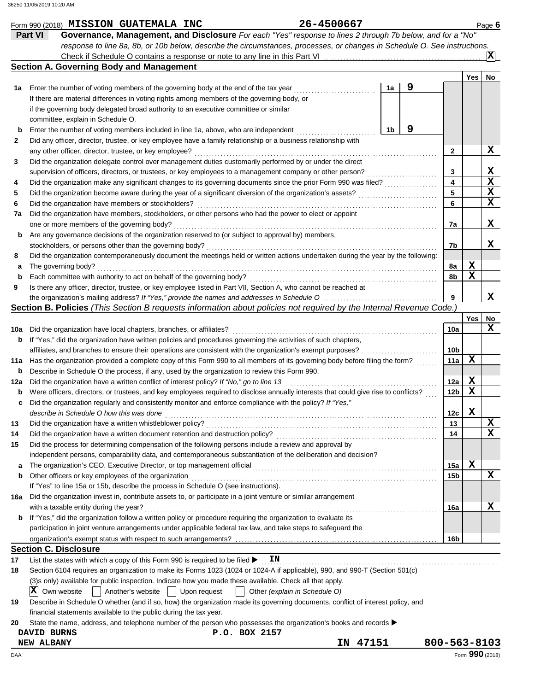|             | Form 990 (2018) MISSION GUATEMALA INC                                                                                                       | 26-4500667  |                     |              |                 |             | Page 6          |
|-------------|---------------------------------------------------------------------------------------------------------------------------------------------|-------------|---------------------|--------------|-----------------|-------------|-----------------|
|             | Governance, Management, and Disclosure For each "Yes" response to lines 2 through 7b below, and for a "No"<br><b>Part VI</b>                |             |                     |              |                 |             |                 |
|             | response to line 8a, 8b, or 10b below, describe the circumstances, processes, or changes in Schedule O. See instructions.                   |             |                     |              |                 |             |                 |
|             |                                                                                                                                             |             |                     |              |                 |             | IХI             |
|             | <b>Section A. Governing Body and Management</b>                                                                                             |             |                     |              |                 |             |                 |
|             |                                                                                                                                             |             |                     |              |                 | Yes         | No              |
| 1a          | Enter the number of voting members of the governing body at the end of the tax year                                                         |             | 9<br>1a             |              |                 |             |                 |
|             | If there are material differences in voting rights among members of the governing body, or                                                  |             |                     |              |                 |             |                 |
|             | if the governing body delegated broad authority to an executive committee or similar                                                        |             |                     |              |                 |             |                 |
|             | committee, explain in Schedule O.                                                                                                           |             |                     |              |                 |             |                 |
| $\mathbf b$ | Enter the number of voting members included in line 1a, above, who are independent                                                          |             | 9<br>1 <sub>b</sub> |              |                 |             |                 |
| 2           | Did any officer, director, trustee, or key employee have a family relationship or a business relationship with                              |             |                     |              |                 |             |                 |
|             | any other officer, director, trustee, or key employee?                                                                                      |             |                     |              | $\mathbf{2}$    |             | x               |
| 3           | Did the organization delegate control over management duties customarily performed by or under the direct                                   |             |                     |              |                 |             |                 |
|             | supervision of officers, directors, or trustees, or key employees to a management company or other person?                                  |             |                     |              | 3               |             | X               |
| 4           | Did the organization make any significant changes to its governing documents since the prior Form 990 was filed?                            |             |                     |              | 4               |             | $\mathbf x$     |
| 5           | Did the organization become aware during the year of a significant diversion of the organization's assets?                                  |             |                     |              | 5               |             | $\mathbf x$     |
| 6           | Did the organization have members or stockholders?                                                                                          |             |                     |              | 6               |             | $\mathbf x$     |
| 7a          | Did the organization have members, stockholders, or other persons who had the power to elect or appoint                                     |             |                     |              |                 |             |                 |
|             | one or more members of the governing body?                                                                                                  |             |                     |              | 7a              |             | x               |
| b           | Are any governance decisions of the organization reserved to (or subject to approval by) members,                                           |             |                     |              |                 |             |                 |
|             | stockholders, or persons other than the governing body?                                                                                     |             |                     |              | 7b              |             | x               |
| 8           | Did the organization contemporaneously document the meetings held or written actions undertaken during the year by the following:           |             |                     |              |                 |             |                 |
| а           | The governing body?                                                                                                                         |             |                     |              | 8а              | x           |                 |
| $\mathbf b$ | Each committee with authority to act on behalf of the governing body?                                                                       |             |                     |              | 8b              | X           |                 |
| 9           | Is there any officer, director, trustee, or key employee listed in Part VII, Section A, who cannot be reached at                            |             |                     |              |                 |             |                 |
|             |                                                                                                                                             |             |                     |              | 9               |             | x               |
|             | Section B. Policies (This Section B requests information about policies not required by the Internal Revenue Code.)                         |             |                     |              |                 |             |                 |
|             |                                                                                                                                             |             |                     |              |                 | Yes         | No              |
| 10a         | Did the organization have local chapters, branches, or affiliates?                                                                          |             |                     |              | 10a             |             | x               |
| b           | If "Yes," did the organization have written policies and procedures governing the activities of such chapters,                              |             |                     |              |                 |             |                 |
|             | affiliates, and branches to ensure their operations are consistent with the organization's exempt purposes?                                 |             |                     |              | 10b             |             |                 |
| 11a         | Has the organization provided a complete copy of this Form 990 to all members of its governing body before filing the form?                 |             |                     |              | 11a             | X           |                 |
|             | Describe in Schedule O the process, if any, used by the organization to review this Form 990.                                               |             |                     |              |                 |             |                 |
| b           | Did the organization have a written conflict of interest policy? If "No," go to line 13                                                     |             |                     |              | 12a             | X           |                 |
| 12a         | Were officers, directors, or trustees, and key employees required to disclose annually interests that could give rise to conflicts?         |             |                     |              | 12b             | X           |                 |
| b           | Did the organization regularly and consistently monitor and enforce compliance with the policy? If "Yes,"                                   |             |                     |              |                 |             |                 |
|             | describe in Schedule O how this was done                                                                                                    |             |                     |              |                 | $\mathbf x$ |                 |
|             |                                                                                                                                             |             |                     |              | 12c             |             | X               |
| 13          | Did the organization have a written whistleblower policy?<br>Did the organization have a written document retention and destruction policy? |             |                     |              | 13              |             | x               |
| 14          | Did the process for determining compensation of the following persons include a review and approval by                                      |             |                     |              | 14              |             |                 |
| 15          |                                                                                                                                             |             |                     |              |                 |             |                 |
|             | independent persons, comparability data, and contemporaneous substantiation of the deliberation and decision?                               |             |                     |              |                 |             |                 |
| а           | The organization's CEO, Executive Director, or top management official                                                                      |             |                     |              | 15a             | x           | X               |
| b           | Other officers or key employees of the organization                                                                                         |             |                     |              | 15 <sub>b</sub> |             |                 |
|             | If "Yes" to line 15a or 15b, describe the process in Schedule O (see instructions).                                                         |             |                     |              |                 |             |                 |
| 16a         | Did the organization invest in, contribute assets to, or participate in a joint venture or similar arrangement                              |             |                     |              |                 |             |                 |
|             | with a taxable entity during the year?                                                                                                      |             |                     |              | 16a             |             | x               |
| b           | If "Yes," did the organization follow a written policy or procedure requiring the organization to evaluate its                              |             |                     |              |                 |             |                 |
|             | participation in joint venture arrangements under applicable federal tax law, and take steps to safeguard the                               |             |                     |              |                 |             |                 |
|             |                                                                                                                                             |             |                     |              | 16b             |             |                 |
|             | <b>Section C. Disclosure</b>                                                                                                                |             |                     |              |                 |             |                 |
| 17          | List the states with which a copy of this Form 990 is required to be filed ><br>ΙN                                                          |             |                     |              |                 |             |                 |
| 18          | Section 6104 requires an organization to make its Forms 1023 (1024 or 1024-A if applicable), 990, and 990-T (Section 501(c)                 |             |                     |              |                 |             |                 |
|             | (3)s only) available for public inspection. Indicate how you made these available. Check all that apply.                                    |             |                     |              |                 |             |                 |
|             | X<br>Own website<br>Another's website<br>Upon request<br>Other (explain in Schedule O)                                                      |             |                     |              |                 |             |                 |
| 19          | Describe in Schedule O whether (and if so, how) the organization made its governing documents, conflict of interest policy, and             |             |                     |              |                 |             |                 |
|             | financial statements available to the public during the tax year.                                                                           |             |                     |              |                 |             |                 |
| 20          | State the name, address, and telephone number of the person who possesses the organization's books and records ▶                            |             |                     |              |                 |             |                 |
|             | P.O. BOX 2157<br>DAVID BURNS                                                                                                                |             |                     |              |                 |             |                 |
|             | <b>NEW ALBANY</b>                                                                                                                           | 47151<br>IN |                     | 800-563-8103 |                 |             |                 |
| DAA         |                                                                                                                                             |             |                     |              |                 |             | Form 990 (2018) |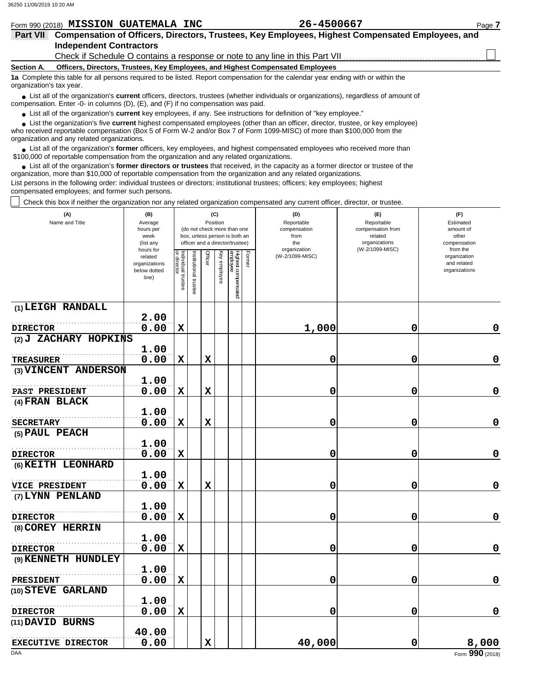|                          | Form 990 (2018) MISSION GUATEMALA INC                                                                                                                                                                                                      | 26-4500667                                                                                                                            | Page 7 |  |  |  |  |  |  |
|--------------------------|--------------------------------------------------------------------------------------------------------------------------------------------------------------------------------------------------------------------------------------------|---------------------------------------------------------------------------------------------------------------------------------------|--------|--|--|--|--|--|--|
| <b>Part VII</b>          | Compensation of Officers, Directors, Trustees, Key Employees, Highest Compensated Employees, and                                                                                                                                           |                                                                                                                                       |        |  |  |  |  |  |  |
|                          | <b>Independent Contractors</b>                                                                                                                                                                                                             |                                                                                                                                       |        |  |  |  |  |  |  |
|                          |                                                                                                                                                                                                                                            |                                                                                                                                       |        |  |  |  |  |  |  |
| <b>Section A.</b>        | Officers, Directors, Trustees, Key Employees, and Highest Compensated Employees                                                                                                                                                            |                                                                                                                                       |        |  |  |  |  |  |  |
| organization's tax year. |                                                                                                                                                                                                                                            | 1a Complete this table for all persons required to be listed. Report compensation for the calendar year ending with or within the     |        |  |  |  |  |  |  |
|                          | • List all of the organization's <b>current</b> officers, directors, trustees (whether individuals or organizations), regardless of amount of<br>compensation. Enter -0- in columns $(D)$ , $(E)$ , and $(F)$ if no compensation was paid. |                                                                                                                                       |        |  |  |  |  |  |  |
|                          | • List all of the organization's current key employees, if any. See instructions for definition of "key employee."                                                                                                                         |                                                                                                                                       |        |  |  |  |  |  |  |
|                          |                                                                                                                                                                                                                                            | List the organization's five <b>current</b> highest compensated employees (other than an officer, director, trustee, or key employee) |        |  |  |  |  |  |  |

who received reportable compensation (Box 5 of Form W-2 and/or Box 7 of Form 1099-MISC) of more than \$100,000 from the organization and any related organizations. **•**

List all of the organization's **former** officers, key employees, and highest compensated employees who received more than • List all of the organization's **former** officers, key employees, and highest compensate \$100,000 of reportable compensation from the organization and any related organizations.

■ List all of the organization's **former directors or trustees** that received, in the capacity as a former director or trustee of the precision more than \$10,000 of reportable componention from the organization and any re organization, more than \$10,000 of reportable compensation from the organization and any related organizations.

List persons in the following order: individual trustees or directors; institutional trustees; officers; key employees; highest compensated employees; and former such persons.

Check this box if neither the organization nor any related organization compensated any current officer, director, or trustee.

| (A)<br>Name and Title                     | (B)<br>Average<br>hours per<br>week<br>(list any               |                                   |                      | (C)<br>Position |              | (do not check more than one<br>box, unless person is both an<br>officer and a director/trustee) |        | (D)<br>Reportable<br>compensation<br>from<br>the | (E)<br>Reportable<br>compensation from<br>related<br>organizations | (F)<br>Estimated<br>amount of<br>other<br>compensation   |
|-------------------------------------------|----------------------------------------------------------------|-----------------------------------|----------------------|-----------------|--------------|-------------------------------------------------------------------------------------------------|--------|--------------------------------------------------|--------------------------------------------------------------------|----------------------------------------------------------|
|                                           | hours for<br>related<br>organizations<br>below dotted<br>line) | Individual trustee<br>or director | nstitutional trustee | Officer         | Key employee | Highest compensated<br>employee                                                                 | Former | organization<br>(W-2/1099-MISC)                  | (W-2/1099-MISC)                                                    | from the<br>organization<br>and related<br>organizations |
| (1) LEIGH RANDALL                         |                                                                |                                   |                      |                 |              |                                                                                                 |        |                                                  |                                                                    |                                                          |
|                                           | 2.00                                                           |                                   |                      |                 |              |                                                                                                 |        |                                                  |                                                                    |                                                          |
| <b>DIRECTOR</b>                           | 0.00                                                           | $\mathbf x$                       |                      |                 |              |                                                                                                 |        | 1,000                                            | 0                                                                  | 0                                                        |
| (2) J ZACHARY HOPKINS                     | 1.00                                                           |                                   |                      |                 |              |                                                                                                 |        |                                                  |                                                                    |                                                          |
| <b>TREASURER</b>                          | 0.00                                                           | $\mathbf x$                       |                      | $\mathbf x$     |              |                                                                                                 |        | 0                                                | 0                                                                  | $\mathbf 0$                                              |
| (3) VINCENT ANDERSON                      |                                                                |                                   |                      |                 |              |                                                                                                 |        |                                                  |                                                                    |                                                          |
|                                           | 1.00                                                           |                                   |                      |                 |              |                                                                                                 |        |                                                  |                                                                    |                                                          |
| PAST PRESIDENT                            | 0.00                                                           | $\mathbf x$                       |                      | $\mathbf x$     |              |                                                                                                 |        | 0                                                | 0                                                                  | $\mathbf 0$                                              |
| (4) FRAN BLACK                            |                                                                |                                   |                      |                 |              |                                                                                                 |        |                                                  |                                                                    |                                                          |
|                                           | 1.00                                                           |                                   |                      |                 |              |                                                                                                 |        |                                                  |                                                                    |                                                          |
| <b>SECRETARY</b>                          | 0.00                                                           | $\mathbf x$                       |                      | $\mathbf x$     |              |                                                                                                 |        | 0                                                | 0                                                                  | $\pmb{0}$                                                |
| (5) PAUL PEACH                            |                                                                |                                   |                      |                 |              |                                                                                                 |        |                                                  |                                                                    |                                                          |
|                                           | 1.00                                                           |                                   |                      |                 |              |                                                                                                 |        |                                                  |                                                                    |                                                          |
| <b>DIRECTOR</b>                           | 0.00                                                           | $\mathbf x$                       |                      |                 |              |                                                                                                 |        | 0                                                | 0                                                                  | $\mathbf 0$                                              |
| (6) KEITH LEONHARD                        |                                                                |                                   |                      |                 |              |                                                                                                 |        |                                                  |                                                                    |                                                          |
|                                           | 1.00                                                           |                                   |                      |                 |              |                                                                                                 |        |                                                  |                                                                    | $\mathbf 0$                                              |
| <b>VICE PRESIDENT</b><br>(7) LYNN PENLAND | 0.00                                                           | $\mathbf x$                       |                      | $\mathbf x$     |              |                                                                                                 |        | 0                                                | 0                                                                  |                                                          |
|                                           | 1.00                                                           |                                   |                      |                 |              |                                                                                                 |        |                                                  |                                                                    |                                                          |
| <b>DIRECTOR</b>                           | 0.00                                                           | $\mathbf x$                       |                      |                 |              |                                                                                                 |        | 0                                                | 0                                                                  | $\mathbf 0$                                              |
| (8) COREY HERRIN                          |                                                                |                                   |                      |                 |              |                                                                                                 |        |                                                  |                                                                    |                                                          |
|                                           | 1.00                                                           |                                   |                      |                 |              |                                                                                                 |        |                                                  |                                                                    |                                                          |
| <b>DIRECTOR</b>                           | 0.00                                                           | $\mathbf x$                       |                      |                 |              |                                                                                                 |        | 0                                                | 0                                                                  | $\mathbf 0$                                              |
| (9) KENNETH HUNDLEY                       |                                                                |                                   |                      |                 |              |                                                                                                 |        |                                                  |                                                                    |                                                          |
|                                           | 1.00                                                           |                                   |                      |                 |              |                                                                                                 |        |                                                  |                                                                    |                                                          |
| <b>PRESIDENT</b>                          | 0.00                                                           | $\mathbf x$                       |                      |                 |              |                                                                                                 |        | 0                                                | 0                                                                  | $\mathbf 0$                                              |
| (10) STEVE GARLAND                        |                                                                |                                   |                      |                 |              |                                                                                                 |        |                                                  |                                                                    |                                                          |
|                                           | 1.00                                                           |                                   |                      |                 |              |                                                                                                 |        |                                                  |                                                                    |                                                          |
| <b>DIRECTOR</b>                           | 0.00                                                           | $\mathbf x$                       |                      |                 |              |                                                                                                 |        | 0                                                | 0                                                                  | $\mathbf 0$                                              |
| (11) DAVID BURNS                          | 40.00                                                          |                                   |                      |                 |              |                                                                                                 |        |                                                  |                                                                    |                                                          |
| <b>EXECUTIVE DIRECTOR</b>                 | 0.00                                                           |                                   |                      | $\mathbf x$     |              |                                                                                                 |        | 40,000                                           | 0                                                                  | 8,000                                                    |
| DAA                                       |                                                                |                                   |                      |                 |              |                                                                                                 |        |                                                  |                                                                    | Form 990 (2018)                                          |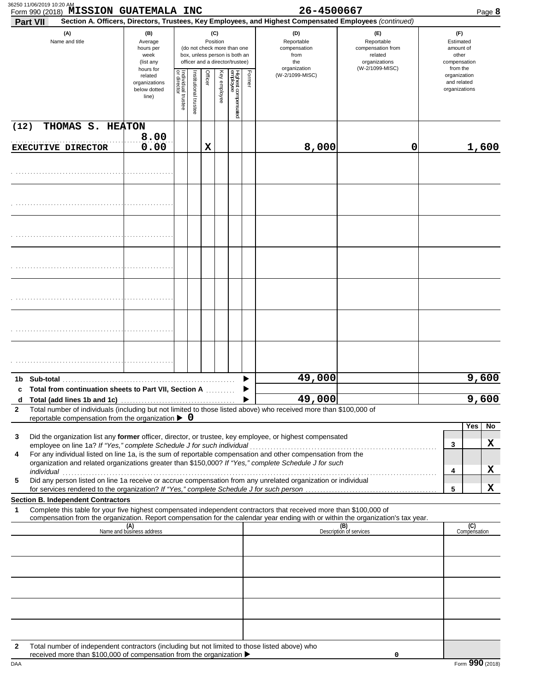| Part VII     | Form 990 (2018) MISSION GUATEMALA INC                                                                                                                                                     |                                                               |                                   |                      |         |                 |                                                                                                 |        | 26-4500667<br>Section A. Officers, Directors, Trustees, Key Employees, and Highest Compensated Employees (continued)                                                                                                                                   |                                                                                       | Page 8                                                             |
|--------------|-------------------------------------------------------------------------------------------------------------------------------------------------------------------------------------------|---------------------------------------------------------------|-----------------------------------|----------------------|---------|-----------------|-------------------------------------------------------------------------------------------------|--------|--------------------------------------------------------------------------------------------------------------------------------------------------------------------------------------------------------------------------------------------------------|---------------------------------------------------------------------------------------|--------------------------------------------------------------------|
|              | (A)<br>Name and title                                                                                                                                                                     | (B)<br>Average<br>hours per<br>week<br>(list any<br>hours for |                                   |                      |         | (C)<br>Position | (do not check more than one<br>box, unless person is both an<br>officer and a director/trustee) |        | (D)<br>Reportable<br>compensation<br>from<br>the<br>organization                                                                                                                                                                                       | (E)<br>Reportable<br>compensation from<br>related<br>organizations<br>(W-2/1099-MISC) | (F)<br>Estimated<br>amount of<br>other<br>compensation<br>from the |
|              |                                                                                                                                                                                           |                                                               | Individual trustee<br>or director | nstitutional trustee | Officer | Key employee    | Highest compensated<br>employee                                                                 | Former | (W-2/1099-MISC)                                                                                                                                                                                                                                        |                                                                                       | organization<br>and related<br>organizations                       |
| (12)         | THOMAS S. HEATON                                                                                                                                                                          |                                                               |                                   |                      |         |                 |                                                                                                 |        |                                                                                                                                                                                                                                                        |                                                                                       |                                                                    |
|              | <b>EXECUTIVE DIRECTOR</b>                                                                                                                                                                 | 8.00<br>0.00                                                  |                                   |                      | х       |                 |                                                                                                 |        | 8,000                                                                                                                                                                                                                                                  | 0                                                                                     | 1,600                                                              |
|              |                                                                                                                                                                                           |                                                               |                                   |                      |         |                 |                                                                                                 |        |                                                                                                                                                                                                                                                        |                                                                                       |                                                                    |
|              |                                                                                                                                                                                           |                                                               |                                   |                      |         |                 |                                                                                                 |        |                                                                                                                                                                                                                                                        |                                                                                       |                                                                    |
|              |                                                                                                                                                                                           |                                                               |                                   |                      |         |                 |                                                                                                 |        |                                                                                                                                                                                                                                                        |                                                                                       |                                                                    |
|              |                                                                                                                                                                                           |                                                               |                                   |                      |         |                 |                                                                                                 |        |                                                                                                                                                                                                                                                        |                                                                                       |                                                                    |
|              |                                                                                                                                                                                           |                                                               |                                   |                      |         |                 |                                                                                                 |        |                                                                                                                                                                                                                                                        |                                                                                       |                                                                    |
|              |                                                                                                                                                                                           |                                                               |                                   |                      |         |                 |                                                                                                 |        |                                                                                                                                                                                                                                                        |                                                                                       |                                                                    |
|              |                                                                                                                                                                                           |                                                               |                                   |                      |         |                 |                                                                                                 |        |                                                                                                                                                                                                                                                        |                                                                                       |                                                                    |
|              |                                                                                                                                                                                           |                                                               |                                   |                      |         |                 |                                                                                                 |        | 49,000                                                                                                                                                                                                                                                 |                                                                                       | 9,600                                                              |
| c<br>d       | Total from continuation sheets to Part VII, Section A                                                                                                                                     |                                                               |                                   |                      |         |                 |                                                                                                 |        | 49,000                                                                                                                                                                                                                                                 |                                                                                       | 9,600                                                              |
| $\mathbf{2}$ |                                                                                                                                                                                           |                                                               |                                   |                      |         |                 |                                                                                                 |        | Total number of individuals (including but not limited to those listed above) who received more than \$100,000 of                                                                                                                                      |                                                                                       |                                                                    |
|              | reportable compensation from the organization $\triangleright$ 0                                                                                                                          |                                                               |                                   |                      |         |                 |                                                                                                 |        |                                                                                                                                                                                                                                                        |                                                                                       | Yes<br>No.                                                         |
| 3            |                                                                                                                                                                                           |                                                               |                                   |                      |         |                 |                                                                                                 |        | Did the organization list any former officer, director, or trustee, key employee, or highest compensated                                                                                                                                               |                                                                                       | х<br>3                                                             |
| 4            |                                                                                                                                                                                           |                                                               |                                   |                      |         |                 |                                                                                                 |        | For any individual listed on line 1a, is the sum of reportable compensation and other compensation from the<br>organization and related organizations greater than \$150,000? If "Yes," complete Schedule J for such                                   |                                                                                       | X<br>4                                                             |
| 5            |                                                                                                                                                                                           |                                                               |                                   |                      |         |                 |                                                                                                 |        | Did any person listed on line 1a receive or accrue compensation from any unrelated organization or individual                                                                                                                                          |                                                                                       | X<br>5                                                             |
|              | <b>Section B. Independent Contractors</b>                                                                                                                                                 |                                                               |                                   |                      |         |                 |                                                                                                 |        |                                                                                                                                                                                                                                                        |                                                                                       |                                                                    |
| 1            |                                                                                                                                                                                           |                                                               |                                   |                      |         |                 |                                                                                                 |        | Complete this table for your five highest compensated independent contractors that received more than \$100,000 of<br>compensation from the organization. Report compensation for the calendar year ending with or within the organization's tax year. |                                                                                       |                                                                    |
|              |                                                                                                                                                                                           | (A)<br>Name and business address                              |                                   |                      |         |                 |                                                                                                 |        |                                                                                                                                                                                                                                                        | (B)<br>Description of services                                                        | (C)<br>Compensation                                                |
|              |                                                                                                                                                                                           |                                                               |                                   |                      |         |                 |                                                                                                 |        |                                                                                                                                                                                                                                                        |                                                                                       |                                                                    |
|              |                                                                                                                                                                                           |                                                               |                                   |                      |         |                 |                                                                                                 |        |                                                                                                                                                                                                                                                        |                                                                                       |                                                                    |
|              |                                                                                                                                                                                           |                                                               |                                   |                      |         |                 |                                                                                                 |        |                                                                                                                                                                                                                                                        |                                                                                       |                                                                    |
|              |                                                                                                                                                                                           |                                                               |                                   |                      |         |                 |                                                                                                 |        |                                                                                                                                                                                                                                                        |                                                                                       |                                                                    |
|              |                                                                                                                                                                                           |                                                               |                                   |                      |         |                 |                                                                                                 |        |                                                                                                                                                                                                                                                        |                                                                                       |                                                                    |
| 2            | Total number of independent contractors (including but not limited to those listed above) who<br>received more than \$100,000 of compensation from the organization $\blacktriangleright$ |                                                               |                                   |                      |         |                 |                                                                                                 |        |                                                                                                                                                                                                                                                        |                                                                                       |                                                                    |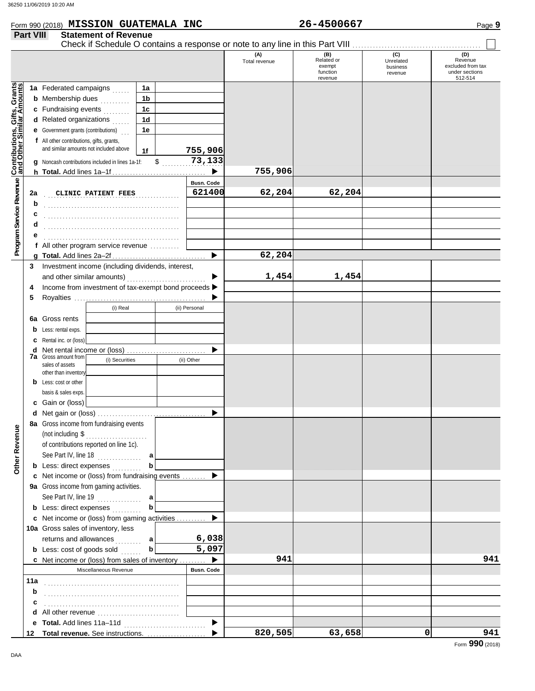|                                                                  | Form 990 (2018) MISSION GUATEMALA INC                                                             |              |  |                             |                      | 26-4500667                                         |                                         | Page 9                                                           |
|------------------------------------------------------------------|---------------------------------------------------------------------------------------------------|--------------|--|-----------------------------|----------------------|----------------------------------------------------|-----------------------------------------|------------------------------------------------------------------|
| <b>Part VIII</b>                                                 | <b>Statement of Revenue</b>                                                                       |              |  |                             |                      |                                                    |                                         |                                                                  |
|                                                                  |                                                                                                   |              |  |                             | (A)<br>Total revenue | (B)<br>Related or<br>exempt<br>function<br>revenue | (C)<br>Unrelated<br>business<br>revenue | (D)<br>Revenue<br>excluded from tax<br>under sections<br>512-514 |
|                                                                  | 1a Federated campaigns                                                                            | 1a           |  |                             |                      |                                                    |                                         |                                                                  |
|                                                                  | <b>b</b> Membership dues <i></i> .                                                                | 1b           |  |                             |                      |                                                    |                                         |                                                                  |
| <b>Contributions, Gifts, Grants</b><br>and Other Similar Amounts | c Fundraising events                                                                              | 1c           |  |                             |                      |                                                    |                                         |                                                                  |
|                                                                  | <b>d</b> Related organizations $\ldots$                                                           | 1d           |  |                             |                      |                                                    |                                         |                                                                  |
|                                                                  | <b>e</b> Government grants (contributions)                                                        | 1e           |  |                             |                      |                                                    |                                         |                                                                  |
|                                                                  | f All other contributions, gifts, grants,                                                         |              |  |                             |                      |                                                    |                                         |                                                                  |
|                                                                  | and similar amounts not included above                                                            | 1f           |  | 755,906                     |                      |                                                    |                                         |                                                                  |
|                                                                  | g Noncash contributions included in lines 1a-1f:                                                  | \$           |  | 73,133                      |                      |                                                    |                                         |                                                                  |
|                                                                  |                                                                                                   |              |  |                             | 755,906              |                                                    |                                         |                                                                  |
| 2a                                                               | CLINIC PATIENT FEES                                                                               |              |  | <b>Busn. Code</b><br>621400 | 62,204               | 62,204                                             |                                         |                                                                  |
| b                                                                |                                                                                                   |              |  |                             |                      |                                                    |                                         |                                                                  |
| c                                                                |                                                                                                   |              |  |                             |                      |                                                    |                                         |                                                                  |
| d                                                                |                                                                                                   |              |  |                             |                      |                                                    |                                         |                                                                  |
| е                                                                |                                                                                                   |              |  |                             |                      |                                                    |                                         |                                                                  |
|                                                                  | f All other program service revenue                                                               |              |  |                             |                      |                                                    |                                         |                                                                  |
|                                                                  |                                                                                                   |              |  |                             | 62,204               |                                                    |                                         |                                                                  |
| 3                                                                | Investment income (including dividends, interest,                                                 |              |  |                             | 1,454                | 1,454                                              |                                         |                                                                  |
| 4                                                                | Income from investment of tax-exempt bond proceeds >                                              |              |  |                             |                      |                                                    |                                         |                                                                  |
| 5                                                                |                                                                                                   |              |  |                             |                      |                                                    |                                         |                                                                  |
|                                                                  | (i) Real<br>(ii) Personal                                                                         |              |  |                             |                      |                                                    |                                         |                                                                  |
|                                                                  | <b>6a</b> Gross rents                                                                             |              |  |                             |                      |                                                    |                                         |                                                                  |
|                                                                  | <b>b</b> Less: rental exps.                                                                       |              |  |                             |                      |                                                    |                                         |                                                                  |
|                                                                  | <b>c</b> Rental inc. or (loss)                                                                    |              |  |                             |                      |                                                    |                                         |                                                                  |
|                                                                  | d Net rental income or (loss)                                                                     |              |  |                             |                      |                                                    |                                         |                                                                  |
|                                                                  | <b>7a</b> Gross amount from<br>(i) Securities<br>(ii) Other                                       |              |  |                             |                      |                                                    |                                         |                                                                  |
|                                                                  | sales of assets<br>other than inventory                                                           |              |  |                             |                      |                                                    |                                         |                                                                  |
|                                                                  | <b>b</b> Less: cost or other                                                                      |              |  |                             |                      |                                                    |                                         |                                                                  |
|                                                                  | basis & sales exps.                                                                               |              |  |                             |                      |                                                    |                                         |                                                                  |
|                                                                  | c Gain or (loss)                                                                                  |              |  |                             |                      |                                                    |                                         |                                                                  |
|                                                                  |                                                                                                   |              |  |                             |                      |                                                    |                                         |                                                                  |
|                                                                  | 8a Gross income from fundraising events                                                           |              |  |                             |                      |                                                    |                                         |                                                                  |
|                                                                  | (not including $\$\dots$                                                                          |              |  |                             |                      |                                                    |                                         |                                                                  |
|                                                                  | of contributions reported on line 1c).                                                            |              |  |                             |                      |                                                    |                                         |                                                                  |
|                                                                  | See Part IV, line $18$                                                                            | a l          |  |                             |                      |                                                    |                                         |                                                                  |
|                                                                  | <b>b</b> Less: direct expenses                                                                    | $\mathbf b$  |  |                             |                      |                                                    |                                         |                                                                  |
|                                                                  | c Net income or (loss) from fundraising events  ▶                                                 |              |  |                             |                      |                                                    |                                         |                                                                  |
|                                                                  | 9a Gross income from gaming activities.                                                           |              |  |                             |                      |                                                    |                                         |                                                                  |
|                                                                  | See Part IV, line 19 $\ldots$ a                                                                   | $\mathbf b$  |  |                             |                      |                                                    |                                         |                                                                  |
|                                                                  | <b>b</b> Less: direct expenses <i>minimal</i><br>c Net income or (loss) from gaming activities  ▶ |              |  |                             |                      |                                                    |                                         |                                                                  |
|                                                                  | 10a Gross sales of inventory, less                                                                |              |  |                             |                      |                                                    |                                         |                                                                  |
|                                                                  | returns and allowances  a                                                                         |              |  | 6,038                       |                      |                                                    |                                         |                                                                  |
|                                                                  | <b>b</b> Less: cost of goods sold                                                                 | $\mathbf{b}$ |  | 5,097                       |                      |                                                    |                                         |                                                                  |
|                                                                  | c Net income or (loss) from sales of inventory                                                    |              |  | ▶                           | 941                  |                                                    |                                         | 941                                                              |
|                                                                  | Miscellaneous Revenue                                                                             |              |  | <b>Busn. Code</b>           |                      |                                                    |                                         |                                                                  |
| 11a                                                              |                                                                                                   |              |  |                             |                      |                                                    |                                         |                                                                  |
| b                                                                |                                                                                                   |              |  |                             |                      |                                                    |                                         |                                                                  |
| c                                                                |                                                                                                   |              |  |                             |                      |                                                    |                                         |                                                                  |
| d                                                                |                                                                                                   |              |  |                             |                      |                                                    |                                         |                                                                  |
|                                                                  |                                                                                                   |              |  | $\blacktriangleright$       |                      |                                                    |                                         |                                                                  |
| 12                                                               |                                                                                                   |              |  |                             | 820,505              | 63,658                                             | 0                                       | 941                                                              |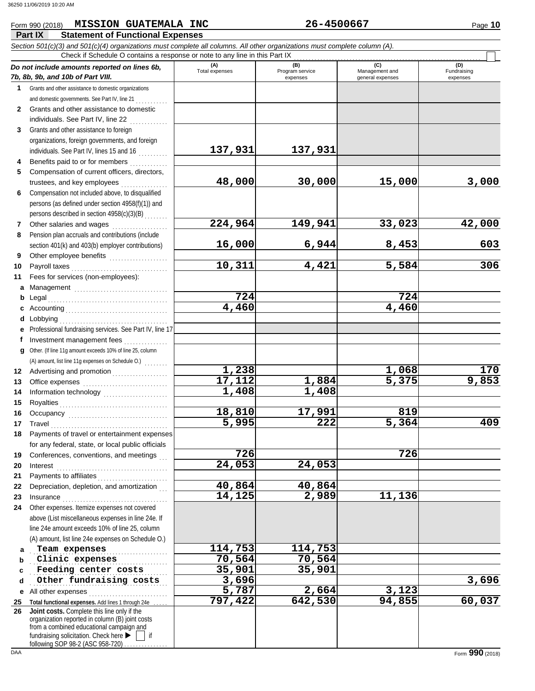### Form 990 (2018) Page **10 MISSION GUATEMALA INC 26-4500667**

|              | Part IX<br><b>Statement of Functional Expenses</b>                                                                                                                                                                                                                                                                                                                                                                                                                                                                                                                                                     |                       |                        |                       |                    |
|--------------|--------------------------------------------------------------------------------------------------------------------------------------------------------------------------------------------------------------------------------------------------------------------------------------------------------------------------------------------------------------------------------------------------------------------------------------------------------------------------------------------------------------------------------------------------------------------------------------------------------|-----------------------|------------------------|-----------------------|--------------------|
|              | Section 501(c)(3) and 501(c)(4) organizations must complete all columns. All other organizations must complete column (A).<br>Check if Schedule O contains a response or note to any line in this Part IX                                                                                                                                                                                                                                                                                                                                                                                              |                       |                        |                       |                    |
|              | Do not include amounts reported on lines 6b,                                                                                                                                                                                                                                                                                                                                                                                                                                                                                                                                                           | (A)<br>Total expenses | (B)<br>Program service | (C)<br>Management and | (D)<br>Fundraising |
|              | 7b, 8b, 9b, and 10b of Part VIII.                                                                                                                                                                                                                                                                                                                                                                                                                                                                                                                                                                      |                       | expenses               | general expenses      | expenses           |
| 1            | Grants and other assistance to domestic organizations                                                                                                                                                                                                                                                                                                                                                                                                                                                                                                                                                  |                       |                        |                       |                    |
|              | and domestic governments. See Part IV, line 21                                                                                                                                                                                                                                                                                                                                                                                                                                                                                                                                                         |                       |                        |                       |                    |
| $\mathbf{2}$ | Grants and other assistance to domestic                                                                                                                                                                                                                                                                                                                                                                                                                                                                                                                                                                |                       |                        |                       |                    |
|              | individuals. See Part IV, line 22                                                                                                                                                                                                                                                                                                                                                                                                                                                                                                                                                                      |                       |                        |                       |                    |
| 3            | Grants and other assistance to foreign                                                                                                                                                                                                                                                                                                                                                                                                                                                                                                                                                                 |                       |                        |                       |                    |
|              | organizations, foreign governments, and foreign<br>individuals. See Part IV, lines 15 and 16                                                                                                                                                                                                                                                                                                                                                                                                                                                                                                           | 137,931               | 137,931                |                       |                    |
| 4            | Benefits paid to or for members                                                                                                                                                                                                                                                                                                                                                                                                                                                                                                                                                                        |                       |                        |                       |                    |
| 5            | Compensation of current officers, directors,                                                                                                                                                                                                                                                                                                                                                                                                                                                                                                                                                           |                       |                        |                       |                    |
|              | trustees, and key employees                                                                                                                                                                                                                                                                                                                                                                                                                                                                                                                                                                            | 48,000                | 30,000                 | 15,000                | 3,000              |
| 6            | Compensation not included above, to disqualified                                                                                                                                                                                                                                                                                                                                                                                                                                                                                                                                                       |                       |                        |                       |                    |
|              | persons (as defined under section 4958(f)(1)) and                                                                                                                                                                                                                                                                                                                                                                                                                                                                                                                                                      |                       |                        |                       |                    |
|              | persons described in section 4958(c)(3)(B)                                                                                                                                                                                                                                                                                                                                                                                                                                                                                                                                                             |                       |                        |                       |                    |
| 7            | Other salaries and wages                                                                                                                                                                                                                                                                                                                                                                                                                                                                                                                                                                               | 224,964               | 149,941                | 33,023                | 42,000             |
| 8            | Pension plan accruals and contributions (include                                                                                                                                                                                                                                                                                                                                                                                                                                                                                                                                                       |                       |                        |                       |                    |
|              | section 401(k) and 403(b) employer contributions)                                                                                                                                                                                                                                                                                                                                                                                                                                                                                                                                                      | 16,000                | 6,944                  | 8,453                 | 603                |
| 9            | Other employee benefits                                                                                                                                                                                                                                                                                                                                                                                                                                                                                                                                                                                |                       |                        |                       |                    |
| 10           | Payroll taxes                                                                                                                                                                                                                                                                                                                                                                                                                                                                                                                                                                                          | 10,311                | 4,421                  | 5,584                 | 306                |
| 11           | Fees for services (non-employees):                                                                                                                                                                                                                                                                                                                                                                                                                                                                                                                                                                     |                       |                        |                       |                    |
| a            |                                                                                                                                                                                                                                                                                                                                                                                                                                                                                                                                                                                                        |                       |                        |                       |                    |
| b            | Legal                                                                                                                                                                                                                                                                                                                                                                                                                                                                                                                                                                                                  | 724                   |                        | 724                   |                    |
| c            |                                                                                                                                                                                                                                                                                                                                                                                                                                                                                                                                                                                                        | 4,460                 |                        | 4,460                 |                    |
| d            | Lobbying                                                                                                                                                                                                                                                                                                                                                                                                                                                                                                                                                                                               |                       |                        |                       |                    |
| е            | Professional fundraising services. See Part IV, line 17                                                                                                                                                                                                                                                                                                                                                                                                                                                                                                                                                |                       |                        |                       |                    |
| f            | Investment management fees<br>Other. (If line 11g amount exceeds 10% of line 25, column                                                                                                                                                                                                                                                                                                                                                                                                                                                                                                                |                       |                        |                       |                    |
| g            | (A) amount, list line 11g expenses on Schedule O.)                                                                                                                                                                                                                                                                                                                                                                                                                                                                                                                                                     |                       |                        |                       |                    |
| 12           | Advertising and promotion                                                                                                                                                                                                                                                                                                                                                                                                                                                                                                                                                                              | 1,238                 |                        | 1,068                 | 170                |
| 13           |                                                                                                                                                                                                                                                                                                                                                                                                                                                                                                                                                                                                        | 17,112                | 1,884                  | 5,375                 | 9,853              |
| 14           |                                                                                                                                                                                                                                                                                                                                                                                                                                                                                                                                                                                                        | 1,408                 | 1,408                  |                       |                    |
| 15           |                                                                                                                                                                                                                                                                                                                                                                                                                                                                                                                                                                                                        |                       |                        |                       |                    |
| 16           |                                                                                                                                                                                                                                                                                                                                                                                                                                                                                                                                                                                                        | 18,810                | 17,991                 | 819                   |                    |
| 17           | $\begin{minipage}[c]{0.9\linewidth} \begin{tabular}{l} \textbf{True} \end{tabular} \end{minipage} \begin{minipage}[c]{0.9\linewidth} \begin{tabular}{l} \textbf{True} \end{tabular} \end{minipage} \end{minipage} \begin{minipage}[c]{0.9\linewidth} \begin{tabular}{l} \textbf{True} \end{tabular} \end{minipage} \end{minipage} \begin{minipage}[c]{0.9\linewidth} \begin{tabular}{l} \textbf{True} \end{tabular} \end{minipage} \end{minipage} \begin{minipage}[c]{0.9\linewidth} \begin{tabular}{l} \textbf{True} \end$                                                                            | 5,995                 | 222                    | $\overline{5,364}$    | 409                |
| 18           | Payments of travel or entertainment expenses                                                                                                                                                                                                                                                                                                                                                                                                                                                                                                                                                           |                       |                        |                       |                    |
|              | for any federal, state, or local public officials                                                                                                                                                                                                                                                                                                                                                                                                                                                                                                                                                      |                       |                        |                       |                    |
| 19           | Conferences, conventions, and meetings                                                                                                                                                                                                                                                                                                                                                                                                                                                                                                                                                                 | 726                   |                        | 726                   |                    |
| 20           | Interest                                                                                                                                                                                                                                                                                                                                                                                                                                                                                                                                                                                               | 24,053                | 24,053                 |                       |                    |
| 21           |                                                                                                                                                                                                                                                                                                                                                                                                                                                                                                                                                                                                        |                       |                        |                       |                    |
| 22           | Depreciation, depletion, and amortization                                                                                                                                                                                                                                                                                                                                                                                                                                                                                                                                                              | 40,864                | 40,864                 |                       |                    |
| 23           | $In surface \begin{equation} \begin{equation} \begin{bmatrix} \text{maximize} \end{bmatrix} \end{equation} \begin{equation} \begin{bmatrix} \text{maximize} \end{bmatrix} \end{equation} \begin{equation} \begin{bmatrix} \text{maximize} \end{bmatrix} \end{equation} \begin{equation} \begin{bmatrix} \text{maximize} \end{bmatrix} \end{equation} \begin{equation} \begin{bmatrix} \text{maximize} \end{bmatrix} \end{equation} \begin{equation} \begin{bmatrix} \text{maximize} \end{bmatrix} \end{equation} \begin{equation} \begin{bmatrix} \text{maximize} \end{bmatrix} \end{equation} \begin$ | 14, 125               | $\overline{2,989}$     | 11,136                |                    |
| 24           | Other expenses. Itemize expenses not covered                                                                                                                                                                                                                                                                                                                                                                                                                                                                                                                                                           |                       |                        |                       |                    |
|              | above (List miscellaneous expenses in line 24e. If<br>line 24e amount exceeds 10% of line 25, column                                                                                                                                                                                                                                                                                                                                                                                                                                                                                                   |                       |                        |                       |                    |
|              | (A) amount, list line 24e expenses on Schedule O.)                                                                                                                                                                                                                                                                                                                                                                                                                                                                                                                                                     |                       |                        |                       |                    |
| a            | Team expenses                                                                                                                                                                                                                                                                                                                                                                                                                                                                                                                                                                                          | 114,753               | 114,753                |                       |                    |
| b            | Clinic expenses                                                                                                                                                                                                                                                                                                                                                                                                                                                                                                                                                                                        | 70,564                | 70,564                 |                       |                    |
| c            | Feeding center costs                                                                                                                                                                                                                                                                                                                                                                                                                                                                                                                                                                                   | 35,901                | 35,901                 |                       |                    |
| d            | Other fundraising costs                                                                                                                                                                                                                                                                                                                                                                                                                                                                                                                                                                                | 3,696                 |                        |                       | 3,696              |
|              | <b>e</b> All other expenses                                                                                                                                                                                                                                                                                                                                                                                                                                                                                                                                                                            | 5,787                 | 2,664                  | 3,123                 |                    |
| 25           | Total functional expenses. Add lines 1 through 24e                                                                                                                                                                                                                                                                                                                                                                                                                                                                                                                                                     | 797,422               | 642,530                | 94,855                | 60,037             |
| 26           | Joint costs. Complete this line only if the                                                                                                                                                                                                                                                                                                                                                                                                                                                                                                                                                            |                       |                        |                       |                    |
|              | organization reported in column (B) joint costs<br>from a combined educational campaign and                                                                                                                                                                                                                                                                                                                                                                                                                                                                                                            |                       |                        |                       |                    |
|              | fundraising solicitation. Check here ▶<br>if                                                                                                                                                                                                                                                                                                                                                                                                                                                                                                                                                           |                       |                        |                       |                    |
|              | following SOP 98-2 (ASC 958-720)                                                                                                                                                                                                                                                                                                                                                                                                                                                                                                                                                                       |                       |                        |                       |                    |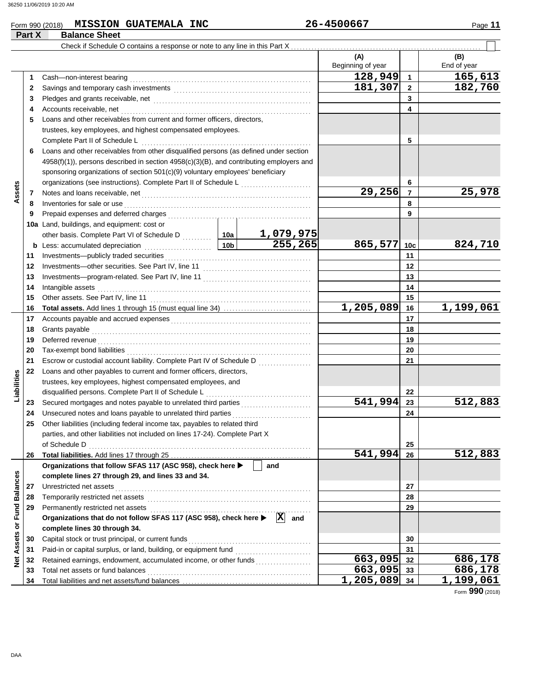### Form 990 (2018) Page **11 MISSION GUATEMALA INC 26-4500667**

|                             | Part X   | <b>Balance Sheet</b>                                                                                  |  |                             |                          |                 |                    |
|-----------------------------|----------|-------------------------------------------------------------------------------------------------------|--|-----------------------------|--------------------------|-----------------|--------------------|
|                             |          | Check if Schedule O contains a response or note to any line in this Part X.                           |  |                             |                          |                 |                    |
|                             |          |                                                                                                       |  |                             | (A)<br>Beginning of year |                 | (B)<br>End of year |
|                             | 1        | Cash-non-interest bearing                                                                             |  |                             | 128,949                  | $\mathbf{1}$    | 165,613            |
|                             | 2        |                                                                                                       |  |                             | 181,307                  | $\mathbf{2}$    | 182,760            |
|                             | 3        |                                                                                                       |  |                             |                          | 3               |                    |
|                             | 4        | Accounts receivable, net                                                                              |  |                             |                          | 4               |                    |
|                             | 5        | Loans and other receivables from current and former officers, directors,                              |  |                             |                          |                 |                    |
|                             |          | trustees, key employees, and highest compensated employees.                                           |  |                             |                          |                 |                    |
|                             |          | Complete Part II of Schedule L                                                                        |  |                             |                          | 5               |                    |
|                             | 6        | Loans and other receivables from other disqualified persons (as defined under section                 |  |                             |                          |                 |                    |
|                             |          | $4958(f)(1)$ ), persons described in section $4958(c)(3)(B)$ , and contributing employers and         |  |                             |                          |                 |                    |
|                             |          | sponsoring organizations of section 501(c)(9) voluntary employees' beneficiary                        |  |                             |                          |                 |                    |
|                             |          |                                                                                                       |  |                             |                          | 6               |                    |
| Assets                      | 7        |                                                                                                       |  |                             | 29,256                   | $\overline{7}$  | 25,978             |
|                             | 8        | Inventories for sale or use                                                                           |  |                             |                          | 8               |                    |
|                             | 9        |                                                                                                       |  |                             |                          | 9               |                    |
|                             |          | 10a Land, buildings, and equipment: cost or                                                           |  |                             |                          |                 |                    |
|                             |          | other basis. Complete Part VI of Schedule D  10a                                                      |  |                             |                          |                 |                    |
|                             | b        |                                                                                                       |  | <u>1,079,975</u><br>255,265 | 865,577                  | 10 <sub>c</sub> | 824,710            |
|                             | 11       | Investments-publicly traded securities                                                                |  |                             |                          | 11              |                    |
|                             | 12       |                                                                                                       |  |                             |                          | 12              |                    |
|                             | 13       |                                                                                                       |  |                             | 13                       |                 |                    |
|                             | 14       | Intangible assets                                                                                     |  |                             |                          | 14              |                    |
|                             | 15       |                                                                                                       |  |                             |                          | 15              |                    |
|                             | 16       |                                                                                                       |  |                             | 1,205,089                | 16              | 1,199,061          |
|                             | 17       |                                                                                                       |  |                             | 17                       |                 |                    |
|                             | 18       | Grants payable                                                                                        |  |                             | 18                       |                 |                    |
|                             | 19       | Deferred revenue                                                                                      |  |                             |                          | 19              |                    |
|                             | 20       |                                                                                                       |  |                             |                          | 20              |                    |
|                             | 21       | Escrow or custodial account liability. Complete Part IV of Schedule D                                 |  |                             |                          | 21              |                    |
|                             | 22       | Loans and other payables to current and former officers, directors,                                   |  |                             |                          |                 |                    |
|                             |          | trustees, key employees, highest compensated employees, and                                           |  |                             |                          |                 |                    |
| Liabilities                 |          | disqualified persons. Complete Part II of Schedule L                                                  |  |                             |                          | 22              |                    |
|                             | 23       | Secured mortgages and notes payable to unrelated third parties                                        |  |                             | 541,994                  | 23              | 512,883            |
|                             | 24       | Unsecured notes and loans payable to unrelated third parties                                          |  |                             |                          | 24              |                    |
|                             |          | Other liabilities (including federal income tax, payables to related third                            |  |                             |                          |                 |                    |
|                             |          | parties, and other liabilities not included on lines 17-24). Complete Part X                          |  |                             |                          |                 |                    |
|                             |          | of Schedule D                                                                                         |  |                             |                          | 25              |                    |
|                             | 26       |                                                                                                       |  |                             | $\overline{541,994}$     | 26              | 512,883            |
|                             |          | Organizations that follow SFAS 117 (ASC 958), check here ▶                                            |  | and                         |                          |                 |                    |
|                             |          | complete lines 27 through 29, and lines 33 and 34.                                                    |  |                             |                          |                 |                    |
|                             | 27       | Unrestricted net assets                                                                               |  |                             |                          | 27              |                    |
|                             | 28       | Temporarily restricted net assets                                                                     |  |                             |                          | 28              |                    |
|                             | 29       |                                                                                                       |  |                             |                          | 29              |                    |
|                             |          | Organizations that do not follow SFAS 117 (ASC 958), check here ▶                                     |  | $ \mathbf{X} $<br>and       |                          |                 |                    |
| Net Assets or Fund Balances |          | complete lines 30 through 34.                                                                         |  |                             |                          |                 |                    |
|                             | 30       | Capital stock or trust principal, or current funds                                                    |  |                             |                          | 30              |                    |
|                             | 31       |                                                                                                       |  |                             | 663,095                  | 31              |                    |
|                             | 32       | Retained earnings, endowment, accumulated income, or other funds<br>Total net assets or fund balances |  |                             | 663,095 33               | 32              | 686,178<br>686,178 |
|                             | 33<br>34 |                                                                                                       |  |                             | $1,205,089$ 34           |                 | 1,199,061          |
|                             |          |                                                                                                       |  |                             |                          |                 |                    |

Form **990** (2018)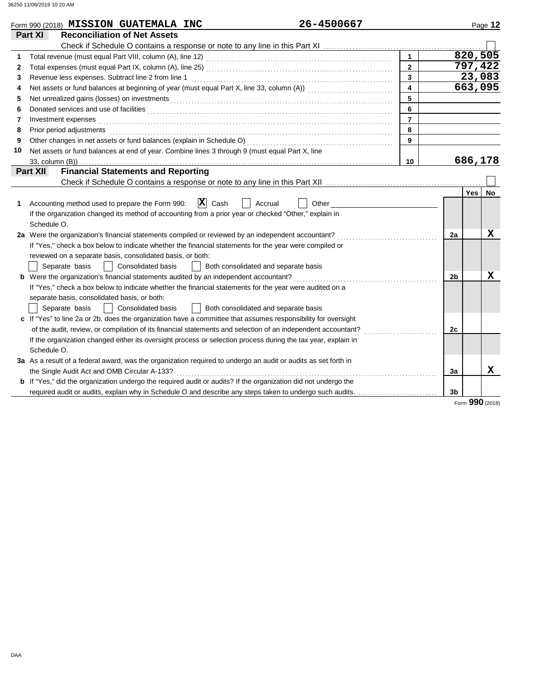|    | Form 990 (2018) MISSION GUATEMALA INC                                                                                                                                                                                          | 26-4500667                           |                | Page 12                 |
|----|--------------------------------------------------------------------------------------------------------------------------------------------------------------------------------------------------------------------------------|--------------------------------------|----------------|-------------------------|
|    | <b>Reconciliation of Net Assets</b><br>Part XI                                                                                                                                                                                 |                                      |                |                         |
|    |                                                                                                                                                                                                                                |                                      |                |                         |
| 1  | Total revenue (must equal Part VIII, column (A), line 12) [2010] [2010] [2010] [2010] [2010] [2010] [2010] [20                                                                                                                 | $\mathbf{1}$                         |                | 820,505                 |
| 2  |                                                                                                                                                                                                                                | $\overline{2}$                       |                | 797,422                 |
| 3  | Revenue less expenses. Subtract line 2 from line 1                                                                                                                                                                             | $\mathbf{3}$                         |                | 23,083                  |
| 4  |                                                                                                                                                                                                                                | $\overline{\mathbf{4}}$              |                | 663,095                 |
| 5  | Net unrealized gains (losses) on investments [11] Martin Martin Martin Martin Martin Martin Martin Martin Marti                                                                                                                | 5                                    |                |                         |
| 6  |                                                                                                                                                                                                                                | 6                                    |                |                         |
| 7  | Investment expenses <b>contract and the expenses</b>                                                                                                                                                                           | $\overline{7}$                       |                |                         |
| 8  | Prior period adjustments entertainments and according to the contract of the contract of the contract of the contract of the contract of the contract of the contract of the contract of the contract of the contract of the c | 8                                    |                |                         |
| 9  |                                                                                                                                                                                                                                | $\mathbf{9}$                         |                |                         |
| 10 | Net assets or fund balances at end of year. Combine lines 3 through 9 (must equal Part X, line                                                                                                                                 |                                      |                |                         |
|    | 33, column (B))                                                                                                                                                                                                                | 10                                   |                | 686,178                 |
|    | <b>Financial Statements and Reporting</b><br>Part XII                                                                                                                                                                          |                                      |                |                         |
|    |                                                                                                                                                                                                                                |                                      |                |                         |
|    |                                                                                                                                                                                                                                |                                      |                | <b>Yes</b><br><b>No</b> |
| 1  | $ \mathbf{X} $ Cash<br>Accounting method used to prepare the Form 990:                                                                                                                                                         | Accrual<br>Other                     |                |                         |
|    | If the organization changed its method of accounting from a prior year or checked "Other," explain in                                                                                                                          |                                      |                |                         |
|    | Schedule O.                                                                                                                                                                                                                    |                                      |                |                         |
|    | 2a Were the organization's financial statements compiled or reviewed by an independent accountant?                                                                                                                             |                                      | 2a             | x                       |
|    | If "Yes," check a box below to indicate whether the financial statements for the year were compiled or                                                                                                                         |                                      |                |                         |
|    | reviewed on a separate basis, consolidated basis, or both:                                                                                                                                                                     |                                      |                |                         |
|    | <b>Consolidated basis</b><br>Separate basis                                                                                                                                                                                    | Both consolidated and separate basis |                |                         |
|    |                                                                                                                                                                                                                                |                                      | 2 <sub>b</sub> | х                       |
|    | If "Yes," check a box below to indicate whether the financial statements for the year were audited on a                                                                                                                        |                                      |                |                         |
|    | separate basis, consolidated basis, or both:                                                                                                                                                                                   |                                      |                |                         |
|    | Separate basis<br>Consolidated basis                                                                                                                                                                                           | Both consolidated and separate basis |                |                         |
|    | c If "Yes" to line 2a or 2b, does the organization have a committee that assumes responsibility for oversight                                                                                                                  |                                      |                |                         |
|    | of the audit, review, or compilation of its financial statements and selection of an independent accountant?                                                                                                                   |                                      | 2c             |                         |
|    | If the organization changed either its oversight process or selection process during the tax year, explain in                                                                                                                  |                                      |                |                         |
|    | Schedule O.                                                                                                                                                                                                                    |                                      |                |                         |
|    | 3a As a result of a federal award, was the organization required to undergo an audit or audits as set forth in                                                                                                                 |                                      |                |                         |
|    | the Single Audit Act and OMB Circular A-133?                                                                                                                                                                                   |                                      | 3a             | X                       |
|    | <b>b</b> If "Yes," did the organization undergo the required audit or audits? If the organization did not undergo the                                                                                                          |                                      |                |                         |
|    | required audit or audits, explain why in Schedule O and describe any steps taken to undergo such audits.                                                                                                                       |                                      | 3b             |                         |
|    |                                                                                                                                                                                                                                |                                      |                | Form 990 (2018)         |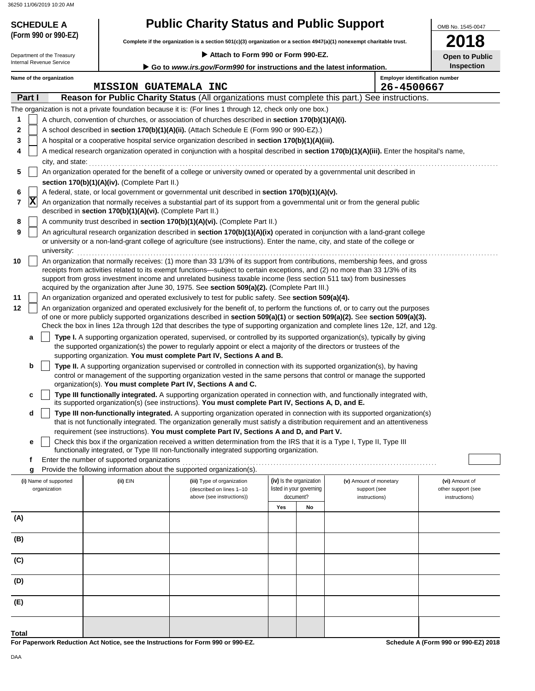# **SCHEDULE A Public Charity Status and Public Support**

**Complete if the organization is a section 501(c)(3) organization or a section 4947(a)(1) nonexempt charitable trust. (Form 990 or 990-EZ)**

 **Attach to Form 990 or Form 990-EZ.**

**2018 Open** to Publica the Publica of *Public* 2004

OMB No. 1545-0047

|     | Attach to Form 990 or Form 990-EZ.<br>Department of the Treasury |                                       |                                                            |                                                                                                                                                                                                                                                                                                                                                                                 |     | <b>Open to Public</b>                                |                                        |                                       |
|-----|------------------------------------------------------------------|---------------------------------------|------------------------------------------------------------|---------------------------------------------------------------------------------------------------------------------------------------------------------------------------------------------------------------------------------------------------------------------------------------------------------------------------------------------------------------------------------|-----|------------------------------------------------------|----------------------------------------|---------------------------------------|
|     |                                                                  | Internal Revenue Service              |                                                            | Go to www.irs.gov/Form990 for instructions and the latest information.                                                                                                                                                                                                                                                                                                          |     |                                                      |                                        | <b>Inspection</b>                     |
|     |                                                                  | Name of the organization              | <b>MISSION GUATEMALA INC</b>                               |                                                                                                                                                                                                                                                                                                                                                                                 |     |                                                      | 26-4500667                             | <b>Employer identification number</b> |
|     | Part I                                                           |                                       |                                                            | Reason for Public Charity Status (All organizations must complete this part.) See instructions.                                                                                                                                                                                                                                                                                 |     |                                                      |                                        |                                       |
|     |                                                                  |                                       |                                                            | The organization is not a private foundation because it is: (For lines 1 through 12, check only one box.)                                                                                                                                                                                                                                                                       |     |                                                      |                                        |                                       |
| 1   |                                                                  |                                       |                                                            | A church, convention of churches, or association of churches described in section 170(b)(1)(A)(i).                                                                                                                                                                                                                                                                              |     |                                                      |                                        |                                       |
| 2   |                                                                  |                                       |                                                            | A school described in section 170(b)(1)(A)(ii). (Attach Schedule E (Form 990 or 990-EZ).)                                                                                                                                                                                                                                                                                       |     |                                                      |                                        |                                       |
| 3   |                                                                  |                                       |                                                            | A hospital or a cooperative hospital service organization described in section 170(b)(1)(A)(iii).                                                                                                                                                                                                                                                                               |     |                                                      |                                        |                                       |
| 4   |                                                                  |                                       |                                                            | A medical research organization operated in conjunction with a hospital described in section 170(b)(1)(A)(iii). Enter the hospital's name,                                                                                                                                                                                                                                      |     |                                                      |                                        |                                       |
|     |                                                                  | city, and state:                      |                                                            |                                                                                                                                                                                                                                                                                                                                                                                 |     |                                                      |                                        |                                       |
| 5   |                                                                  |                                       |                                                            | An organization operated for the benefit of a college or university owned or operated by a governmental unit described in                                                                                                                                                                                                                                                       |     |                                                      |                                        |                                       |
|     |                                                                  |                                       | section 170(b)(1)(A)(iv). (Complete Part II.)              |                                                                                                                                                                                                                                                                                                                                                                                 |     |                                                      |                                        |                                       |
| 6   |                                                                  |                                       |                                                            | A federal, state, or local government or governmental unit described in section 170(b)(1)(A)(v).                                                                                                                                                                                                                                                                                |     |                                                      |                                        |                                       |
| 7   | $ \mathbf{X} $                                                   |                                       | described in section 170(b)(1)(A)(vi). (Complete Part II.) | An organization that normally receives a substantial part of its support from a governmental unit or from the general public                                                                                                                                                                                                                                                    |     |                                                      |                                        |                                       |
| 8   |                                                                  |                                       |                                                            | A community trust described in section 170(b)(1)(A)(vi). (Complete Part II.)                                                                                                                                                                                                                                                                                                    |     |                                                      |                                        |                                       |
| 9   |                                                                  |                                       |                                                            | An agricultural research organization described in section 170(b)(1)(A)(ix) operated in conjunction with a land-grant college<br>or university or a non-land-grant college of agriculture (see instructions). Enter the name, city, and state of the college or                                                                                                                 |     |                                                      |                                        |                                       |
|     |                                                                  | university:                           |                                                            |                                                                                                                                                                                                                                                                                                                                                                                 |     |                                                      |                                        |                                       |
| 10  |                                                                  |                                       |                                                            | An organization that normally receives: (1) more than 33 1/3% of its support from contributions, membership fees, and gross<br>receipts from activities related to its exempt functions—subject to certain exceptions, and (2) no more than 33 1/3% of its<br>support from gross investment income and unrelated business taxable income (less section 511 tax) from businesses |     |                                                      |                                        |                                       |
|     |                                                                  |                                       |                                                            | acquired by the organization after June 30, 1975. See section 509(a)(2). (Complete Part III.)                                                                                                                                                                                                                                                                                   |     |                                                      |                                        |                                       |
| 11  |                                                                  |                                       |                                                            | An organization organized and operated exclusively to test for public safety. See section 509(a)(4).<br>An organization organized and operated exclusively for the benefit of, to perform the functions of, or to carry out the purposes                                                                                                                                        |     |                                                      |                                        |                                       |
| 12  |                                                                  |                                       |                                                            | of one or more publicly supported organizations described in section 509(a)(1) or section 509(a)(2). See section 509(a)(3).                                                                                                                                                                                                                                                     |     |                                                      |                                        |                                       |
|     |                                                                  |                                       |                                                            | Check the box in lines 12a through 12d that describes the type of supporting organization and complete lines 12e, 12f, and 12g.                                                                                                                                                                                                                                                 |     |                                                      |                                        |                                       |
|     | a                                                                |                                       |                                                            | Type I. A supporting organization operated, supervised, or controlled by its supported organization(s), typically by giving                                                                                                                                                                                                                                                     |     |                                                      |                                        |                                       |
|     |                                                                  |                                       |                                                            | the supported organization(s) the power to regularly appoint or elect a majority of the directors or trustees of the                                                                                                                                                                                                                                                            |     |                                                      |                                        |                                       |
|     |                                                                  |                                       |                                                            | supporting organization. You must complete Part IV, Sections A and B.                                                                                                                                                                                                                                                                                                           |     |                                                      |                                        |                                       |
|     | b                                                                |                                       |                                                            | Type II. A supporting organization supervised or controlled in connection with its supported organization(s), by having                                                                                                                                                                                                                                                         |     |                                                      |                                        |                                       |
|     |                                                                  |                                       |                                                            | control or management of the supporting organization vested in the same persons that control or manage the supported<br>organization(s). You must complete Part IV, Sections A and C.                                                                                                                                                                                           |     |                                                      |                                        |                                       |
|     | с                                                                |                                       |                                                            | Type III functionally integrated. A supporting organization operated in connection with, and functionally integrated with,                                                                                                                                                                                                                                                      |     |                                                      |                                        |                                       |
|     |                                                                  |                                       |                                                            | its supported organization(s) (see instructions). You must complete Part IV, Sections A, D, and E.                                                                                                                                                                                                                                                                              |     |                                                      |                                        |                                       |
|     | d                                                                |                                       |                                                            | Type III non-functionally integrated. A supporting organization operated in connection with its supported organization(s)<br>that is not functionally integrated. The organization generally must satisfy a distribution requirement and an attentiveness                                                                                                                       |     |                                                      |                                        |                                       |
|     |                                                                  |                                       |                                                            | requirement (see instructions). You must complete Part IV, Sections A and D, and Part V.                                                                                                                                                                                                                                                                                        |     |                                                      |                                        |                                       |
|     | е                                                                |                                       |                                                            | Check this box if the organization received a written determination from the IRS that it is a Type I, Type II, Type III                                                                                                                                                                                                                                                         |     |                                                      |                                        |                                       |
|     |                                                                  |                                       |                                                            | functionally integrated, or Type III non-functionally integrated supporting organization.                                                                                                                                                                                                                                                                                       |     |                                                      |                                        |                                       |
|     |                                                                  |                                       | Enter the number of supported organizations                |                                                                                                                                                                                                                                                                                                                                                                                 |     |                                                      |                                        |                                       |
|     | g                                                                |                                       |                                                            | Provide the following information about the supported organization(s).                                                                                                                                                                                                                                                                                                          |     |                                                      |                                        |                                       |
|     |                                                                  | (i) Name of supported<br>organization | (ii) EIN                                                   | (iii) Type of organization<br>(described on lines 1-10                                                                                                                                                                                                                                                                                                                          |     | (iv) Is the organization<br>listed in your governing | (v) Amount of monetary<br>support (see | (vi) Amount of<br>other support (see  |
|     |                                                                  |                                       |                                                            | above (see instructions))                                                                                                                                                                                                                                                                                                                                                       |     | document?                                            | instructions)                          | instructions)                         |
|     |                                                                  |                                       |                                                            |                                                                                                                                                                                                                                                                                                                                                                                 | Yes | No                                                   |                                        |                                       |
| (A) |                                                                  |                                       |                                                            |                                                                                                                                                                                                                                                                                                                                                                                 |     |                                                      |                                        |                                       |
| (B) |                                                                  |                                       |                                                            |                                                                                                                                                                                                                                                                                                                                                                                 |     |                                                      |                                        |                                       |
|     |                                                                  |                                       |                                                            |                                                                                                                                                                                                                                                                                                                                                                                 |     |                                                      |                                        |                                       |
| (C) |                                                                  |                                       |                                                            |                                                                                                                                                                                                                                                                                                                                                                                 |     |                                                      |                                        |                                       |
| (D) |                                                                  |                                       |                                                            |                                                                                                                                                                                                                                                                                                                                                                                 |     |                                                      |                                        |                                       |
|     |                                                                  |                                       |                                                            |                                                                                                                                                                                                                                                                                                                                                                                 |     |                                                      |                                        |                                       |
| (E) |                                                                  |                                       |                                                            |                                                                                                                                                                                                                                                                                                                                                                                 |     |                                                      |                                        |                                       |
|     |                                                                  |                                       |                                                            |                                                                                                                                                                                                                                                                                                                                                                                 |     |                                                      |                                        |                                       |

**For Paperwork Reduction Act Notice, see the Instructions for Form 990 or 990-EZ.**

**Schedule A (Form 990 or 990-EZ) 2018**

**Total**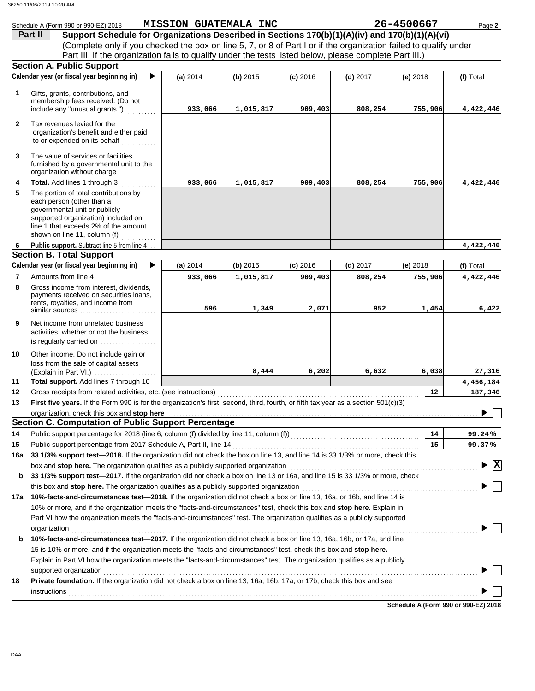|              | Schedule A (Form 990 or 990-EZ) 2018                                                                                                                                                                                                        | MISSION GUATEMALA INC |            |            |            | 26-4500667 | Page 2                             |
|--------------|---------------------------------------------------------------------------------------------------------------------------------------------------------------------------------------------------------------------------------------------|-----------------------|------------|------------|------------|------------|------------------------------------|
|              | Support Schedule for Organizations Described in Sections 170(b)(1)(A)(iv) and 170(b)(1)(A)(vi)<br>Part II                                                                                                                                   |                       |            |            |            |            |                                    |
|              | (Complete only if you checked the box on line 5, 7, or 8 of Part I or if the organization failed to qualify under                                                                                                                           |                       |            |            |            |            |                                    |
|              | Part III. If the organization fails to qualify under the tests listed below, please complete Part III.)                                                                                                                                     |                       |            |            |            |            |                                    |
|              | <b>Section A. Public Support</b>                                                                                                                                                                                                            |                       |            |            |            |            |                                    |
|              | Calendar year (or fiscal year beginning in)                                                                                                                                                                                                 | (a) 2014              | $(b)$ 2015 | $(c)$ 2016 | $(d)$ 2017 | $(e)$ 2018 | (f) Total                          |
| 1            | Gifts, grants, contributions, and                                                                                                                                                                                                           |                       |            |            |            |            |                                    |
|              | membership fees received. (Do not                                                                                                                                                                                                           |                       |            |            |            |            |                                    |
|              | include any "unusual grants.")                                                                                                                                                                                                              | 933,066               | 1,015,817  | 909,403    | 808,254    | 755,906    | 4,422,446                          |
| $\mathbf{2}$ | Tax revenues levied for the                                                                                                                                                                                                                 |                       |            |            |            |            |                                    |
|              | organization's benefit and either paid                                                                                                                                                                                                      |                       |            |            |            |            |                                    |
|              | to or expended on its behalf                                                                                                                                                                                                                |                       |            |            |            |            |                                    |
| 3            | The value of services or facilities                                                                                                                                                                                                         |                       |            |            |            |            |                                    |
|              | furnished by a governmental unit to the                                                                                                                                                                                                     |                       |            |            |            |            |                                    |
|              | organization without charge                                                                                                                                                                                                                 |                       |            |            |            |            |                                    |
| 4            | Total. Add lines 1 through 3                                                                                                                                                                                                                | 933,066               | 1,015,817  | 909,403    | 808,254    | 755,906    | 4,422,446                          |
| 5            | The portion of total contributions by<br>each person (other than a                                                                                                                                                                          |                       |            |            |            |            |                                    |
|              | governmental unit or publicly                                                                                                                                                                                                               |                       |            |            |            |            |                                    |
|              | supported organization) included on                                                                                                                                                                                                         |                       |            |            |            |            |                                    |
|              | line 1 that exceeds 2% of the amount                                                                                                                                                                                                        |                       |            |            |            |            |                                    |
|              | shown on line 11, column (f) $\ldots$<br><b>Public support.</b> Subtract line 5 from line 4                                                                                                                                                 |                       |            |            |            |            | 4,422,446                          |
| 6            | <b>Section B. Total Support</b>                                                                                                                                                                                                             |                       |            |            |            |            |                                    |
|              | Calendar year (or fiscal year beginning in)<br>▶                                                                                                                                                                                            | (a) 2014              | (b) 2015   | $(c)$ 2016 | $(d)$ 2017 | (e) $2018$ | (f) Total                          |
| 7            | Amounts from line 4                                                                                                                                                                                                                         | 933,066               | 1,015,817  | 909,403    | 808,254    | 755,906    | 4,422,446                          |
| 8            | Gross income from interest, dividends,                                                                                                                                                                                                      |                       |            |            |            |            |                                    |
|              | payments received on securities loans,                                                                                                                                                                                                      |                       |            |            |            |            |                                    |
|              | rents, royalties, and income from<br>similar sources                                                                                                                                                                                        | 596                   | 1,349      | 2,071      | 952        | 1,454      | 6,422                              |
|              |                                                                                                                                                                                                                                             |                       |            |            |            |            |                                    |
| 9            | Net income from unrelated business<br>activities, whether or not the business                                                                                                                                                               |                       |            |            |            |            |                                    |
|              | is regularly carried on $\ldots$ , $\ldots$ , $\ldots$                                                                                                                                                                                      |                       |            |            |            |            |                                    |
| 10           | Other income. Do not include gain or                                                                                                                                                                                                        |                       |            |            |            |            |                                    |
|              | loss from the sale of capital assets                                                                                                                                                                                                        |                       |            |            |            |            |                                    |
|              |                                                                                                                                                                                                                                             |                       |            |            |            |            |                                    |
|              | (Explain in Part VI.)                                                                                                                                                                                                                       |                       | 8,444      | 6,202      | 6,632      | 6,038      | 27,316                             |
| 11           | Total support. Add lines 7 through 10                                                                                                                                                                                                       |                       |            |            |            |            | 4,456,184                          |
| 12           |                                                                                                                                                                                                                                             |                       |            |            |            | 12         | 187,346                            |
| 13           | First five years. If the Form 990 is for the organization's first, second, third, fourth, or fifth tax year as a section 501(c)(3)                                                                                                          |                       |            |            |            |            | $\sim$ $\sim$                      |
|              | organization, check this box and stop here                                                                                                                                                                                                  |                       |            |            |            |            | ▶                                  |
|              | <b>Section C. Computation of Public Support Percentage</b>                                                                                                                                                                                  |                       |            |            |            |            |                                    |
| 14           |                                                                                                                                                                                                                                             |                       |            |            |            | 14         | 99.24%                             |
| 15           |                                                                                                                                                                                                                                             |                       |            |            |            | 15         | 99.37%                             |
| 16a          | 33 1/3% support test-2018. If the organization did not check the box on line 13, and line 14 is 33 1/3% or more, check this                                                                                                                 |                       |            |            |            |            |                                    |
|              | box and stop here. The organization qualifies as a publicly supported organization [11] content content content content content of the content of the content of the content of the content of the content of the content of t              |                       |            |            |            |            | $\blacktriangleright \overline{X}$ |
| b            | 33 1/3% support test-2017. If the organization did not check a box on line 13 or 16a, and line 15 is 33 1/3% or more, check                                                                                                                 |                       |            |            |            |            |                                    |
|              |                                                                                                                                                                                                                                             |                       |            |            |            |            |                                    |
| 17a          | 10%-facts-and-circumstances test-2018. If the organization did not check a box on line 13, 16a, or 16b, and line 14 is                                                                                                                      |                       |            |            |            |            |                                    |
|              | 10% or more, and if the organization meets the "facts-and-circumstances" test, check this box and stop here. Explain in                                                                                                                     |                       |            |            |            |            |                                    |
|              | Part VI how the organization meets the "facts-and-circumstances" test. The organization qualifies as a publicly supported                                                                                                                   |                       |            |            |            |            |                                    |
| b            | organization <b>contracts</b> and contracts are all the contracts of the contract of the contract of the contract of the contract of the contract of the contract of the contract of the contract of the contract of the contract o         |                       |            |            |            |            |                                    |
|              | 10%-facts-and-circumstances test-2017. If the organization did not check a box on line 13, 16a, 16b, or 17a, and line<br>15 is 10% or more, and if the organization meets the "facts-and-circumstances" test, check this box and stop here. |                       |            |            |            |            |                                    |
|              | Explain in Part VI how the organization meets the "facts-and-circumstances" test. The organization qualifies as a publicly                                                                                                                  |                       |            |            |            |            |                                    |
|              |                                                                                                                                                                                                                                             |                       |            |            |            |            |                                    |
| 18           | Private foundation. If the organization did not check a box on line 13, 16a, 16b, 17a, or 17b, check this box and see                                                                                                                       |                       |            |            |            |            |                                    |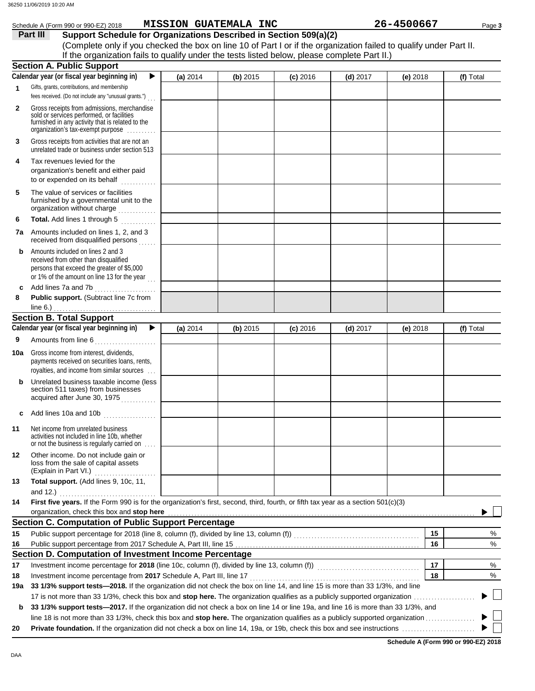|              | Schedule A (Form 990 or 990-EZ) 2018                                                                                                                                                                  |            | <b>MISSION GUATEMALA INC</b> |            |            | 26-4500667 | Page 3    |
|--------------|-------------------------------------------------------------------------------------------------------------------------------------------------------------------------------------------------------|------------|------------------------------|------------|------------|------------|-----------|
|              | Part III<br>Support Schedule for Organizations Described in Section 509(a)(2)                                                                                                                         |            |                              |            |            |            |           |
|              | (Complete only if you checked the box on line 10 of Part I or if the organization failed to qualify under Part II.                                                                                    |            |                              |            |            |            |           |
|              | If the organization fails to qualify under the tests listed below, please complete Part II.)                                                                                                          |            |                              |            |            |            |           |
|              | <b>Section A. Public Support</b>                                                                                                                                                                      |            |                              |            |            |            |           |
|              | Calendar year (or fiscal year beginning in)<br>▶                                                                                                                                                      | (a) 2014   | (b) 2015                     | $(c)$ 2016 | (d) $2017$ | (e) $2018$ | (f) Total |
| $\mathbf 1$  | Gifts, grants, contributions, and membership                                                                                                                                                          |            |                              |            |            |            |           |
|              | fees received. (Do not include any "unusual grants.")                                                                                                                                                 |            |                              |            |            |            |           |
| $\mathbf{2}$ | Gross receipts from admissions, merchandise<br>sold or services performed, or facilities<br>furnished in any activity that is related to the<br>organization's tax-exempt purpose                     |            |                              |            |            |            |           |
| 3            | Gross receipts from activities that are not an<br>unrelated trade or business under section 513                                                                                                       |            |                              |            |            |            |           |
| 4            | Tax revenues levied for the<br>organization's benefit and either paid<br>to or expended on its behalf                                                                                                 |            |                              |            |            |            |           |
| 5            | The value of services or facilities<br>furnished by a governmental unit to the<br>organization without charge                                                                                         |            |                              |            |            |            |           |
| 6            | Total. Add lines 1 through 5                                                                                                                                                                          |            |                              |            |            |            |           |
| 7a           | Amounts included on lines 1, 2, and 3<br>received from disqualified persons                                                                                                                           |            |                              |            |            |            |           |
| b            | Amounts included on lines 2 and 3<br>received from other than disqualified<br>persons that exceed the greater of \$5,000<br>or 1% of the amount on line 13 for the year                               |            |                              |            |            |            |           |
| c            | Add lines 7a and 7b                                                                                                                                                                                   |            |                              |            |            |            |           |
| 8            | Public support. (Subtract line 7c from<br>line $6.$ )                                                                                                                                                 |            |                              |            |            |            |           |
|              | <b>Section B. Total Support</b>                                                                                                                                                                       |            |                              |            |            |            |           |
|              | Calendar year (or fiscal year beginning in)<br>▶                                                                                                                                                      | (a) $2014$ | (b) $2015$                   | $(c)$ 2016 | (d) $2017$ | $(e)$ 2018 | (f) Total |
| 9            | Amounts from line 6                                                                                                                                                                                   |            |                              |            |            |            |           |
| 10a          | Gross income from interest, dividends,<br>payments received on securities loans, rents,<br>royalties, and income from similar sources                                                                 |            |                              |            |            |            |           |
| b            | Unrelated business taxable income (less<br>section 511 taxes) from businesses<br>acquired after June 30, 1975                                                                                         |            |                              |            |            |            |           |
| с            | Add lines 10a and 10b                                                                                                                                                                                 |            |                              |            |            |            |           |
| 11           | Net income from unrelated business<br>activities not included in line 10b, whether<br>or not the business is regularly carried on                                                                     |            |                              |            |            |            |           |
| 12           | Other income. Do not include gain or<br>loss from the sale of capital assets<br>(Explain in Part VI.)                                                                                                 |            |                              |            |            |            |           |
| 13           | Total support. (Add lines 9, 10c, 11,                                                                                                                                                                 |            |                              |            |            |            |           |
| 14           | and 12.) $\ldots$<br>First five years. If the Form 990 is for the organization's first, second, third, fourth, or fifth tax year as a section 501(c)(3)<br>organization, check this box and stop here |            |                              |            |            |            |           |
|              | <b>Section C. Computation of Public Support Percentage</b>                                                                                                                                            |            |                              |            |            |            |           |
| 15           |                                                                                                                                                                                                       |            |                              |            |            | 15         | %         |
| 16           |                                                                                                                                                                                                       |            |                              |            |            | 16         | $\%$      |
|              | Section D. Computation of Investment Income Percentage                                                                                                                                                |            |                              |            |            |            |           |
| 17           |                                                                                                                                                                                                       |            |                              |            |            | 17         | %         |
|              |                                                                                                                                                                                                       |            |                              |            |            | 18         | %         |
|              |                                                                                                                                                                                                       |            |                              |            |            |            |           |
| 18<br>19a    | 33 1/3% support tests-2018. If the organization did not check the box on line 14, and line 15 is more than 33 1/3%, and line                                                                          |            |                              |            |            |            |           |
|              |                                                                                                                                                                                                       |            |                              |            |            |            |           |
| b            | 33 1/3% support tests-2017. If the organization did not check a box on line 14 or line 19a, and line 16 is more than 33 1/3%, and                                                                     |            |                              |            |            |            |           |

**20 Private foundation.** If the organization did not check a box on line 14, 19a, or 19b, check this box and see instructions . . . . . . . . . . . . . . . . . . . . . . . . .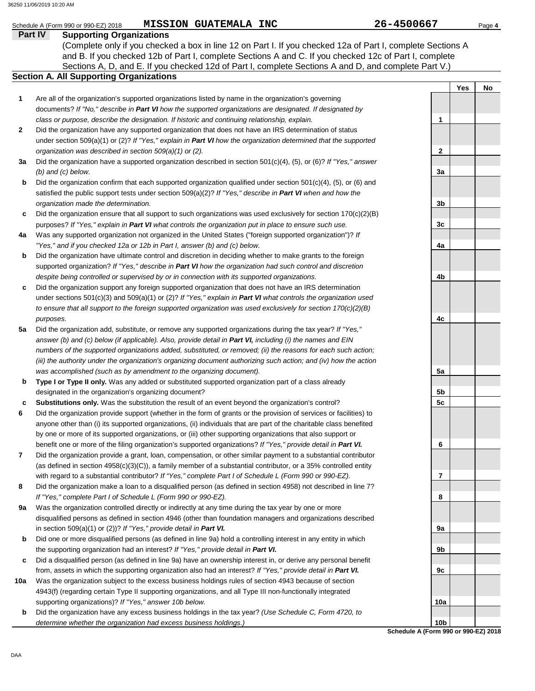### Schedule A (Form 990 or 990-EZ) 2018 **MISSION GUATEMALA INC** 26-4500667 Page 4

### **Part IV Supporting Organizations**

Sections A, D, and E. If you checked 12d of Part I, complete Sections A and D, and complete Part V.) **Section A. All Supporting Organizations** (Complete only if you checked a box in line 12 on Part I. If you checked 12a of Part I, complete Sections A and B. If you checked 12b of Part I, complete Sections A and C. If you checked 12c of Part I, complete

### Are all of the organization's supported organizations listed by name in the organization's governing documents? *If "No," describe in Part VI how the supported organizations are designated. If designated by class or purpose, describe the designation. If historic and continuing relationship, explain.* **1**

- Did the organization have any supported organization that does not have an IRS determination of status under section 509(a)(1) or (2)? *If "Yes," explain in Part VI how the organization determined that the supported organization was described in section 509(a)(1) or (2).* **2**
- **3a** Did the organization have a supported organization described in section 501(c)(4), (5), or (6)? *If "Yes," answer (b) and (c) below.*
- **b** Did the organization confirm that each supported organization qualified under section 501(c)(4), (5), or (6) and satisfied the public support tests under section 509(a)(2)? *If "Yes," describe in Part VI when and how the organization made the determination.*
- **c** Did the organization ensure that all support to such organizations was used exclusively for section 170(c)(2)(B) purposes? *If "Yes," explain in Part VI what controls the organization put in place to ensure such use.*
- **4a** Was any supported organization not organized in the United States ("foreign supported organization")? *If "Yes," and if you checked 12a or 12b in Part I, answer (b) and (c) below.*
- **b** Did the organization have ultimate control and discretion in deciding whether to make grants to the foreign supported organization? *If "Yes," describe in Part VI how the organization had such control and discretion despite being controlled or supervised by or in connection with its supported organizations.*
- **c** Did the organization support any foreign supported organization that does not have an IRS determination under sections 501(c)(3) and 509(a)(1) or (2)? *If "Yes," explain in Part VI what controls the organization used to ensure that all support to the foreign supported organization was used exclusively for section 170(c)(2)(B) purposes.*
- **5a** Did the organization add, substitute, or remove any supported organizations during the tax year? *If "Yes,"* answer (b) and (c) below (if applicable). Also, provide detail in Part VI, including (i) the names and EIN *numbers of the supported organizations added, substituted, or removed; (ii) the reasons for each such action; (iii) the authority under the organization's organizing document authorizing such action; and (iv) how the action was accomplished (such as by amendment to the organizing document).*
- **b Type I or Type II only.** Was any added or substituted supported organization part of a class already designated in the organization's organizing document?
- **c Substitutions only.** Was the substitution the result of an event beyond the organization's control?
- **6** Did the organization provide support (whether in the form of grants or the provision of services or facilities) to anyone other than (i) its supported organizations, (ii) individuals that are part of the charitable class benefited by one or more of its supported organizations, or (iii) other supporting organizations that also support or benefit one or more of the filing organization's supported organizations? *If "Yes," provide detail in Part VI.*
- **7** Did the organization provide a grant, loan, compensation, or other similar payment to a substantial contributor (as defined in section 4958(c)(3)(C)), a family member of a substantial contributor, or a 35% controlled entity with regard to a substantial contributor? *If "Yes," complete Part I of Schedule L (Form 990 or 990-EZ).*
- **8** Did the organization make a loan to a disqualified person (as defined in section 4958) not described in line 7? *If "Yes," complete Part I of Schedule L (Form 990 or 990-EZ).*
- **9a** Was the organization controlled directly or indirectly at any time during the tax year by one or more disqualified persons as defined in section 4946 (other than foundation managers and organizations described in section 509(a)(1) or (2))? *If "Yes," provide detail in Part VI.*
- **b** Did one or more disqualified persons (as defined in line 9a) hold a controlling interest in any entity in which the supporting organization had an interest? *If "Yes," provide detail in Part VI.*
- **c** Did a disqualified person (as defined in line 9a) have an ownership interest in, or derive any personal benefit from, assets in which the supporting organization also had an interest? *If "Yes," provide detail in Part VI.*
- **10a** Was the organization subject to the excess business holdings rules of section 4943 because of section 4943(f) (regarding certain Type II supporting organizations, and all Type III non-functionally integrated supporting organizations)? *If "Yes," answer 10b below.*
	- **b** Did the organization have any excess business holdings in the tax year? *(Use Schedule C, Form 4720, to determine whether the organization had excess business holdings.)*

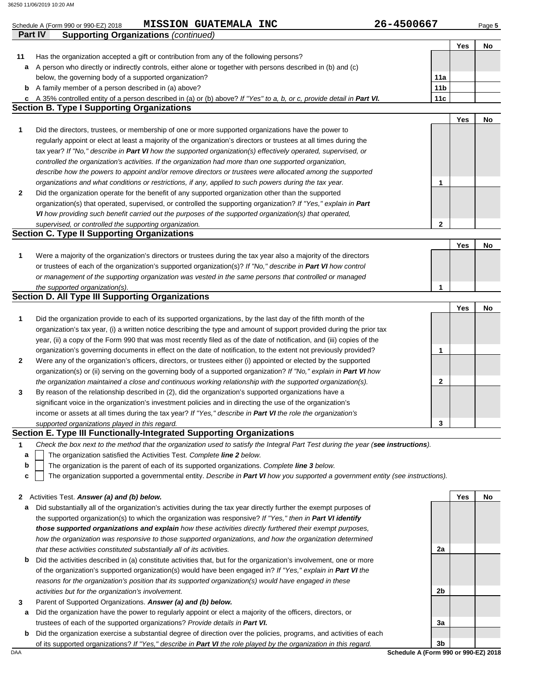| Part IV      | MISSION GUATEMALA INC<br>Schedule A (Form 990 or 990-EZ) 2018<br><b>Supporting Organizations (continued)</b>                                                                                                              | 26-4500667      |     | Page 5 |
|--------------|---------------------------------------------------------------------------------------------------------------------------------------------------------------------------------------------------------------------------|-----------------|-----|--------|
|              |                                                                                                                                                                                                                           |                 | Yes | No     |
| 11           | Has the organization accepted a gift or contribution from any of the following persons?                                                                                                                                   |                 |     |        |
| а            | A person who directly or indirectly controls, either alone or together with persons described in (b) and (c)                                                                                                              |                 |     |        |
|              | below, the governing body of a supported organization?                                                                                                                                                                    | 11a             |     |        |
| b            | A family member of a person described in (a) above?                                                                                                                                                                       | 11 <sub>b</sub> |     |        |
| C            | A 35% controlled entity of a person described in (a) or (b) above? If "Yes" to a, b, or c, provide detail in Part VI.                                                                                                     | 11c             |     |        |
|              | <b>Section B. Type I Supporting Organizations</b>                                                                                                                                                                         |                 |     |        |
|              |                                                                                                                                                                                                                           |                 | Yes | No     |
| 1            | Did the directors, trustees, or membership of one or more supported organizations have the power to                                                                                                                       |                 |     |        |
|              | regularly appoint or elect at least a majority of the organization's directors or trustees at all times during the                                                                                                        |                 |     |        |
|              | tax year? If "No," describe in Part VI how the supported organization(s) effectively operated, supervised, or                                                                                                             |                 |     |        |
|              | controlled the organization's activities. If the organization had more than one supported organization,                                                                                                                   |                 |     |        |
|              | describe how the powers to appoint and/or remove directors or trustees were allocated among the supported                                                                                                                 |                 |     |        |
|              | organizations and what conditions or restrictions, if any, applied to such powers during the tax year.                                                                                                                    | 1               |     |        |
| 2            | Did the organization operate for the benefit of any supported organization other than the supported                                                                                                                       |                 |     |        |
|              | organization(s) that operated, supervised, or controlled the supporting organization? If "Yes," explain in Part<br>VI how providing such benefit carried out the purposes of the supported organization(s) that operated, |                 |     |        |
|              | supervised, or controlled the supporting organization.                                                                                                                                                                    | $\mathbf{2}$    |     |        |
|              | <b>Section C. Type II Supporting Organizations</b>                                                                                                                                                                        |                 |     |        |
|              |                                                                                                                                                                                                                           |                 | Yes | No     |
| 1            | Were a majority of the organization's directors or trustees during the tax year also a majority of the directors                                                                                                          |                 |     |        |
|              | or trustees of each of the organization's supported organization(s)? If "No," describe in Part VI how control                                                                                                             |                 |     |        |
|              | or management of the supporting organization was vested in the same persons that controlled or managed                                                                                                                    |                 |     |        |
|              | the supported organization(s).                                                                                                                                                                                            | $\mathbf 1$     |     |        |
|              | <b>Section D. All Type III Supporting Organizations</b>                                                                                                                                                                   |                 |     |        |
|              |                                                                                                                                                                                                                           |                 | Yes | No     |
| 1            | Did the organization provide to each of its supported organizations, by the last day of the fifth month of the                                                                                                            |                 |     |        |
|              | organization's tax year, (i) a written notice describing the type and amount of support provided during the prior tax                                                                                                     |                 |     |        |
|              | year, (ii) a copy of the Form 990 that was most recently filed as of the date of notification, and (iii) copies of the                                                                                                    |                 |     |        |
|              | organization's governing documents in effect on the date of notification, to the extent not previously provided?                                                                                                          | 1               |     |        |
| $\mathbf{2}$ | Were any of the organization's officers, directors, or trustees either (i) appointed or elected by the supported                                                                                                          |                 |     |        |
|              | organization(s) or (ii) serving on the governing body of a supported organization? If "No," explain in Part VI how                                                                                                        |                 |     |        |
|              | the organization maintained a close and continuous working relationship with the supported organization(s).                                                                                                               | 2               |     |        |
| 3            | By reason of the relationship described in (2), did the organization's supported organizations have a                                                                                                                     |                 |     |        |
|              | significant voice in the organization's investment policies and in directing the use of the organization's                                                                                                                |                 |     |        |
|              | income or assets at all times during the tax year? If "Yes," describe in Part VI the role the organization's                                                                                                              |                 |     |        |
|              | supported organizations played in this regard.                                                                                                                                                                            | 3               |     |        |
|              | Section E. Type III Functionally-Integrated Supporting Organizations                                                                                                                                                      |                 |     |        |
| $\mathbf{1}$ | Check the box next to the method that the organization used to satisfy the Integral Part Test during the year (see instructions).                                                                                         |                 |     |        |
| a            | The organization satisfied the Activities Test. Complete line 2 below.                                                                                                                                                    |                 |     |        |
| b            | The organization is the parent of each of its supported organizations. Complete line 3 below.                                                                                                                             |                 |     |        |
| c            | The organization supported a governmental entity. Describe in Part VI how you supported a government entity (see instructions).                                                                                           |                 |     |        |
| $\mathbf{2}$ | Activities Test. Answer (a) and (b) below.                                                                                                                                                                                |                 | Yes | No     |
| а            | Did substantially all of the organization's activities during the tax year directly further the exempt purposes of                                                                                                        |                 |     |        |
|              | the supported organization(s) to which the organization was responsive? If "Yes," then in Part VI identify                                                                                                                |                 |     |        |
|              | those supported organizations and explain how these activities directly furthered their exempt purposes,                                                                                                                  |                 |     |        |
|              | how the organization was responsive to those supported organizations, and how the organization determined                                                                                                                 |                 |     |        |
|              | that these activities constituted substantially all of its activities.                                                                                                                                                    | 2a              |     |        |
| b            | Did the activities described in (a) constitute activities that, but for the organization's involvement, one or more                                                                                                       |                 |     |        |
|              | of the organization's supported organization(s) would have been engaged in? If "Yes," explain in Part VI the                                                                                                              |                 |     |        |
|              | reasons for the organization's position that its supported organization(s) would have engaged in these                                                                                                                    |                 |     |        |
|              |                                                                                                                                                                                                                           | 2b              |     |        |
|              | activities but for the organization's involvement.                                                                                                                                                                        |                 |     |        |
| 3            | Parent of Supported Organizations. Answer (a) and (b) below.                                                                                                                                                              |                 |     |        |
|              |                                                                                                                                                                                                                           |                 |     |        |
| а            | Did the organization have the power to regularly appoint or elect a majority of the officers, directors, or<br>trustees of each of the supported organizations? Provide details in Part VI.                               | За              |     |        |

**b** Did the organization exercise a substantial degree of direction over the policies, programs, and activities of each of its supported organizations? *If "Yes," describe in Part VI the role played by the organization in this regard.*

DAA **Schedule A (Form 990 or 990-EZ) 2018 3b**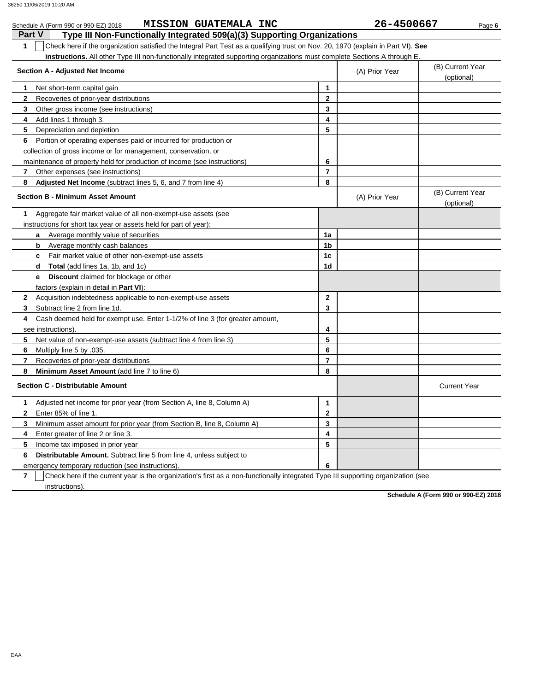| <b>MISSION GUATEMALA INC</b><br>Schedule A (Form 990 or 990-EZ) 2018                                                                   |                | 26-4500667     | Page 6                         |
|----------------------------------------------------------------------------------------------------------------------------------------|----------------|----------------|--------------------------------|
| <b>Part V</b><br>Type III Non-Functionally Integrated 509(a)(3) Supporting Organizations                                               |                |                |                                |
| Check here if the organization satisfied the Integral Part Test as a qualifying trust on Nov. 20, 1970 (explain in Part VI). See<br>1  |                |                |                                |
| instructions. All other Type III non-functionally integrated supporting organizations must complete Sections A through E               |                |                |                                |
| Section A - Adjusted Net Income                                                                                                        |                | (A) Prior Year | (B) Current Year<br>(optional) |
| Net short-term capital gain<br>1                                                                                                       | 1              |                |                                |
| 2<br>Recoveries of prior-year distributions                                                                                            | $\mathbf{2}$   |                |                                |
| 3<br>Other gross income (see instructions)                                                                                             | 3              |                |                                |
| 4<br>Add lines 1 through 3.                                                                                                            | 4              |                |                                |
| 5<br>Depreciation and depletion                                                                                                        | 5              |                |                                |
| Portion of operating expenses paid or incurred for production or<br>6                                                                  |                |                |                                |
| collection of gross income or for management, conservation, or                                                                         |                |                |                                |
| maintenance of property held for production of income (see instructions)                                                               | 6              |                |                                |
| 7<br>Other expenses (see instructions)                                                                                                 | 7              |                |                                |
| 8<br><b>Adjusted Net Income</b> (subtract lines 5, 6, and 7 from line 4)                                                               | 8              |                |                                |
| <b>Section B - Minimum Asset Amount</b>                                                                                                |                | (A) Prior Year | (B) Current Year<br>(optional) |
| Aggregate fair market value of all non-exempt-use assets (see<br>1                                                                     |                |                |                                |
| instructions for short tax year or assets held for part of year):                                                                      |                |                |                                |
| Average monthly value of securities<br>a                                                                                               | 1a             |                |                                |
| Average monthly cash balances<br>b                                                                                                     | 1b             |                |                                |
| Fair market value of other non-exempt-use assets<br>c                                                                                  | 1c             |                |                                |
| <b>Total</b> (add lines 1a, 1b, and 1c)<br>d                                                                                           | 1d             |                |                                |
| <b>Discount</b> claimed for blockage or other<br>е                                                                                     |                |                |                                |
| factors (explain in detail in <b>Part VI</b> ):                                                                                        |                |                |                                |
| Acquisition indebtedness applicable to non-exempt-use assets<br>2                                                                      | 2              |                |                                |
| Subtract line 2 from line 1d.<br>3                                                                                                     | 3              |                |                                |
| Cash deemed held for exempt use. Enter 1-1/2% of line 3 (for greater amount,<br>4                                                      |                |                |                                |
| see instructions).                                                                                                                     | 4              |                |                                |
| 5<br>Net value of non-exempt-use assets (subtract line 4 from line 3)                                                                  | 5              |                |                                |
| 6<br>Multiply line 5 by .035.                                                                                                          | 6              |                |                                |
| 7<br>Recoveries of prior-year distributions                                                                                            | $\overline{7}$ |                |                                |
| 8<br><b>Minimum Asset Amount</b> (add line 7 to line 6)                                                                                | 8              |                |                                |
| <b>Section C - Distributable Amount</b>                                                                                                |                |                | <b>Current Year</b>            |
| Adjusted net income for prior year (from Section A, line 8, Column A)                                                                  | 1              |                |                                |
| Enter 85% of line 1.<br>2                                                                                                              | 2              |                |                                |
| 3<br>Minimum asset amount for prior year (from Section B, line 8, Column A)                                                            | 3              |                |                                |
| Enter greater of line 2 or line 3.<br>4                                                                                                | 4              |                |                                |
| 5<br>Income tax imposed in prior year                                                                                                  | 5              |                |                                |
| Distributable Amount. Subtract line 5 from line 4, unless subject to<br>6                                                              |                |                |                                |
| emergency temporary reduction (see instructions).                                                                                      | 6              |                |                                |
| Check here if the current year is the organization's first as a non-functionally integrated Type III supporting organization (see<br>7 |                |                |                                |
| instructions).                                                                                                                         |                |                |                                |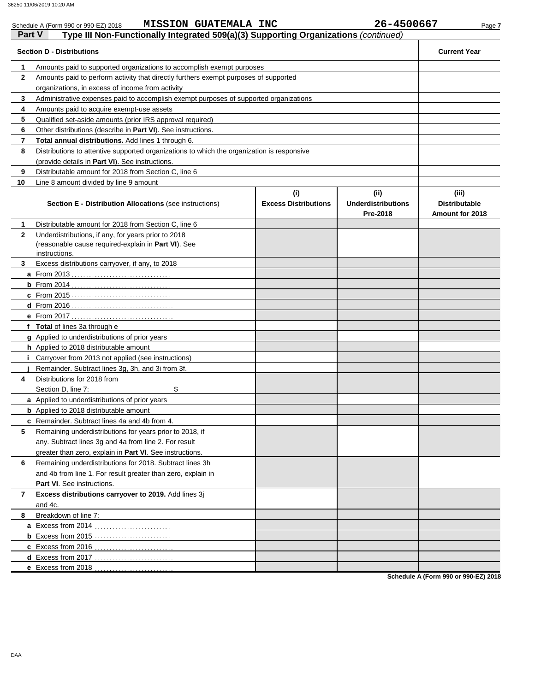| <b>Part V</b> | <b>MISSION GUATEMALA INC</b><br>Schedule A (Form 990 or 990-EZ) 2018<br>Type III Non-Functionally Integrated 509(a)(3) Supporting Organizations (continued) |                                    | 26-4500667                                    | Page 7                                           |  |  |  |  |
|---------------|-------------------------------------------------------------------------------------------------------------------------------------------------------------|------------------------------------|-----------------------------------------------|--------------------------------------------------|--|--|--|--|
|               | <b>Section D - Distributions</b>                                                                                                                            |                                    |                                               | <b>Current Year</b>                              |  |  |  |  |
| 1             | Amounts paid to supported organizations to accomplish exempt purposes                                                                                       |                                    |                                               |                                                  |  |  |  |  |
| $\mathbf{2}$  | Amounts paid to perform activity that directly furthers exempt purposes of supported                                                                        |                                    |                                               |                                                  |  |  |  |  |
|               | organizations, in excess of income from activity                                                                                                            |                                    |                                               |                                                  |  |  |  |  |
| 3             | Administrative expenses paid to accomplish exempt purposes of supported organizations                                                                       |                                    |                                               |                                                  |  |  |  |  |
| 4             | Amounts paid to acquire exempt-use assets                                                                                                                   |                                    |                                               |                                                  |  |  |  |  |
| 5             | Qualified set-aside amounts (prior IRS approval required)                                                                                                   |                                    |                                               |                                                  |  |  |  |  |
| 6             | Other distributions (describe in <b>Part VI</b> ). See instructions.                                                                                        |                                    |                                               |                                                  |  |  |  |  |
| 7             | Total annual distributions. Add lines 1 through 6.                                                                                                          |                                    |                                               |                                                  |  |  |  |  |
| 8             | Distributions to attentive supported organizations to which the organization is responsive                                                                  |                                    |                                               |                                                  |  |  |  |  |
|               | (provide details in Part VI). See instructions.                                                                                                             |                                    |                                               |                                                  |  |  |  |  |
| 9             | Distributable amount for 2018 from Section C, line 6                                                                                                        |                                    |                                               |                                                  |  |  |  |  |
| 10            | Line 8 amount divided by line 9 amount                                                                                                                      |                                    |                                               |                                                  |  |  |  |  |
|               | <b>Section E - Distribution Allocations (see instructions)</b>                                                                                              | (i)<br><b>Excess Distributions</b> | (ii)<br><b>Underdistributions</b><br>Pre-2018 | (iii)<br><b>Distributable</b><br>Amount for 2018 |  |  |  |  |
| 1.            | Distributable amount for 2018 from Section C, line 6                                                                                                        |                                    |                                               |                                                  |  |  |  |  |
| $\mathbf{2}$  | Underdistributions, if any, for years prior to 2018                                                                                                         |                                    |                                               |                                                  |  |  |  |  |
|               | (reasonable cause required-explain in Part VI). See                                                                                                         |                                    |                                               |                                                  |  |  |  |  |
|               | instructions.                                                                                                                                               |                                    |                                               |                                                  |  |  |  |  |
| 3             | Excess distributions carryover, if any, to 2018                                                                                                             |                                    |                                               |                                                  |  |  |  |  |
|               |                                                                                                                                                             |                                    |                                               |                                                  |  |  |  |  |
|               |                                                                                                                                                             |                                    |                                               |                                                  |  |  |  |  |
|               |                                                                                                                                                             |                                    |                                               |                                                  |  |  |  |  |
|               |                                                                                                                                                             |                                    |                                               |                                                  |  |  |  |  |
|               |                                                                                                                                                             |                                    |                                               |                                                  |  |  |  |  |
|               | f Total of lines 3a through e                                                                                                                               |                                    |                                               |                                                  |  |  |  |  |
|               | g Applied to underdistributions of prior years                                                                                                              |                                    |                                               |                                                  |  |  |  |  |
|               | h Applied to 2018 distributable amount                                                                                                                      |                                    |                                               |                                                  |  |  |  |  |
|               | Carryover from 2013 not applied (see instructions)<br>Remainder. Subtract lines 3g, 3h, and 3i from 3f.                                                     |                                    |                                               |                                                  |  |  |  |  |
| 4             | Distributions for 2018 from                                                                                                                                 |                                    |                                               |                                                  |  |  |  |  |
|               | Section D, line 7:<br>\$                                                                                                                                    |                                    |                                               |                                                  |  |  |  |  |
|               | a Applied to underdistributions of prior years                                                                                                              |                                    |                                               |                                                  |  |  |  |  |
|               | <b>b</b> Applied to 2018 distributable amount                                                                                                               |                                    |                                               |                                                  |  |  |  |  |
|               | <b>c</b> Remainder. Subtract lines 4a and 4b from 4.                                                                                                        |                                    |                                               |                                                  |  |  |  |  |
| 5             | Remaining underdistributions for years prior to 2018, if                                                                                                    |                                    |                                               |                                                  |  |  |  |  |
|               | any. Subtract lines 3g and 4a from line 2. For result                                                                                                       |                                    |                                               |                                                  |  |  |  |  |
|               | greater than zero, explain in Part VI. See instructions.                                                                                                    |                                    |                                               |                                                  |  |  |  |  |
| 6             | Remaining underdistributions for 2018. Subtract lines 3h                                                                                                    |                                    |                                               |                                                  |  |  |  |  |
|               | and 4b from line 1. For result greater than zero, explain in                                                                                                |                                    |                                               |                                                  |  |  |  |  |
|               | <b>Part VI.</b> See instructions.                                                                                                                           |                                    |                                               |                                                  |  |  |  |  |
| 7             | Excess distributions carryover to 2019. Add lines 3j                                                                                                        |                                    |                                               |                                                  |  |  |  |  |
|               | and 4c.                                                                                                                                                     |                                    |                                               |                                                  |  |  |  |  |
| 8             | Breakdown of line 7:                                                                                                                                        |                                    |                                               |                                                  |  |  |  |  |
|               |                                                                                                                                                             |                                    |                                               |                                                  |  |  |  |  |
|               |                                                                                                                                                             |                                    |                                               |                                                  |  |  |  |  |
|               | c Excess from 2016                                                                                                                                          |                                    |                                               |                                                  |  |  |  |  |
|               | d Excess from 2017                                                                                                                                          |                                    |                                               |                                                  |  |  |  |  |
|               | e Excess from 2018                                                                                                                                          |                                    |                                               |                                                  |  |  |  |  |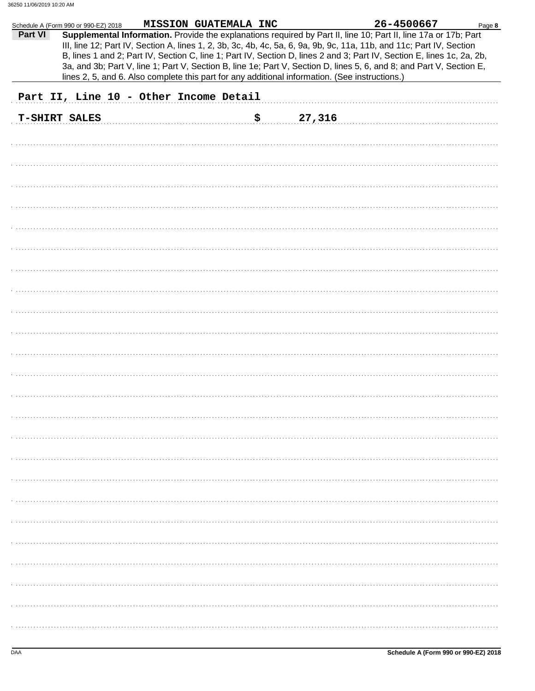|         | Schedule A (Form 990 or 990-EZ) 2018 |                                        | MISSION GUATEMALA INC |                                                                                                                                                                                                                                                                                                                                                                                                                                                                                                                                                                                             | 26-4500667 | Page 8 |
|---------|--------------------------------------|----------------------------------------|-----------------------|---------------------------------------------------------------------------------------------------------------------------------------------------------------------------------------------------------------------------------------------------------------------------------------------------------------------------------------------------------------------------------------------------------------------------------------------------------------------------------------------------------------------------------------------------------------------------------------------|------------|--------|
| Part VI |                                      |                                        |                       | Supplemental Information. Provide the explanations required by Part II, line 10; Part II, line 17a or 17b; Part<br>III, line 12; Part IV, Section A, lines 1, 2, 3b, 3c, 4b, 4c, 5a, 6, 9a, 9b, 9c, 11a, 11b, and 11c; Part IV, Section<br>B, lines 1 and 2; Part IV, Section C, line 1; Part IV, Section D, lines 2 and 3; Part IV, Section E, lines 1c, 2a, 2b,<br>3a, and 3b; Part V, line 1; Part V, Section B, line 1e; Part V, Section D, lines 5, 6, and 8; and Part V, Section E,<br>lines 2, 5, and 6. Also complete this part for any additional information. (See instructions.) |            |        |
|         |                                      | Part II, Line 10 - Other Income Detail |                       |                                                                                                                                                                                                                                                                                                                                                                                                                                                                                                                                                                                             |            |        |
|         | <b>T-SHIRT SALES</b>                 |                                        | \$                    | 27,316                                                                                                                                                                                                                                                                                                                                                                                                                                                                                                                                                                                      |            |        |
|         |                                      |                                        |                       |                                                                                                                                                                                                                                                                                                                                                                                                                                                                                                                                                                                             |            |        |
|         |                                      |                                        |                       |                                                                                                                                                                                                                                                                                                                                                                                                                                                                                                                                                                                             |            |        |
|         |                                      |                                        |                       |                                                                                                                                                                                                                                                                                                                                                                                                                                                                                                                                                                                             |            |        |
|         |                                      |                                        |                       |                                                                                                                                                                                                                                                                                                                                                                                                                                                                                                                                                                                             |            |        |
|         |                                      |                                        |                       |                                                                                                                                                                                                                                                                                                                                                                                                                                                                                                                                                                                             |            |        |
|         |                                      |                                        |                       |                                                                                                                                                                                                                                                                                                                                                                                                                                                                                                                                                                                             |            |        |
|         |                                      |                                        |                       |                                                                                                                                                                                                                                                                                                                                                                                                                                                                                                                                                                                             |            |        |
|         |                                      |                                        |                       |                                                                                                                                                                                                                                                                                                                                                                                                                                                                                                                                                                                             |            |        |
|         |                                      |                                        |                       |                                                                                                                                                                                                                                                                                                                                                                                                                                                                                                                                                                                             |            |        |
|         |                                      |                                        |                       |                                                                                                                                                                                                                                                                                                                                                                                                                                                                                                                                                                                             |            |        |
|         |                                      |                                        |                       |                                                                                                                                                                                                                                                                                                                                                                                                                                                                                                                                                                                             |            |        |
|         |                                      |                                        |                       |                                                                                                                                                                                                                                                                                                                                                                                                                                                                                                                                                                                             |            |        |
|         |                                      |                                        |                       |                                                                                                                                                                                                                                                                                                                                                                                                                                                                                                                                                                                             |            |        |
|         |                                      |                                        |                       |                                                                                                                                                                                                                                                                                                                                                                                                                                                                                                                                                                                             |            |        |
|         |                                      |                                        |                       |                                                                                                                                                                                                                                                                                                                                                                                                                                                                                                                                                                                             |            |        |
|         |                                      |                                        |                       |                                                                                                                                                                                                                                                                                                                                                                                                                                                                                                                                                                                             |            |        |
|         |                                      |                                        |                       |                                                                                                                                                                                                                                                                                                                                                                                                                                                                                                                                                                                             |            |        |
|         |                                      |                                        |                       |                                                                                                                                                                                                                                                                                                                                                                                                                                                                                                                                                                                             |            |        |
|         |                                      |                                        |                       |                                                                                                                                                                                                                                                                                                                                                                                                                                                                                                                                                                                             |            |        |
|         |                                      |                                        |                       |                                                                                                                                                                                                                                                                                                                                                                                                                                                                                                                                                                                             |            |        |
|         |                                      |                                        |                       |                                                                                                                                                                                                                                                                                                                                                                                                                                                                                                                                                                                             |            |        |
|         |                                      |                                        |                       |                                                                                                                                                                                                                                                                                                                                                                                                                                                                                                                                                                                             |            |        |
|         |                                      |                                        |                       |                                                                                                                                                                                                                                                                                                                                                                                                                                                                                                                                                                                             |            |        |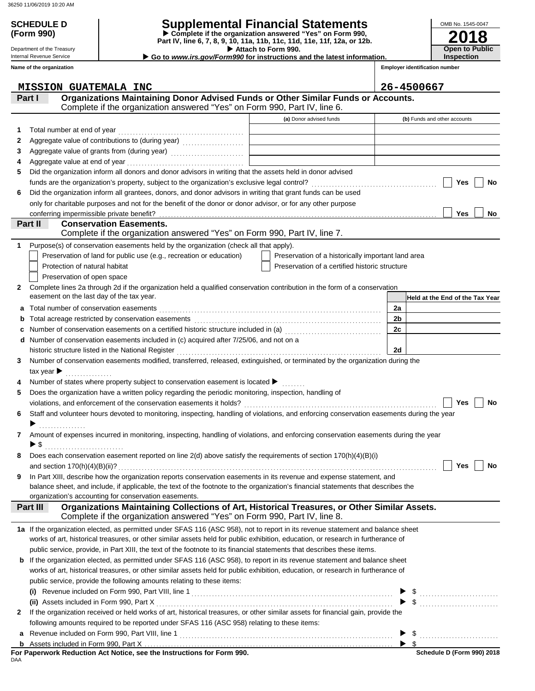# **(Form 990)**

## **SCHEDULE D Supplemental Financial Statements**

 **Attach to Form 990. Part IV, line 6, 7, 8, 9, 10, 11a, 11b, 11c, 11d, 11e, 11f, 12a, or 12b. Complete if the organization answered "Yes" on Form 990,**

 **Go to** *www.irs.gov/Form990* **for instructions and the latest information.**

Department of the Treasury Internal Revenue Service **Name of the organization**

**Employer identification number**

**2018**

**Open to Public Inspection**

OMB No. 1545-0047

|                                  | <b>MISSION GUATEMALA INC</b>                                                                                                              |                                                    | 26-4500667                      |
|----------------------------------|-------------------------------------------------------------------------------------------------------------------------------------------|----------------------------------------------------|---------------------------------|
| Part I                           | Organizations Maintaining Donor Advised Funds or Other Similar Funds or Accounts.                                                         |                                                    |                                 |
|                                  | Complete if the organization answered "Yes" on Form 990, Part IV, line 6.                                                                 |                                                    |                                 |
|                                  |                                                                                                                                           | (a) Donor advised funds                            | (b) Funds and other accounts    |
| 1                                |                                                                                                                                           |                                                    |                                 |
| 2                                | Aggregate value of contributions to (during year) [10] Aggregate value of contributions to (during year)                                  |                                                    |                                 |
| 3                                |                                                                                                                                           |                                                    |                                 |
| 4                                |                                                                                                                                           |                                                    |                                 |
| 5                                | Did the organization inform all donors and donor advisors in writing that the assets held in donor advised                                |                                                    |                                 |
|                                  |                                                                                                                                           |                                                    | Yes<br>No                       |
| 6                                | Did the organization inform all grantees, donors, and donor advisors in writing that grant funds can be used                              |                                                    |                                 |
|                                  | only for charitable purposes and not for the benefit of the donor or donor advisor, or for any other purpose                              |                                                    |                                 |
|                                  |                                                                                                                                           |                                                    | Yes<br>No                       |
| Part II                          | <b>Conservation Easements.</b>                                                                                                            |                                                    |                                 |
|                                  | Complete if the organization answered "Yes" on Form 990, Part IV, line 7.                                                                 |                                                    |                                 |
| 1                                | Purpose(s) of conservation easements held by the organization (check all that apply).                                                     |                                                    |                                 |
|                                  | Preservation of land for public use (e.g., recreation or education)                                                                       | Preservation of a historically important land area |                                 |
|                                  | Protection of natural habitat                                                                                                             | Preservation of a certified historic structure     |                                 |
|                                  | Preservation of open space                                                                                                                |                                                    |                                 |
| 2                                | Complete lines 2a through 2d if the organization held a qualified conservation contribution in the form of a conservation                 |                                                    |                                 |
|                                  | easement on the last day of the tax year.                                                                                                 |                                                    | Held at the End of the Tax Year |
| а                                |                                                                                                                                           |                                                    | 2a                              |
| b                                |                                                                                                                                           |                                                    | 2b                              |
| c                                | Number of conservation easements on a certified historic structure included in (a)<br>[20]                                                |                                                    | 2c                              |
| d                                | Number of conservation easements included in (c) acquired after 7/25/06, and not on a                                                     |                                                    |                                 |
|                                  | historic structure listed in the National Register                                                                                        |                                                    | 2d                              |
| 3                                | Number of conservation easements modified, transferred, released, extinguished, or terminated by the organization during the              |                                                    |                                 |
| $tax$ year $\blacktriangleright$ |                                                                                                                                           |                                                    |                                 |
| 4                                | . <b>.</b> .<br>Number of states where property subject to conservation easement is located ▶                                             |                                                    |                                 |
| 5                                | Does the organization have a written policy regarding the periodic monitoring, inspection, handling of                                    |                                                    |                                 |
|                                  |                                                                                                                                           |                                                    | Yes<br>No                       |
| 6                                | Staff and volunteer hours devoted to monitoring, inspecting, handling of violations, and enforcing conservation easements during the year |                                                    |                                 |
|                                  |                                                                                                                                           |                                                    |                                 |
|                                  | .<br>Amount of expenses incurred in monitoring, inspecting, handling of violations, and enforcing conservation easements during the year  |                                                    |                                 |
| $\blacktriangleright$ \$         |                                                                                                                                           |                                                    |                                 |
|                                  | Does each conservation easement reported on line 2(d) above satisfy the requirements of section 170(h)(4)(B)(i)                           |                                                    |                                 |
|                                  | and section $170(h)(4)(B)(ii)?$ .                                                                                                         |                                                    | Yes<br>No                       |
| 9                                | In Part XIII, describe how the organization reports conservation easements in its revenue and expense statement, and                      |                                                    |                                 |
|                                  | balance sheet, and include, if applicable, the text of the footnote to the organization's financial statements that describes the         |                                                    |                                 |
|                                  | organization's accounting for conservation easements.                                                                                     |                                                    |                                 |
| Part III                         | Organizations Maintaining Collections of Art, Historical Treasures, or Other Similar Assets.                                              |                                                    |                                 |
|                                  | Complete if the organization answered "Yes" on Form 990, Part IV, line 8.                                                                 |                                                    |                                 |
|                                  | 1a If the organization elected, as permitted under SFAS 116 (ASC 958), not to report in its revenue statement and balance sheet           |                                                    |                                 |
|                                  | works of art, historical treasures, or other similar assets held for public exhibition, education, or research in furtherance of          |                                                    |                                 |
|                                  | public service, provide, in Part XIII, the text of the footnote to its financial statements that describes these items.                   |                                                    |                                 |
|                                  | <b>b</b> If the organization elected, as permitted under SFAS 116 (ASC 958), to report in its revenue statement and balance sheet         |                                                    |                                 |
|                                  | works of art, historical treasures, or other similar assets held for public exhibition, education, or research in furtherance of          |                                                    |                                 |
|                                  | public service, provide the following amounts relating to these items:                                                                    |                                                    |                                 |
|                                  |                                                                                                                                           |                                                    |                                 |
|                                  |                                                                                                                                           |                                                    |                                 |
| 2                                | If the organization received or held works of art, historical treasures, or other similar assets for financial gain, provide the          |                                                    |                                 |
|                                  | following amounts required to be reported under SFAS 116 (ASC 958) relating to these items:                                               |                                                    |                                 |
|                                  |                                                                                                                                           |                                                    |                                 |
| a                                |                                                                                                                                           |                                                    |                                 |
|                                  |                                                                                                                                           |                                                    |                                 |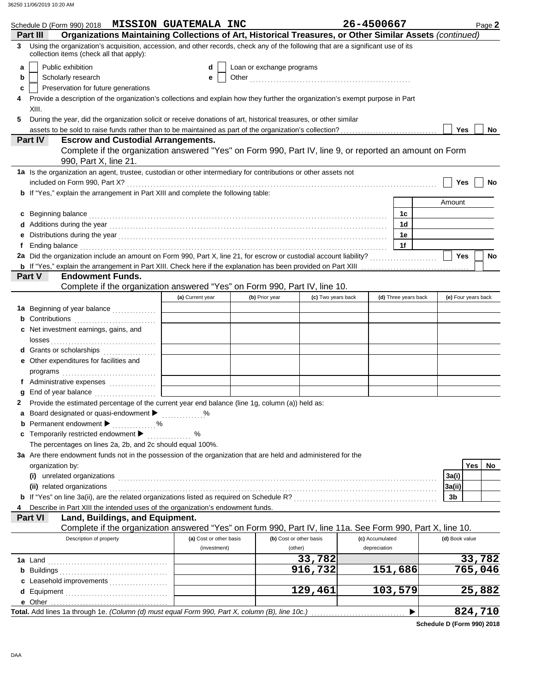| Schedule D (Form 990) 2018 MISSION GUATEMALA INC                                                                                                                                                                                                             |                         |                           |                         | 26-4500667      |                      |                     | Page 2    |
|--------------------------------------------------------------------------------------------------------------------------------------------------------------------------------------------------------------------------------------------------------------|-------------------------|---------------------------|-------------------------|-----------------|----------------------|---------------------|-----------|
| Organizations Maintaining Collections of Art, Historical Treasures, or Other Similar Assets (continued)<br>Part III<br>Using the organization's acquisition, accession, and other records, check any of the following that are a significant use of its<br>3 |                         |                           |                         |                 |                      |                     |           |
| collection items (check all that apply):                                                                                                                                                                                                                     |                         |                           |                         |                 |                      |                     |           |
| Public exhibition<br>a                                                                                                                                                                                                                                       | d                       | Loan or exchange programs |                         |                 |                      |                     |           |
| Scholarly research<br>b                                                                                                                                                                                                                                      | е                       |                           |                         |                 |                      |                     |           |
| Preservation for future generations<br>c                                                                                                                                                                                                                     |                         |                           |                         |                 |                      |                     |           |
| Provide a description of the organization's collections and explain how they further the organization's exempt purpose in Part<br>4                                                                                                                          |                         |                           |                         |                 |                      |                     |           |
| XIII.                                                                                                                                                                                                                                                        |                         |                           |                         |                 |                      |                     |           |
| During the year, did the organization solicit or receive donations of art, historical treasures, or other similar<br>5                                                                                                                                       |                         |                           |                         |                 |                      | Yes                 |           |
| <b>Part IV</b><br><b>Escrow and Custodial Arrangements.</b>                                                                                                                                                                                                  |                         |                           |                         |                 |                      |                     | No        |
| Complete if the organization answered "Yes" on Form 990, Part IV, line 9, or reported an amount on Form<br>990, Part X, line 21.                                                                                                                             |                         |                           |                         |                 |                      |                     |           |
| 1a Is the organization an agent, trustee, custodian or other intermediary for contributions or other assets not                                                                                                                                              |                         |                           |                         |                 |                      |                     |           |
|                                                                                                                                                                                                                                                              |                         |                           |                         |                 |                      | Yes                 | No        |
| <b>b</b> If "Yes," explain the arrangement in Part XIII and complete the following table:                                                                                                                                                                    |                         |                           |                         |                 |                      |                     |           |
|                                                                                                                                                                                                                                                              |                         |                           |                         |                 |                      | Amount              |           |
| Beginning balance expression and contact the contract of the contract of the contract of the contract of the contract of the contract of the contract of the contract of the contract of the contract of the contract of the c<br>C                          |                         |                           |                         |                 | 1c                   |                     |           |
|                                                                                                                                                                                                                                                              |                         |                           |                         |                 | 1d                   |                     |           |
| Distributions during the year manufactured and contact the year manufactured was determined and the year manufactured was determined and the year manufactured was determined was also been also been as a set of the set of t                               |                         |                           |                         |                 | 1е                   |                     |           |
| Ending balance <b>constructs</b> and constructs and constructs and constructs are the constructed and constructs are the construction of the construction of the construction of the construction of the construction of the constr<br>f                     |                         |                           |                         |                 | 1f                   | <b>Yes</b>          | <b>No</b> |
|                                                                                                                                                                                                                                                              |                         |                           |                         |                 |                      |                     |           |
| Part V<br><b>Endowment Funds.</b>                                                                                                                                                                                                                            |                         |                           |                         |                 |                      |                     |           |
| Complete if the organization answered "Yes" on Form 990, Part IV, line 10.                                                                                                                                                                                   |                         |                           |                         |                 |                      |                     |           |
|                                                                                                                                                                                                                                                              | (a) Current year        | (b) Prior year            | (c) Two years back      |                 | (d) Three years back | (e) Four years back |           |
| 1a Beginning of year balance                                                                                                                                                                                                                                 |                         |                           |                         |                 |                      |                     |           |
| <b>b</b> Contributions <b>contributions</b>                                                                                                                                                                                                                  |                         |                           |                         |                 |                      |                     |           |
| <b>c</b> Net investment earnings, gains, and                                                                                                                                                                                                                 |                         |                           |                         |                 |                      |                     |           |
| d Grants or scholarships                                                                                                                                                                                                                                     |                         |                           |                         |                 |                      |                     |           |
| e Other expenditures for facilities and                                                                                                                                                                                                                      |                         |                           |                         |                 |                      |                     |           |
|                                                                                                                                                                                                                                                              |                         |                           |                         |                 |                      |                     |           |
| f Administrative expenses                                                                                                                                                                                                                                    |                         |                           |                         |                 |                      |                     |           |
|                                                                                                                                                                                                                                                              |                         |                           |                         |                 |                      |                     |           |
| Provide the estimated percentage of the current year end balance (line 1g, column (a)) held as:                                                                                                                                                              |                         |                           |                         |                 |                      |                     |           |
| a Board designated or quasi-endowment > %                                                                                                                                                                                                                    |                         |                           |                         |                 |                      |                     |           |
| <b>b</b> Permanent endowment <b>D</b>                                                                                                                                                                                                                        |                         |                           |                         |                 |                      |                     |           |
| <b>c</b> Temporarily restricted endowment $\blacktriangleright$<br>The percentages on lines 2a, 2b, and 2c should equal 100%.                                                                                                                                | %<br>.                  |                           |                         |                 |                      |                     |           |
| 3a Are there endowment funds not in the possession of the organization that are held and administered for the                                                                                                                                                |                         |                           |                         |                 |                      |                     |           |
| organization by:                                                                                                                                                                                                                                             |                         |                           |                         |                 |                      | <b>Yes</b>          | No        |
|                                                                                                                                                                                                                                                              |                         |                           |                         |                 |                      | 3a(i)               |           |
| (ii) related organizations expansion of the contract of the contract of the contract or the contract or the contract or the contract of the contract of the contract of the contract of the contract of the contract or the co                               |                         |                           |                         |                 |                      | 3a(ii)              |           |
|                                                                                                                                                                                                                                                              |                         |                           |                         |                 |                      | 3b                  |           |
| Describe in Part XIII the intended uses of the organization's endowment funds.<br>4                                                                                                                                                                          |                         |                           |                         |                 |                      |                     |           |
| <b>Part VI</b><br>Land, Buildings, and Equipment.                                                                                                                                                                                                            |                         |                           |                         |                 |                      |                     |           |
| Complete if the organization answered "Yes" on Form 990, Part IV, line 11a. See Form 990, Part X, line 10.<br>Description of property                                                                                                                        | (a) Cost or other basis |                           | (b) Cost or other basis | (c) Accumulated |                      | (d) Book value      |           |
|                                                                                                                                                                                                                                                              | (investment)            |                           | (other)                 | depreciation    |                      |                     |           |
|                                                                                                                                                                                                                                                              |                         |                           | 33,782                  |                 |                      | 33,782              |           |
|                                                                                                                                                                                                                                                              |                         |                           | 916,732                 |                 | 151,686              | 765,046             |           |
| c Leasehold improvements                                                                                                                                                                                                                                     |                         |                           |                         |                 |                      |                     |           |
| d Equipment                                                                                                                                                                                                                                                  |                         |                           | 129,461                 |                 | 103,579              | 25,882              |           |
|                                                                                                                                                                                                                                                              |                         |                           |                         |                 |                      |                     |           |
|                                                                                                                                                                                                                                                              |                         |                           |                         |                 |                      | 824,710             |           |

**Schedule D (Form 990) 2018**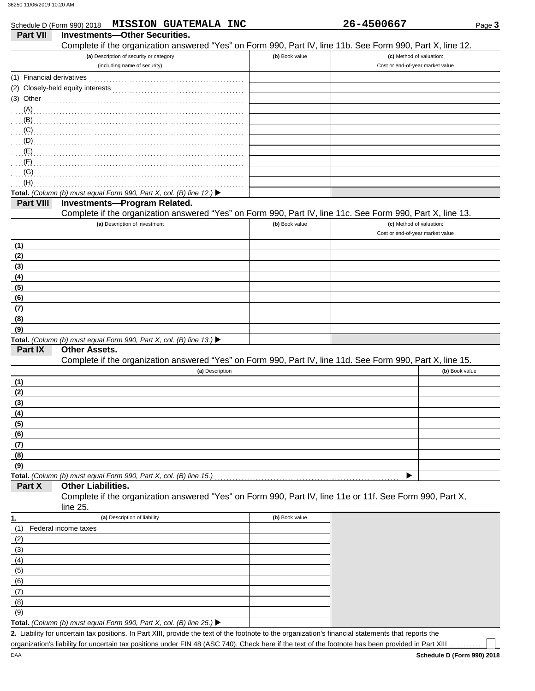|                           | Schedule D (Form 990) 2018 MISSION GUATEMALA INC                                                           |                | 26-4500667                       | Page 3         |
|---------------------------|------------------------------------------------------------------------------------------------------------|----------------|----------------------------------|----------------|
| <b>Part VII</b>           | <b>Investments-Other Securities.</b>                                                                       |                |                                  |                |
|                           | Complete if the organization answered "Yes" on Form 990, Part IV, line 11b. See Form 990, Part X, line 12. |                |                                  |                |
|                           | (a) Description of security or category                                                                    | (b) Book value | (c) Method of valuation:         |                |
|                           | (including name of security)                                                                               |                | Cost or end-of-year market value |                |
| (1) Financial derivatives |                                                                                                            |                |                                  |                |
|                           |                                                                                                            |                |                                  |                |
| $(3)$ Other               |                                                                                                            |                |                                  |                |
| (A)                       |                                                                                                            |                |                                  |                |
| (B)                       |                                                                                                            |                |                                  |                |
|                           |                                                                                                            |                |                                  |                |
|                           |                                                                                                            |                |                                  |                |
|                           |                                                                                                            |                |                                  |                |
| (F)                       |                                                                                                            |                |                                  |                |
| (G)                       |                                                                                                            |                |                                  |                |
| (H)                       |                                                                                                            |                |                                  |                |
|                           | Total. (Column (b) must equal Form 990, Part X, col. (B) line 12.) $\blacktriangleright$                   |                |                                  |                |
| Part VIII                 | <b>Investments-Program Related.</b>                                                                        |                |                                  |                |
|                           | Complete if the organization answered "Yes" on Form 990, Part IV, line 11c. See Form 990, Part X, line 13. |                |                                  |                |
|                           | (a) Description of investment                                                                              | (b) Book value | (c) Method of valuation:         |                |
|                           |                                                                                                            |                | Cost or end-of-year market value |                |
| (1)                       |                                                                                                            |                |                                  |                |
| (2)                       |                                                                                                            |                |                                  |                |
| (3)                       |                                                                                                            |                |                                  |                |
| (4)                       |                                                                                                            |                |                                  |                |
| (5)                       |                                                                                                            |                |                                  |                |
| (6)                       |                                                                                                            |                |                                  |                |
| (7)                       |                                                                                                            |                |                                  |                |
| (8)                       |                                                                                                            |                |                                  |                |
| (9)                       |                                                                                                            |                |                                  |                |
|                           | Total. (Column (b) must equal Form 990, Part X, col. (B) line 13.) $\blacktriangleright$                   |                |                                  |                |
| Part IX                   | <b>Other Assets.</b>                                                                                       |                |                                  |                |
|                           | Complete if the organization answered "Yes" on Form 990, Part IV, line 11d. See Form 990, Part X, line 15. |                |                                  |                |
|                           | (a) Description                                                                                            |                |                                  | (b) Book value |
| (1)                       |                                                                                                            |                |                                  |                |
| (2)                       |                                                                                                            |                |                                  |                |
| (3)                       |                                                                                                            |                |                                  |                |
| (4)                       |                                                                                                            |                |                                  |                |
| (5)                       |                                                                                                            |                |                                  |                |
| (6)                       |                                                                                                            |                |                                  |                |
| (7)                       |                                                                                                            |                |                                  |                |
| (8)                       |                                                                                                            |                |                                  |                |
| (9)                       |                                                                                                            |                |                                  |                |
|                           | Total. (Column (b) must equal Form 990, Part X, col. (B) line 15.)                                         |                |                                  |                |
| Part X                    | <b>Other Liabilities.</b>                                                                                  |                |                                  |                |
|                           | Complete if the organization answered "Yes" on Form 990, Part IV, line 11e or 11f. See Form 990, Part X,   |                |                                  |                |
|                           | line 25.                                                                                                   |                |                                  |                |
| 1.                        | (a) Description of liability                                                                               | (b) Book value |                                  |                |
| (1)                       | Federal income taxes                                                                                       |                |                                  |                |
| (2)                       |                                                                                                            |                |                                  |                |
| (3)                       |                                                                                                            |                |                                  |                |
| (4)                       |                                                                                                            |                |                                  |                |
|                           |                                                                                                            |                |                                  |                |
| (5)                       |                                                                                                            |                |                                  |                |
| (6)                       |                                                                                                            |                |                                  |                |
| (7)                       |                                                                                                            |                |                                  |                |
| (8)                       |                                                                                                            |                |                                  |                |
| (9)                       |                                                                                                            |                |                                  |                |

Liability for uncertain tax positions. In Part XIII, provide the text of the footnote to the organization's financial statements that reports the **2.** organization's liability for uncertain tax positions under FIN 48 (ASC 740). Check here if the text of the footnote has been provided in Part XIII

| <b>Part VII</b>           | <b>MISSION GUATEMALA INC</b><br>Schedule D (Form 990) 2018<br><b>Investments-Other Securities.</b> |                | 26-4500667                |
|---------------------------|----------------------------------------------------------------------------------------------------|----------------|---------------------------|
|                           | Complete if the organization answered "Yes" on Form 990, Part IV, line 11b. See Form 990, Part X   |                |                           |
|                           | (a) Description of security or category                                                            | (b) Book value | (c) Method of valuation   |
| (1) Financial derivatives | (including name of security)                                                                       |                | Cost or end-of-year marke |
| (2)                       |                                                                                                    |                |                           |
| (3) Other                 |                                                                                                    |                |                           |
|                           | (A)                                                                                                |                |                           |
| (B)                       |                                                                                                    |                |                           |
| (C)                       |                                                                                                    |                |                           |
| (D)                       |                                                                                                    |                |                           |
| (E)                       |                                                                                                    |                |                           |
| (F)                       |                                                                                                    |                |                           |
| (G)                       |                                                                                                    |                |                           |
| (H)                       |                                                                                                    |                |                           |
|                           | Total. (Column (b) must equal Form 990, Part X, col. (B) line 12.) ▶                               |                |                           |
| <b>Part VIII</b>          | Investments-Program Related.                                                                       |                |                           |
|                           | Complete if the organization answered "Yes" on Form 990, Part IV, line 11c. See Form 990, Part X   |                |                           |
|                           | (a) Description of investment                                                                      | (b) Book value | (c) Method of valuation   |
|                           |                                                                                                    |                | Cost or end-of-year marke |
| (1)                       |                                                                                                    |                |                           |
| (2)                       |                                                                                                    |                |                           |
| (3)                       |                                                                                                    |                |                           |
| (4)                       |                                                                                                    |                |                           |
| (5)                       |                                                                                                    |                |                           |
| (6)                       |                                                                                                    |                |                           |
| (7)                       |                                                                                                    |                |                           |
| (8)                       |                                                                                                    |                |                           |
| (9)                       | Total. (Column (b) must equal Form 990, Part X, col. (B) line 13.) ▶                               |                |                           |
| Part IX                   | <b>Other Assets.</b>                                                                               |                |                           |
|                           | Complete if the organization answered "Yes" on Form 990, Part IV, line 11d. See Form 990, Part X   |                |                           |
|                           | (a) Description                                                                                    |                |                           |
| (1)                       |                                                                                                    |                |                           |
| (2)                       |                                                                                                    |                |                           |
| (3)                       |                                                                                                    |                |                           |
| (4)                       |                                                                                                    |                |                           |
| (5)                       |                                                                                                    |                |                           |
| (6)                       |                                                                                                    |                |                           |
| (7)                       |                                                                                                    |                |                           |
| (8)                       |                                                                                                    |                |                           |
| (9)                       |                                                                                                    |                |                           |
|                           |                                                                                                    |                | ▶                         |
| Part X                    | <b>Other Liabilities.</b>                                                                          |                |                           |
|                           | Complete if the organization answered "Yes" on Form 990, Part IV, line 11e or 11f. See Form 990,   |                |                           |
|                           | line 25.                                                                                           |                |                           |
| 1.                        | (a) Description of liability                                                                       | (b) Book value |                           |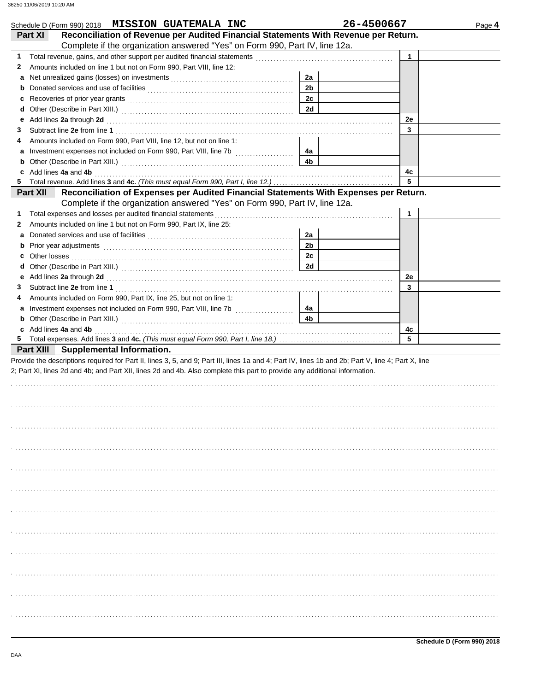| Schedule D (Form 990) 2018 MISSION GUATEMALA INC                                                                                                                                                                                        |                | 26-4500667  | Page 4 |
|-----------------------------------------------------------------------------------------------------------------------------------------------------------------------------------------------------------------------------------------|----------------|-------------|--------|
| Reconciliation of Revenue per Audited Financial Statements With Revenue per Return.<br>Part XI<br>Complete if the organization answered "Yes" on Form 990, Part IV, line 12a.                                                           |                |             |        |
| 1                                                                                                                                                                                                                                       |                | $\mathbf 1$ |        |
| Amounts included on line 1 but not on Form 990, Part VIII, line 12:<br>2                                                                                                                                                                |                |             |        |
| a                                                                                                                                                                                                                                       | 2a             |             |        |
| b                                                                                                                                                                                                                                       | 2 <sub>b</sub> |             |        |
| c                                                                                                                                                                                                                                       | 2c             |             |        |
| d                                                                                                                                                                                                                                       | <b>2d</b>      |             |        |
| Add lines 2a through 2d [11] March 2014 [12] March 2014 [12] March 2014 [12] March 2014 [12] March 2014 [12] March 2014 [12] March 2014 [12] March 2014 [12] March 2014 [12] March 2014 [12] March 2014 [12] March 2014 [12] M<br>е     |                | 2e          |        |
| З                                                                                                                                                                                                                                       |                | 3           |        |
| Amounts included on Form 990, Part VIII, line 12, but not on line 1:<br>4                                                                                                                                                               |                |             |        |
| a                                                                                                                                                                                                                                       | 4a             |             |        |
| b                                                                                                                                                                                                                                       | 4b             |             |        |
| Add lines 4a and 4b<br>c                                                                                                                                                                                                                |                | 4c          |        |
| 5.                                                                                                                                                                                                                                      |                | 5           |        |
| Reconciliation of Expenses per Audited Financial Statements With Expenses per Return.<br><b>Part XII</b>                                                                                                                                |                |             |        |
| Complete if the organization answered "Yes" on Form 990, Part IV, line 12a.                                                                                                                                                             |                |             |        |
| 1                                                                                                                                                                                                                                       |                | 1           |        |
| Amounts included on line 1 but not on Form 990, Part IX, line 25:<br>2                                                                                                                                                                  |                |             |        |
| а                                                                                                                                                                                                                                       | 2a             |             |        |
| Prior year adjustments [11, 12] March 2014 (12, 13) March 2014 (13) March 2014 (13) March 2014 (13) March 2014<br>b                                                                                                                     | 2 <sub>b</sub> |             |        |
| Other losses <b>contracts on the contract of the contract of the contract of the contract of the contract of the contract of the contract of the contract of the contract of the contract of the contract of the contract of t</b><br>c | 2c             |             |        |
| d                                                                                                                                                                                                                                       | 2d             |             |        |
| е                                                                                                                                                                                                                                       |                | 2e          |        |
| 3                                                                                                                                                                                                                                       |                | 3           |        |
| Amounts included on Form 990, Part IX, line 25, but not on line 1:<br>4                                                                                                                                                                 |                |             |        |
| а                                                                                                                                                                                                                                       | 4a             |             |        |
| b                                                                                                                                                                                                                                       | 4b             |             |        |
| c Add lines 4a and 4b                                                                                                                                                                                                                   |                | 4c          |        |
| 5.                                                                                                                                                                                                                                      |                | 5           |        |
| <b>Part XIII</b> Supplemental Information.                                                                                                                                                                                              |                |             |        |
| Provide the descriptions required for Part II, lines 3, 5, and 9; Part III, lines 1a and 4; Part IV, lines 1b and 2b; Part V, line 4; Part X, line                                                                                      |                |             |        |
| 2; Part XI, lines 2d and 4b; and Part XII, lines 2d and 4b. Also complete this part to provide any additional information.                                                                                                              |                |             |        |
|                                                                                                                                                                                                                                         |                |             |        |
|                                                                                                                                                                                                                                         |                |             |        |
|                                                                                                                                                                                                                                         |                |             |        |
|                                                                                                                                                                                                                                         |                |             |        |
|                                                                                                                                                                                                                                         |                |             |        |
|                                                                                                                                                                                                                                         |                |             |        |
|                                                                                                                                                                                                                                         |                |             |        |
|                                                                                                                                                                                                                                         |                |             |        |
|                                                                                                                                                                                                                                         |                |             |        |
|                                                                                                                                                                                                                                         |                |             |        |
|                                                                                                                                                                                                                                         |                |             |        |
|                                                                                                                                                                                                                                         |                |             |        |
|                                                                                                                                                                                                                                         |                |             |        |
|                                                                                                                                                                                                                                         |                |             |        |
|                                                                                                                                                                                                                                         |                |             |        |
|                                                                                                                                                                                                                                         |                |             |        |
|                                                                                                                                                                                                                                         |                |             |        |
|                                                                                                                                                                                                                                         |                |             |        |
|                                                                                                                                                                                                                                         |                |             |        |
|                                                                                                                                                                                                                                         |                |             |        |
|                                                                                                                                                                                                                                         |                |             |        |
|                                                                                                                                                                                                                                         |                |             |        |
|                                                                                                                                                                                                                                         |                |             |        |
|                                                                                                                                                                                                                                         |                |             |        |
|                                                                                                                                                                                                                                         |                |             |        |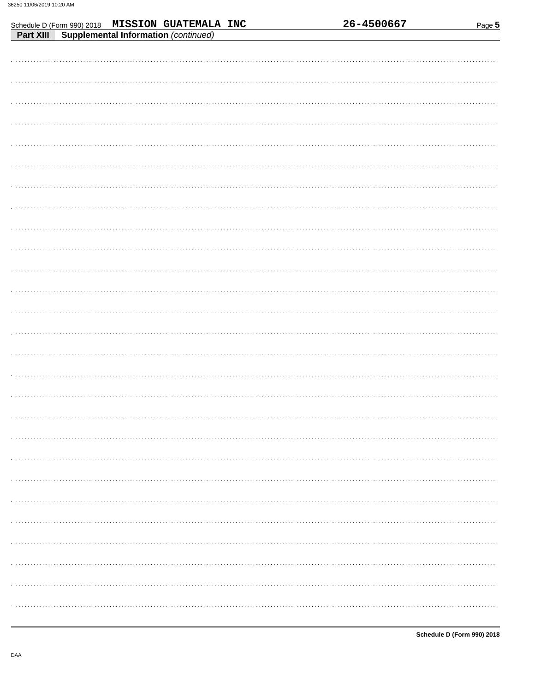| Schedule D (Form 990) 2018 MISSION GUATEMALA INC<br>Part XIII Supplemental Information (continued) | 26-4500667 | Page 5 |
|----------------------------------------------------------------------------------------------------|------------|--------|
|                                                                                                    |            |        |
|                                                                                                    |            |        |
|                                                                                                    |            |        |
|                                                                                                    |            |        |
|                                                                                                    |            |        |
|                                                                                                    |            |        |
|                                                                                                    |            |        |
|                                                                                                    |            |        |
|                                                                                                    |            |        |
|                                                                                                    |            |        |
|                                                                                                    |            |        |
|                                                                                                    |            |        |
|                                                                                                    |            |        |
|                                                                                                    |            |        |
|                                                                                                    |            |        |
|                                                                                                    |            |        |
|                                                                                                    |            |        |
|                                                                                                    |            |        |
|                                                                                                    |            |        |
|                                                                                                    |            |        |
|                                                                                                    |            |        |
|                                                                                                    |            |        |
|                                                                                                    |            |        |
|                                                                                                    |            |        |
|                                                                                                    |            |        |
|                                                                                                    |            |        |
|                                                                                                    |            |        |
|                                                                                                    |            |        |
|                                                                                                    |            |        |
|                                                                                                    |            |        |
|                                                                                                    |            |        |
|                                                                                                    |            |        |
|                                                                                                    |            |        |
|                                                                                                    |            |        |
|                                                                                                    |            |        |
|                                                                                                    |            |        |
|                                                                                                    |            |        |
|                                                                                                    |            |        |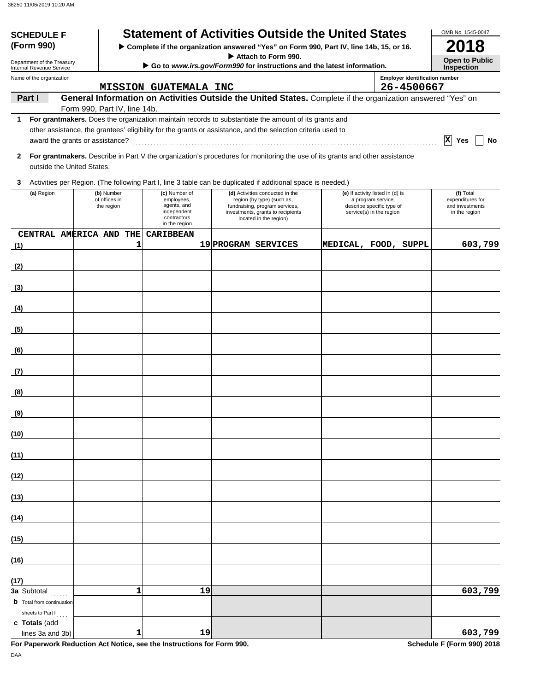| <b>SCHEDULE F</b><br>(Form 990)                                     |  |                                           |                                                                                           | <b>Statement of Activities Outside the United States</b><br>Complete if the organization answered "Yes" on Form 990, Part IV, line 14b, 15, or 16.             |                                                                                                                 |                                            | OMB No. 1545-0047<br>2018                                         |
|---------------------------------------------------------------------|--|-------------------------------------------|-------------------------------------------------------------------------------------------|----------------------------------------------------------------------------------------------------------------------------------------------------------------|-----------------------------------------------------------------------------------------------------------------|--------------------------------------------|-------------------------------------------------------------------|
| Department of the Treasury<br>Internal Revenue Service              |  |                                           |                                                                                           | Attach to Form 990.<br>Go to www.irs.gov/Form990 for instructions and the latest information.                                                                  |                                                                                                                 | <b>Open to Public</b><br><b>Inspection</b> |                                                                   |
| Name of the organization                                            |  |                                           |                                                                                           |                                                                                                                                                                |                                                                                                                 | <b>Employer identification number</b>      |                                                                   |
| Part I                                                              |  |                                           | <b>MISSION GUATEMALA INC</b>                                                              | General Information on Activities Outside the United States. Complete if the organization answered "Yes" on                                                    |                                                                                                                 | 26-4500667                                 |                                                                   |
| 1                                                                   |  | Form 990, Part IV, line 14b.              |                                                                                           | For grantmakers. Does the organization maintain records to substantiate the amount of its grants and                                                           |                                                                                                                 |                                            |                                                                   |
| award the grants or assistance?                                     |  |                                           |                                                                                           | other assistance, the grantees' eligibility for the grants or assistance, and the selection criteria used to                                                   |                                                                                                                 |                                            | $ \mathbf{x} $<br>Yes<br>No                                       |
| 2<br>outside the United States.                                     |  |                                           |                                                                                           | For grantmakers. Describe in Part V the organization's procedures for monitoring the use of its grants and other assistance                                    |                                                                                                                 |                                            |                                                                   |
| 3                                                                   |  |                                           |                                                                                           | Activities per Region. (The following Part I, line 3 table can be duplicated if additional space is needed.)                                                   |                                                                                                                 |                                            |                                                                   |
| (a) Region                                                          |  | (b) Number<br>of offices in<br>the region | (c) Number of<br>employees,<br>agents, and<br>independent<br>contractors<br>in the region | (d) Activities conducted in the<br>region (by type) (such as,<br>fundraising, program services,<br>investments, grants to recipients<br>located in the region) | (e) If activity listed in (d) is<br>a program service,<br>describe specific type of<br>service(s) in the region |                                            | (f) Total<br>expenditures for<br>and investments<br>in the region |
| CENTRAL AMERICA AND THE<br>(1)                                      |  | 1                                         | <b><i>CARIBBEAN</i></b>                                                                   | 19 PROGRAM SERVICES                                                                                                                                            | MEDICAL, FOOD, SUPPL                                                                                            |                                            | 603,799                                                           |
| (2)                                                                 |  |                                           |                                                                                           |                                                                                                                                                                |                                                                                                                 |                                            |                                                                   |
| (3)                                                                 |  |                                           |                                                                                           |                                                                                                                                                                |                                                                                                                 |                                            |                                                                   |
| (4)                                                                 |  |                                           |                                                                                           |                                                                                                                                                                |                                                                                                                 |                                            |                                                                   |
| (5)                                                                 |  |                                           |                                                                                           |                                                                                                                                                                |                                                                                                                 |                                            |                                                                   |
| (6)                                                                 |  |                                           |                                                                                           |                                                                                                                                                                |                                                                                                                 |                                            |                                                                   |
| (7)                                                                 |  |                                           |                                                                                           |                                                                                                                                                                |                                                                                                                 |                                            |                                                                   |
| (8)                                                                 |  |                                           |                                                                                           |                                                                                                                                                                |                                                                                                                 |                                            |                                                                   |
| <u>(9)</u>                                                          |  |                                           |                                                                                           |                                                                                                                                                                |                                                                                                                 |                                            |                                                                   |
| (10)                                                                |  |                                           |                                                                                           |                                                                                                                                                                |                                                                                                                 |                                            |                                                                   |
| (11)                                                                |  |                                           |                                                                                           |                                                                                                                                                                |                                                                                                                 |                                            |                                                                   |
| (12)                                                                |  |                                           |                                                                                           |                                                                                                                                                                |                                                                                                                 |                                            |                                                                   |
| (13)                                                                |  |                                           |                                                                                           |                                                                                                                                                                |                                                                                                                 |                                            |                                                                   |
| (14)                                                                |  |                                           |                                                                                           |                                                                                                                                                                |                                                                                                                 |                                            |                                                                   |
| (15)                                                                |  |                                           |                                                                                           |                                                                                                                                                                |                                                                                                                 |                                            |                                                                   |
| (16)                                                                |  |                                           |                                                                                           |                                                                                                                                                                |                                                                                                                 |                                            |                                                                   |
| (17)                                                                |  |                                           |                                                                                           |                                                                                                                                                                |                                                                                                                 |                                            |                                                                   |
| 3a Subtotal<br><b>b</b> Total from continuation<br>sheets to Part I |  | 1                                         | 19                                                                                        |                                                                                                                                                                |                                                                                                                 |                                            | 603,799                                                           |
| c Totals (add<br>lines 3a and 3b)                                   |  | 1                                         | 19                                                                                        |                                                                                                                                                                |                                                                                                                 |                                            | 603,799                                                           |

**For Paperwork Reduction Act Notice, see the Instructions for Form 990.** Schedule F (Form 990) 2018 DAA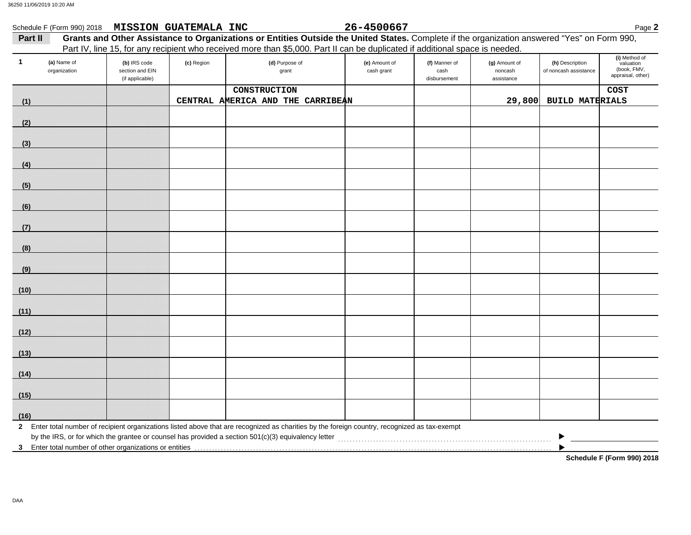| Part II                           | Schedule F (Form 990) 2018 MISSION GUATEMALA INC   |            | Grants and Other Assistance to Organizations or Entities Outside the United States. Complete if the organization answered "Yes" on Form 990,   | 26-4500667                  |                                       |                                        |                                          | Page 2                                                         |
|-----------------------------------|----------------------------------------------------|------------|------------------------------------------------------------------------------------------------------------------------------------------------|-----------------------------|---------------------------------------|----------------------------------------|------------------------------------------|----------------------------------------------------------------|
|                                   |                                                    |            | Part IV, line 15, for any recipient who received more than \$5,000. Part II can be duplicated if additional space is needed.                   |                             |                                       |                                        |                                          |                                                                |
| (a) Name of<br>-1<br>organization | (b) IRS code<br>section and EIN<br>(if applicable) | (c) Region | (d) Purpose of<br>grant                                                                                                                        | (e) Amount of<br>cash grant | (f) Manner of<br>cash<br>disbursement | (g) Amount of<br>noncash<br>assistance | (h) Description<br>of noncash assistance | (i) Method of<br>valuation<br>(book, FMV,<br>appraisal, other) |
|                                   |                                                    |            | CONSTRUCTION                                                                                                                                   |                             |                                       |                                        |                                          | <b>COST</b>                                                    |
| (1)                               |                                                    |            | CENTRAL AMERICA AND THE CARRIBEAN                                                                                                              |                             |                                       | 29,800                                 | <b>BUILD MATERIALS</b>                   |                                                                |
| (2)                               |                                                    |            |                                                                                                                                                |                             |                                       |                                        |                                          |                                                                |
| (3)                               |                                                    |            |                                                                                                                                                |                             |                                       |                                        |                                          |                                                                |
| (4)                               |                                                    |            |                                                                                                                                                |                             |                                       |                                        |                                          |                                                                |
| (5)                               |                                                    |            |                                                                                                                                                |                             |                                       |                                        |                                          |                                                                |
| (6)                               |                                                    |            |                                                                                                                                                |                             |                                       |                                        |                                          |                                                                |
| (7)                               |                                                    |            |                                                                                                                                                |                             |                                       |                                        |                                          |                                                                |
| (8)                               |                                                    |            |                                                                                                                                                |                             |                                       |                                        |                                          |                                                                |
| (9)                               |                                                    |            |                                                                                                                                                |                             |                                       |                                        |                                          |                                                                |
| (10)                              |                                                    |            |                                                                                                                                                |                             |                                       |                                        |                                          |                                                                |
| (11)                              |                                                    |            |                                                                                                                                                |                             |                                       |                                        |                                          |                                                                |
| (12)                              |                                                    |            |                                                                                                                                                |                             |                                       |                                        |                                          |                                                                |
| (13)                              |                                                    |            |                                                                                                                                                |                             |                                       |                                        |                                          |                                                                |
| (14)                              |                                                    |            |                                                                                                                                                |                             |                                       |                                        |                                          |                                                                |
| (15)                              |                                                    |            |                                                                                                                                                |                             |                                       |                                        |                                          |                                                                |
| (16)                              |                                                    |            |                                                                                                                                                |                             |                                       |                                        |                                          |                                                                |
|                                   |                                                    |            | 2 Enter total number of recipient organizations listed above that are recognized as charities by the foreign country, recognized as tax-exempt |                             |                                       |                                        |                                          |                                                                |
|                                   |                                                    |            |                                                                                                                                                |                             |                                       |                                        |                                          | Schedule F (Form 990) 2018                                     |

DAA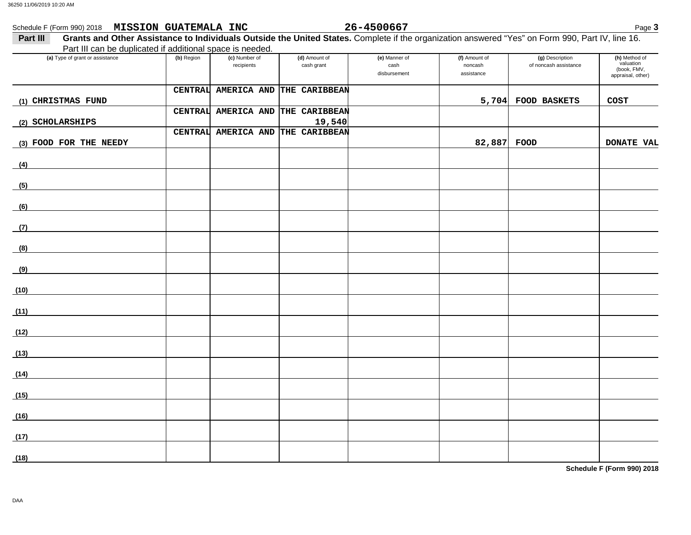### Schedule F (Form 990) 2018 Page **3 MISSION GUATEMALA INC 26-4500667**

### 26-4500667

| Grants and Other Assistance to Individuals Outside the United States. Complete if the organization answered "Yes" on Form 990, Part IV, line 16.<br>Part III |            |                             |                                   |                                       |                                        |                                          |                                                                |
|--------------------------------------------------------------------------------------------------------------------------------------------------------------|------------|-----------------------------|-----------------------------------|---------------------------------------|----------------------------------------|------------------------------------------|----------------------------------------------------------------|
| Part III can be duplicated if additional space is needed.                                                                                                    |            |                             |                                   |                                       |                                        |                                          |                                                                |
| (a) Type of grant or assistance                                                                                                                              | (b) Region | (c) Number of<br>recipients | (d) Amount of<br>cash grant       | (e) Manner of<br>cash<br>disbursement | (f) Amount of<br>noncash<br>assistance | (g) Description<br>of noncash assistance | (h) Method of<br>valuation<br>(book, FMV,<br>appraisal, other) |
|                                                                                                                                                              |            |                             | CENTRAL AMERICA AND THE CARIBBEAN |                                       |                                        |                                          |                                                                |
| (1) CHRISTMAS FUND                                                                                                                                           |            |                             |                                   |                                       | 5,704                                  | FOOD BASKETS                             | COST                                                           |
|                                                                                                                                                              |            | CENTRAL AMERICA AND         | THE CARIBBEAN                     |                                       |                                        |                                          |                                                                |
| (2) SCHOLARSHIPS                                                                                                                                             |            |                             | 19,540                            |                                       |                                        |                                          |                                                                |
| (3) FOOD FOR THE NEEDY                                                                                                                                       |            |                             | CENTRAL AMERICA AND THE CARIBBEAN |                                       | 82,887                                 | FOOD                                     | <b>DONATE VAL</b>                                              |
| (4)                                                                                                                                                          |            |                             |                                   |                                       |                                        |                                          |                                                                |
|                                                                                                                                                              |            |                             |                                   |                                       |                                        |                                          |                                                                |
| (5)                                                                                                                                                          |            |                             |                                   |                                       |                                        |                                          |                                                                |
| (6)                                                                                                                                                          |            |                             |                                   |                                       |                                        |                                          |                                                                |
| (7)                                                                                                                                                          |            |                             |                                   |                                       |                                        |                                          |                                                                |
| (8)                                                                                                                                                          |            |                             |                                   |                                       |                                        |                                          |                                                                |
| (9)                                                                                                                                                          |            |                             |                                   |                                       |                                        |                                          |                                                                |
| (10)                                                                                                                                                         |            |                             |                                   |                                       |                                        |                                          |                                                                |
| (11)                                                                                                                                                         |            |                             |                                   |                                       |                                        |                                          |                                                                |
| (12)                                                                                                                                                         |            |                             |                                   |                                       |                                        |                                          |                                                                |
| (13)                                                                                                                                                         |            |                             |                                   |                                       |                                        |                                          |                                                                |
| (14)                                                                                                                                                         |            |                             |                                   |                                       |                                        |                                          |                                                                |
| (15)                                                                                                                                                         |            |                             |                                   |                                       |                                        |                                          |                                                                |
| (16)                                                                                                                                                         |            |                             |                                   |                                       |                                        |                                          |                                                                |
| (17)                                                                                                                                                         |            |                             |                                   |                                       |                                        |                                          |                                                                |
| (18)                                                                                                                                                         |            |                             |                                   |                                       |                                        |                                          |                                                                |

**Schedule F (Form 990) 2018**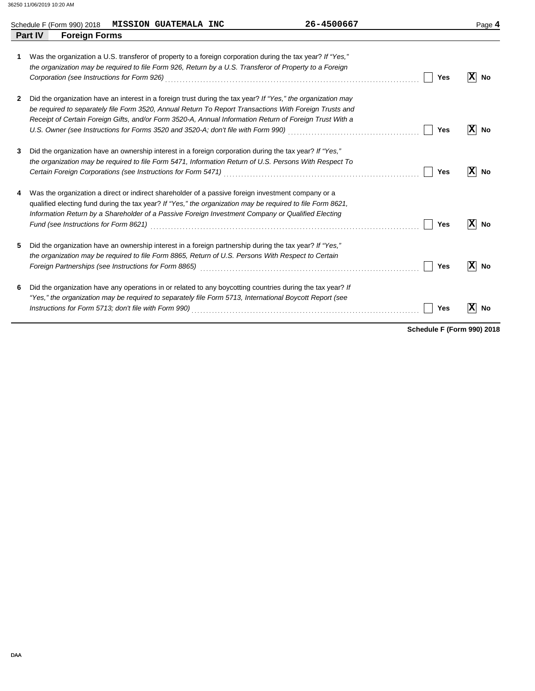|   | Schedule F (Form 990) 2018<br><b>MISSION GUATEMALA INC</b>                                                                                                                                                                                                                                                                        | 26-4500667 |            | Page 4               |
|---|-----------------------------------------------------------------------------------------------------------------------------------------------------------------------------------------------------------------------------------------------------------------------------------------------------------------------------------|------------|------------|----------------------|
|   | <b>Foreign Forms</b><br><b>Part IV</b>                                                                                                                                                                                                                                                                                            |            |            |                      |
| 1 | Was the organization a U.S. transferor of property to a foreign corporation during the tax year? If "Yes,"<br>the organization may be required to file Form 926, Return by a U.S. Transferor of Property to a Foreign                                                                                                             |            | Yes        | $ \mathbf{X} $ No    |
| 2 | Did the organization have an interest in a foreign trust during the tax year? If "Yes," the organization may<br>be required to separately file Form 3520, Annual Return To Report Transactions With Foreign Trusts and<br>Receipt of Certain Foreign Gifts, and/or Form 3520-A, Annual Information Return of Foreign Trust With a |            | Yes        | $ X $ No             |
| 3 | Did the organization have an ownership interest in a foreign corporation during the tax year? If "Yes,"<br>the organization may be required to file Form 5471, Information Return of U.S. Persons With Respect To<br>Certain Foreign Corporations (see Instructions for Form 5471)                                                |            | Yes        | X No                 |
| 4 | Was the organization a direct or indirect shareholder of a passive foreign investment company or a<br>qualified electing fund during the tax year? If "Yes," the organization may be required to file Form 8621,<br>Information Return by a Shareholder of a Passive Foreign Investment Company or Qualified Electing             |            | <b>Yes</b> | $ \mathbf{X} $ No    |
| 5 | Did the organization have an ownership interest in a foreign partnership during the tax year? If "Yes,"<br>the organization may be required to file Form 8865, Return of U.S. Persons With Respect to Certain<br>Foreign Partnerships (see Instructions for Form 8865) [11] Conserved Conserved Conserved Conserved Conserved Co  |            | Yes        | $ \mathbf{x} $<br>No |
| 6 | Did the organization have any operations in or related to any boycotting countries during the tax year? If<br>"Yes," the organization may be required to separately file Form 5713, International Boycott Report (see                                                                                                             |            |            |                      |

*Instructions for Form 5713; don't file with Form 990)* . . . . . . . . . . . . . . . . . . . . . . . . . . . . . . . . . . . . . . . . . . . . . . . . . . . . . . . . . . . . . . . . . . . . . . . . . . . . . .

**Schedule F (Form 990) 2018**

Yes  $\boxed{\mathbf{X}}$  No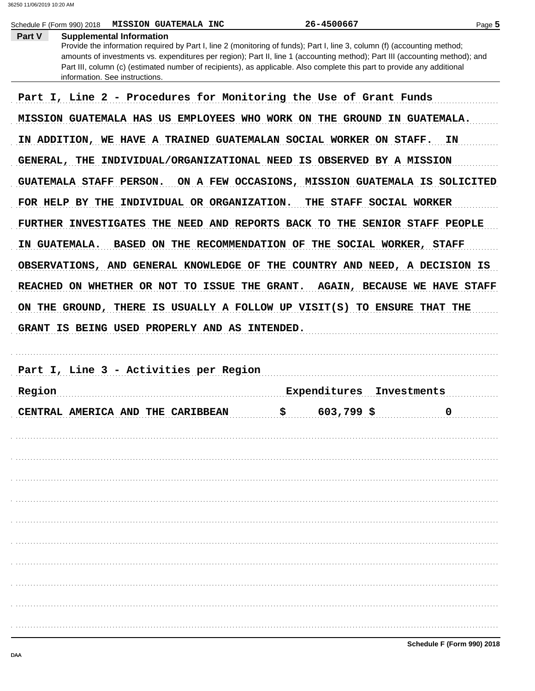|        | Schedule F (Form 990) 2018<br><b>MISSION GUATEMALA INC</b>                                                                                                                                                                                                                                                                                                                                                                                              | 26-4500667                                         |                         | Page 5                              |
|--------|---------------------------------------------------------------------------------------------------------------------------------------------------------------------------------------------------------------------------------------------------------------------------------------------------------------------------------------------------------------------------------------------------------------------------------------------------------|----------------------------------------------------|-------------------------|-------------------------------------|
| Part V | <b>Supplemental Information</b><br>Provide the information required by Part I, line 2 (monitoring of funds); Part I, line 3, column (f) (accounting method;<br>amounts of investments vs. expenditures per region); Part II, line 1 (accounting method); Part III (accounting method); and<br>Part III, column (c) (estimated number of recipients), as applicable. Also complete this part to provide any additional<br>information. See instructions. |                                                    |                         |                                     |
|        | Part I, Line 2 - Procedures for Monitoring the Use of Grant Funds                                                                                                                                                                                                                                                                                                                                                                                       |                                                    |                         |                                     |
|        | MISSION GUATEMALA HAS US EMPLOYEES WHO WORK ON THE GROUND IN GUATEMALA.                                                                                                                                                                                                                                                                                                                                                                                 |                                                    |                         |                                     |
|        | IN ADDITION, WE HAVE A TRAINED GUATEMALAN SOCIAL WORKER ON STAFF.                                                                                                                                                                                                                                                                                                                                                                                       |                                                    |                         | ΙN                                  |
|        | GENERAL, THE INDIVIDUAL/ORGANIZATIONAL NEED IS OBSERVED BY A MISSION                                                                                                                                                                                                                                                                                                                                                                                    |                                                    |                         |                                     |
|        | GUATEMALA STAFF PERSON.                                                                                                                                                                                                                                                                                                                                                                                                                                 | ON A FEW OCCASIONS, MISSION GUATEMALA IS SOLICITED |                         |                                     |
|        | FOR HELP BY THE INDIVIDUAL OR ORGANIZATION.                                                                                                                                                                                                                                                                                                                                                                                                             |                                                    | THE STAFF SOCIAL WORKER |                                     |
|        | FURTHER INVESTIGATES THE NEED AND REPORTS BACK TO THE SENIOR STAFF PEOPLE                                                                                                                                                                                                                                                                                                                                                                               |                                                    |                         |                                     |
|        | IN GUATEMALA.<br>BASED ON THE RECOMMENDATION OF THE SOCIAL WORKER, STAFF                                                                                                                                                                                                                                                                                                                                                                                |                                                    |                         |                                     |
|        | OBSERVATIONS, AND GENERAL KNOWLEDGE OF THE COUNTRY AND NEED, A DECISION IS                                                                                                                                                                                                                                                                                                                                                                              |                                                    |                         |                                     |
|        | REACHED ON WHETHER OR NOT TO ISSUE THE GRANT.                                                                                                                                                                                                                                                                                                                                                                                                           |                                                    |                         | <b>AGAIN, BECAUSE WE HAVE STAFF</b> |
|        |                                                                                                                                                                                                                                                                                                                                                                                                                                                         |                                                    |                         |                                     |
|        | ON THE GROUND, THERE IS USUALLY A FOLLOW UP VISIT(S) TO ENSURE THAT THE                                                                                                                                                                                                                                                                                                                                                                                 |                                                    |                         |                                     |
|        | GRANT IS BEING USED PROPERLY AND AS INTENDED.                                                                                                                                                                                                                                                                                                                                                                                                           |                                                    |                         |                                     |
|        |                                                                                                                                                                                                                                                                                                                                                                                                                                                         |                                                    |                         |                                     |
|        | Part I, Line 3 - Activities per Region                                                                                                                                                                                                                                                                                                                                                                                                                  |                                                    |                         |                                     |
| Region |                                                                                                                                                                                                                                                                                                                                                                                                                                                         | Expenditures                                       | Investments             |                                     |
|        | CENTRAL AMERICA AND THE CARIBBEAN                                                                                                                                                                                                                                                                                                                                                                                                                       | $$603,799$ \$                                      |                         | $\overline{0}$                      |
|        |                                                                                                                                                                                                                                                                                                                                                                                                                                                         |                                                    |                         |                                     |
|        |                                                                                                                                                                                                                                                                                                                                                                                                                                                         |                                                    |                         |                                     |
|        |                                                                                                                                                                                                                                                                                                                                                                                                                                                         |                                                    |                         |                                     |
|        |                                                                                                                                                                                                                                                                                                                                                                                                                                                         |                                                    |                         |                                     |
|        |                                                                                                                                                                                                                                                                                                                                                                                                                                                         |                                                    |                         |                                     |
|        |                                                                                                                                                                                                                                                                                                                                                                                                                                                         |                                                    |                         |                                     |
|        |                                                                                                                                                                                                                                                                                                                                                                                                                                                         |                                                    |                         |                                     |
|        |                                                                                                                                                                                                                                                                                                                                                                                                                                                         |                                                    |                         |                                     |
|        |                                                                                                                                                                                                                                                                                                                                                                                                                                                         |                                                    |                         |                                     |
|        |                                                                                                                                                                                                                                                                                                                                                                                                                                                         |                                                    |                         |                                     |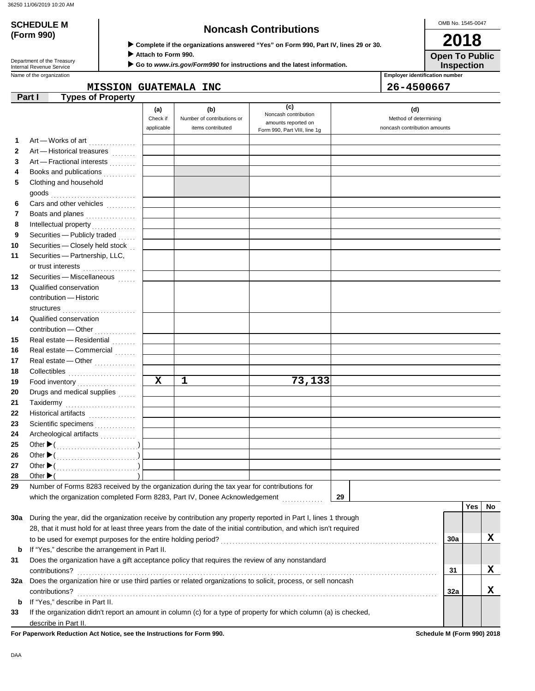**(Form 990)**

Department of the Treasury<br>Internal Revenue Service

## **SCHEDULE M Noncash Contributions**

 **Complete if the organizations answered "Yes" on Form 990, Part IV, lines 29 or 30.**

 **Attach to Form 990.**

 **Go to** *www.irs.gov/Form990* **for instructions and the latest information.**

**Inspection Open To Public**

OMB No. 1545-0047

**2018**

Name of the organization **Employer identification number Employer identification number** 

MISSION GUATEMALA INC
and 26-4500667

|             | <b>Types of Property</b><br>Part I                                                                                 |             |                            |                                             |                              |     |     |    |
|-------------|--------------------------------------------------------------------------------------------------------------------|-------------|----------------------------|---------------------------------------------|------------------------------|-----|-----|----|
|             |                                                                                                                    | (a)         | (b)                        | (c)                                         | (d)                          |     |     |    |
|             |                                                                                                                    | Check if    | Number of contributions or | Noncash contribution<br>amounts reported on | Method of determining        |     |     |    |
|             |                                                                                                                    | applicable  | items contributed          | Form 990, Part VIII, line 1g                | noncash contribution amounts |     |     |    |
| 1           | Art - Works of art                                                                                                 |             |                            |                                             |                              |     |     |    |
| $\mathbf 2$ | Art - Historical treasures                                                                                         |             |                            |                                             |                              |     |     |    |
| 3           | Art - Fractional interests                                                                                         |             |                            |                                             |                              |     |     |    |
| 4           | Books and publications                                                                                             |             |                            |                                             |                              |     |     |    |
| 5           | Clothing and household                                                                                             |             |                            |                                             |                              |     |     |    |
|             | goods                                                                                                              |             |                            |                                             |                              |     |     |    |
| 6           | Cars and other vehicles                                                                                            |             |                            |                                             |                              |     |     |    |
| 7           | Boats and planes                                                                                                   |             |                            |                                             |                              |     |     |    |
| 8           |                                                                                                                    |             |                            |                                             |                              |     |     |    |
| 9           | Securities - Publicly traded                                                                                       |             |                            |                                             |                              |     |     |    |
| 10          | Securities - Closely held stock                                                                                    |             |                            |                                             |                              |     |     |    |
| 11          | Securities - Partnership, LLC,                                                                                     |             |                            |                                             |                              |     |     |    |
|             | or trust interests<br>                                                                                             |             |                            |                                             |                              |     |     |    |
| 12          | Securities - Miscellaneous                                                                                         |             |                            |                                             |                              |     |     |    |
| 13          | Qualified conservation                                                                                             |             |                            |                                             |                              |     |     |    |
|             | contribution - Historic                                                                                            |             |                            |                                             |                              |     |     |    |
|             |                                                                                                                    |             |                            |                                             |                              |     |     |    |
| 14          | Qualified conservation                                                                                             |             |                            |                                             |                              |     |     |    |
|             | contribution - Other<br>                                                                                           |             |                            |                                             |                              |     |     |    |
| 15          | Real estate - Residential                                                                                          |             |                            |                                             |                              |     |     |    |
| 16          | Real estate - Commercial                                                                                           |             |                            |                                             |                              |     |     |    |
| 17          | Real estate - Other                                                                                                |             |                            |                                             |                              |     |     |    |
| 18          |                                                                                                                    |             |                            |                                             |                              |     |     |    |
| 19          |                                                                                                                    | $\mathbf x$ | 1                          | 73,133                                      |                              |     |     |    |
| 20          | Drugs and medical supplies                                                                                         |             |                            |                                             |                              |     |     |    |
| 21          | Taxidermy                                                                                                          |             |                            |                                             |                              |     |     |    |
| 22          | Historical artifacts                                                                                               |             |                            |                                             |                              |     |     |    |
| 23          | Scientific specimens                                                                                               |             |                            |                                             |                              |     |     |    |
| 24          | Archeological artifacts                                                                                            |             |                            |                                             |                              |     |     |    |
| 25          |                                                                                                                    |             |                            |                                             |                              |     |     |    |
| 26          |                                                                                                                    |             |                            |                                             |                              |     |     |    |
| 27          |                                                                                                                    |             |                            |                                             |                              |     |     |    |
| 28          | Other $\blacktriangleright$ (                                                                                      |             |                            |                                             |                              |     |     |    |
| 29          | Number of Forms 8283 received by the organization during the tax year for contributions for                        |             |                            |                                             |                              |     |     |    |
|             | which the organization completed Form 8283, Part IV, Donee Acknowledgement [                                       |             |                            |                                             | 29                           |     | Yes | No |
| 30a         | During the year, did the organization receive by contribution any property reported in Part I, lines 1 through     |             |                            |                                             |                              |     |     |    |
|             | 28, that it must hold for at least three years from the date of the initial contribution, and which isn't required |             |                            |                                             |                              |     |     |    |
|             |                                                                                                                    |             |                            |                                             |                              | 30a |     | X  |
| b           | If "Yes," describe the arrangement in Part II.                                                                     |             |                            |                                             |                              |     |     |    |
| 31          | Does the organization have a gift acceptance policy that requires the review of any nonstandard                    |             |                            |                                             |                              |     |     |    |
|             | contributions?                                                                                                     |             |                            |                                             |                              | 31  |     | X  |
| 32a         | Does the organization hire or use third parties or related organizations to solicit, process, or sell noncash      |             |                            |                                             |                              |     |     |    |
|             | contributions?                                                                                                     |             |                            |                                             |                              | 32a |     | X  |
| b           | If "Yes," describe in Part II.                                                                                     |             |                            |                                             |                              |     |     |    |
| 33          | If the organization didn't report an amount in column (c) for a type of property for which column (a) is checked,  |             |                            |                                             |                              |     |     |    |
|             | describe in Part II.                                                                                               |             |                            |                                             |                              |     |     |    |
|             |                                                                                                                    |             |                            |                                             |                              |     |     |    |

**For Paperwork Reduction Act Notice, see the Instructions for Form 990. Schedule M (Form 990) 2018**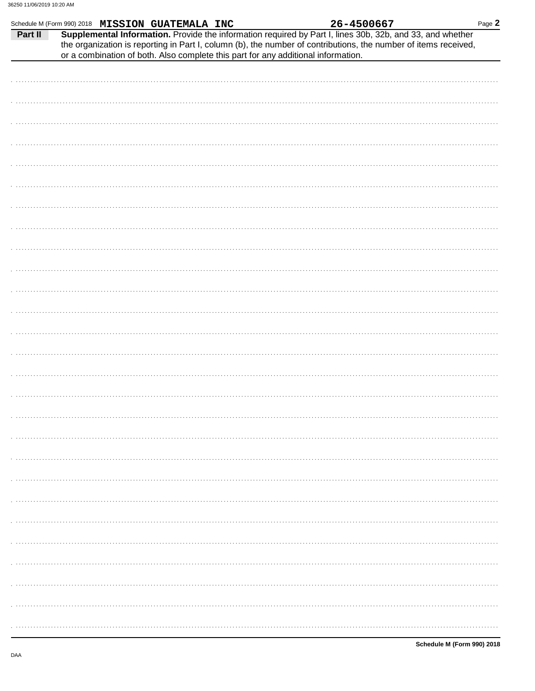|         |  | Schedule M (Form 990) 2018 MISSION GUATEMALA INC |  |                                                                                   | 26-4500667 |                                                                                                                                                                                                                              | Page $2$ |
|---------|--|--------------------------------------------------|--|-----------------------------------------------------------------------------------|------------|------------------------------------------------------------------------------------------------------------------------------------------------------------------------------------------------------------------------------|----------|
| Part II |  |                                                  |  |                                                                                   |            | Supplemental Information. Provide the information required by Part I, lines 30b, 32b, and 33, and whether<br>the organization is reporting in Part I, column (b), the number of contributions, the number of items received, |          |
|         |  |                                                  |  | or a combination of both. Also complete this part for any additional information. |            |                                                                                                                                                                                                                              |          |
|         |  |                                                  |  |                                                                                   |            |                                                                                                                                                                                                                              |          |
|         |  |                                                  |  |                                                                                   |            |                                                                                                                                                                                                                              |          |
|         |  |                                                  |  |                                                                                   |            |                                                                                                                                                                                                                              |          |
|         |  |                                                  |  |                                                                                   |            |                                                                                                                                                                                                                              |          |
|         |  |                                                  |  |                                                                                   |            |                                                                                                                                                                                                                              |          |
|         |  |                                                  |  |                                                                                   |            |                                                                                                                                                                                                                              |          |
|         |  |                                                  |  |                                                                                   |            |                                                                                                                                                                                                                              |          |
|         |  |                                                  |  |                                                                                   |            |                                                                                                                                                                                                                              |          |
|         |  |                                                  |  |                                                                                   |            |                                                                                                                                                                                                                              |          |
|         |  |                                                  |  |                                                                                   |            |                                                                                                                                                                                                                              |          |
|         |  |                                                  |  |                                                                                   |            |                                                                                                                                                                                                                              |          |
|         |  |                                                  |  |                                                                                   |            |                                                                                                                                                                                                                              |          |
|         |  |                                                  |  |                                                                                   |            |                                                                                                                                                                                                                              |          |
|         |  |                                                  |  |                                                                                   |            |                                                                                                                                                                                                                              |          |
|         |  |                                                  |  |                                                                                   |            |                                                                                                                                                                                                                              |          |
|         |  |                                                  |  |                                                                                   |            |                                                                                                                                                                                                                              |          |
|         |  |                                                  |  |                                                                                   |            |                                                                                                                                                                                                                              |          |
|         |  |                                                  |  |                                                                                   |            |                                                                                                                                                                                                                              |          |
|         |  |                                                  |  |                                                                                   |            |                                                                                                                                                                                                                              |          |
|         |  |                                                  |  |                                                                                   |            |                                                                                                                                                                                                                              |          |
|         |  |                                                  |  |                                                                                   |            |                                                                                                                                                                                                                              |          |
|         |  |                                                  |  |                                                                                   |            |                                                                                                                                                                                                                              |          |
|         |  |                                                  |  |                                                                                   |            |                                                                                                                                                                                                                              |          |
|         |  |                                                  |  |                                                                                   |            |                                                                                                                                                                                                                              |          |
|         |  |                                                  |  |                                                                                   |            |                                                                                                                                                                                                                              |          |
|         |  |                                                  |  |                                                                                   |            |                                                                                                                                                                                                                              |          |
|         |  |                                                  |  |                                                                                   |            |                                                                                                                                                                                                                              |          |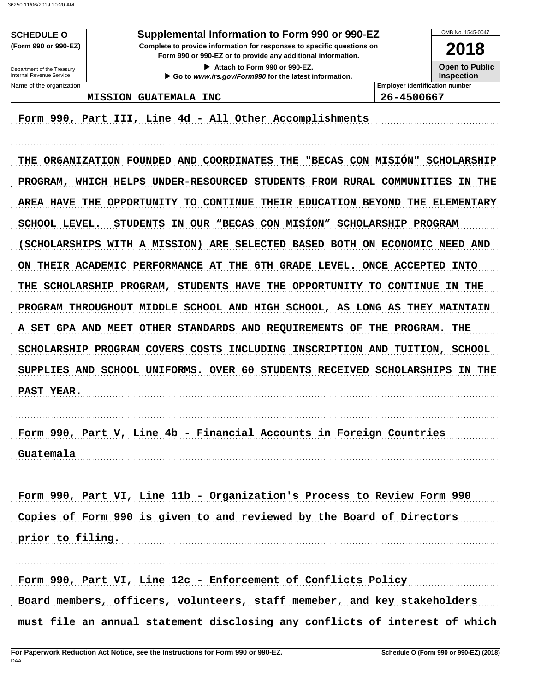**SCHEDULE O** (Form 990 or 990-EZ)

### Supplemental Information to Form 990 or 990-EZ

Complete to provide information for responses to specific questions on Form 990 or 990-EZ or to provide any additional information.

> Attach to Form 990 or 990-EZ. Go to www.irs.gov/Form990 for the latest information.



Department of the Treasury Internal Revenue Service Name of the organization

**MISSION GUATEMALA INC** 

Form 990, Part III, Line 4d - All Other Accomplishments

THE ORGANIZATION FOUNDED AND COORDINATES THE "BECAS CON MISIÓN" SCHOLARSHIP PROGRAM, WHICH HELPS UNDER-RESOURCED STUDENTS FROM RURAL COMMUNITIES IN THE AREA HAVE THE OPPORTUNITY TO CONTINUE THEIR EDUCATION BEYOND THE ELEMENTARY SCHOOL LEVEL. STUDENTS IN OUR "BECAS CON MISÍON" SCHOLARSHIP PROGRAM (SCHOLARSHIPS WITH A MISSION) ARE SELECTED BASED BOTH ON ECONOMIC NEED AND ON THEIR ACADEMIC PERFORMANCE AT THE 6TH GRADE LEVEL. ONCE ACCEPTED INTO THE SCHOLARSHIP PROGRAM, STUDENTS HAVE THE OPPORTUNITY TO CONTINUE IN THE PROGRAM THROUGHOUT MIDDLE SCHOOL AND HIGH SCHOOL, AS LONG AS THEY MAINTAIN A SET GPA AND MEET OTHER STANDARDS AND REQUIREMENTS OF THE PROGRAM. THE SCHOLARSHIP PROGRAM COVERS COSTS INCLUDING INSCRIPTION AND TUITION, SCHOOL SUPPLIES AND SCHOOL UNIFORMS. OVER 60 STUDENTS RECEIVED SCHOLARSHIPS IN THE PAST YEAR.

Form 990, Part V, Line 4b - Financial Accounts in Foreign Countries Guatemala

Form 990, Part VI, Line 11b - Organization's Process to Review Form 990 Copies of Form 990 is given to and reviewed by the Board of Directors prior to filing.

Form 990, Part VI, Line 12c - Enforcement of Conflicts Policy Board members, officers, volunteers, staff memeber, and key stakeholders must file an annual statement disclosing any conflicts of interest of which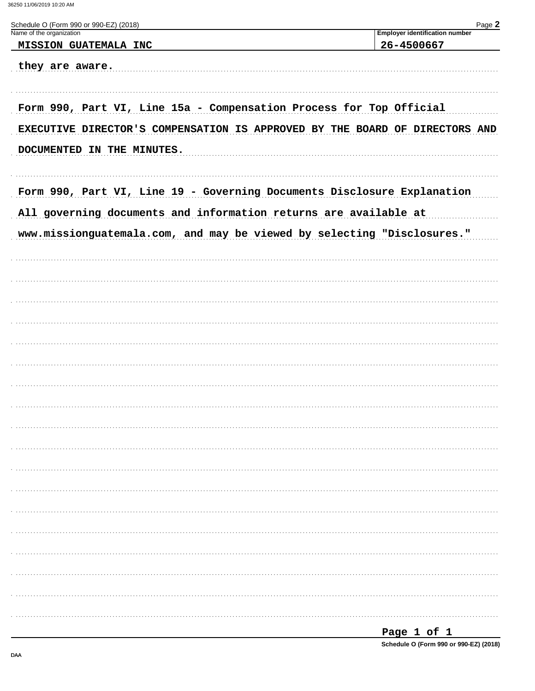| Schedule O (Form 990 or 990-EZ) (2018)                                      | Page 2                                              |
|-----------------------------------------------------------------------------|-----------------------------------------------------|
| Name of the organization<br><b>MISSION GUATEMALA INC</b>                    | <b>Employer identification number</b><br>26-4500667 |
| they are aware.                                                             |                                                     |
| Form 990, Part VI, Line 15a - Compensation Process for Top Official         |                                                     |
| EXECUTIVE DIRECTOR'S COMPENSATION IS APPROVED BY THE BOARD OF DIRECTORS AND |                                                     |
| DOCUMENTED IN THE MINUTES.                                                  |                                                     |
| Form 990, Part VI, Line 19 - Governing Documents Disclosure Explanation     |                                                     |
| All governing documents and information returns are available at            |                                                     |
| www.missionguatemala.com, and may be viewed by selecting "Disclosures."     |                                                     |
|                                                                             |                                                     |
|                                                                             |                                                     |
|                                                                             |                                                     |
|                                                                             |                                                     |
|                                                                             |                                                     |
|                                                                             |                                                     |
|                                                                             |                                                     |
|                                                                             |                                                     |
|                                                                             |                                                     |
|                                                                             |                                                     |
|                                                                             |                                                     |
|                                                                             |                                                     |
|                                                                             |                                                     |
|                                                                             |                                                     |
|                                                                             |                                                     |
|                                                                             |                                                     |
|                                                                             |                                                     |
|                                                                             |                                                     |
|                                                                             |                                                     |
|                                                                             | Page 1 of 1                                         |

Schedule O (Form 990 or 990-EZ) (2018)